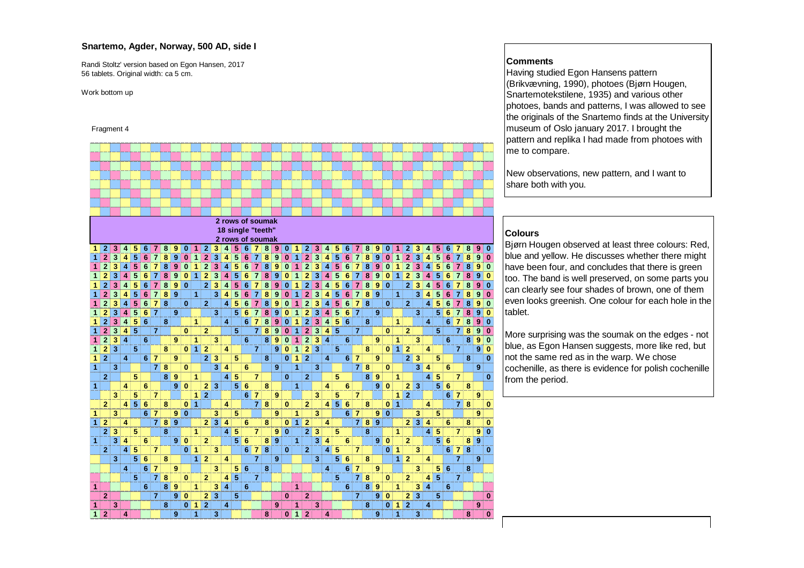### **Snartemo, Agder, Norway, 500 AD, side I**

Randi Stoltz' version based on Egon Hansen, 201756 tablets. Original width: ca 5 cm.

Work bottom up

#### Fragment 4



#### **Comments**

 Having studied Egon Hansens pattern (Brikvævning, 1990), photoes (Bjørn Hougen, Snartemotekstilene, 1935) and various other photoes, bands and patterns, I was allowed to see the originals of the Snartemo finds at the University museum of Oslo january 2017. I brought the pattern and replika I had made from photoes with me to compare.

New observations, new pattern, and I want to share both with you.

### **Colours**

 Bjørn Hougen observed at least three colours: Red, blue and yellow. He discusses whether there might have been four, and concludes that there is green too. The band is well preserved, on some parts you can clearly see four shades of brown, one of them even looks greenish. One colour for each hole in the tablet.

More surprising was the soumak on the edges - not blue, as Egon Hansen suggests, more like red, but not the same red as in the warp. We chose cochenille, as there is evidence for polish cochenille from the period.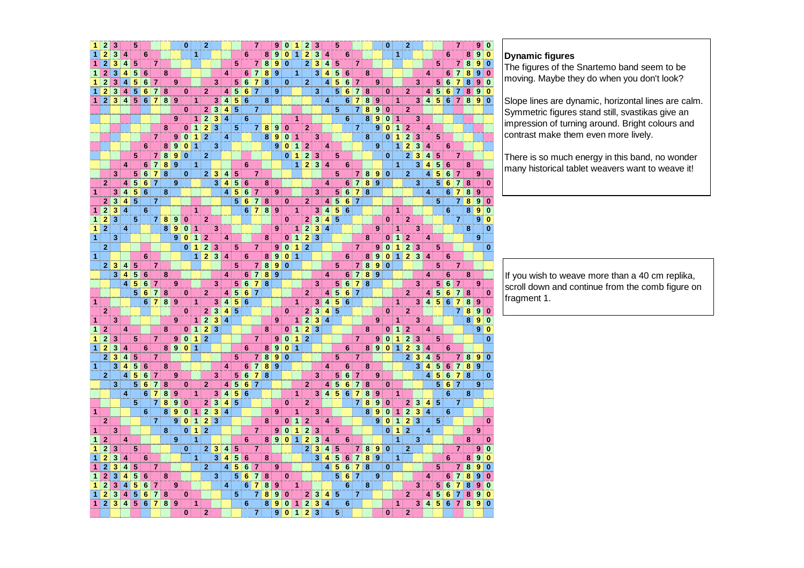| 1                    | 2              | 3                       |                         | 5                       |                 |                |                         |                         | $\bf{0}$     |                | $\overline{2}$          |                                      |                         |                         |                 | 7              |                         | 9                | $\bf{0}$                | 1                    | $\mathbf{2}$            | 3                         |                         | 5                       |                 |                         |                         |                  | $\bf{0}$     | $\overline{2}$                         |                               |                         |                         |                 | $\overline{7}$ |                         | 9                | $\bf{0}$     |               |
|----------------------|----------------|-------------------------|-------------------------|-------------------------|-----------------|----------------|-------------------------|-------------------------|--------------|----------------|-------------------------|--------------------------------------|-------------------------|-------------------------|-----------------|----------------|-------------------------|------------------|-------------------------|----------------------|-------------------------|---------------------------|-------------------------|-------------------------|-----------------|-------------------------|-------------------------|------------------|--------------|----------------------------------------|-------------------------------|-------------------------|-------------------------|-----------------|----------------|-------------------------|------------------|--------------|---------------|
| $\overline{1}$       | $\overline{2}$ | 3                       | 4                       |                         | $6\phantom{1}$  |                |                         |                         |              | 1              |                         |                                      |                         |                         | 6               |                | 8                       | 9                | $\bf{0}$                | $\mathbf{1}$         | $\overline{2}$          | 3                         | 4                       |                         | 6               |                         |                         |                  |              | 1                                      |                               |                         |                         | 6               |                | 8                       | 9                | $\bf{0}$     |               |
| 1                    | $\overline{2}$ | 3                       | 4                       | 5                       |                 | $\overline{7}$ |                         |                         |              |                |                         |                                      |                         | 5                       |                 | 7              | $\boldsymbol{8}$        | $\boldsymbol{9}$ | $\bf{0}$                |                      | $\mathbf{2}$            | 3                         | $\overline{4}$          | 5                       |                 | $\overline{7}$          |                         |                  |              |                                        |                               |                         | 5                       |                 | $\overline{7}$ | 8                       | 9                | $\bf{0}$     | <b>Dynami</b> |
| $\mathbf{1}$         | $\overline{2}$ | 3                       | 4                       | 5                       | $6\phantom{1}6$ |                | 8                       |                         |              |                |                         |                                      | 4                       |                         | 6               | 7              | 8                       | $\boldsymbol{9}$ |                         | 1                    |                         | 3                         | 4                       |                         | 6               |                         | 8                       |                  |              |                                        |                               | 4                       |                         | 6               |                | 8                       | 9                | $\mathbf 0$  | The figur     |
|                      | $\overline{2}$ |                         |                         | 5                       |                 |                |                         |                         |              |                |                         |                                      |                         |                         |                 |                |                         |                  |                         |                      |                         |                           |                         | 5                       |                 |                         |                         |                  |              |                                        |                               |                         |                         |                 | 7<br>7         | $\overline{\mathbf{8}}$ |                  |              | moving.       |
| 1                    |                | 3                       | 4                       |                         | 6               | $\overline{7}$ |                         | 9                       |              |                |                         | 3                                    |                         | 5                       | 6               | $\overline{7}$ | 8                       |                  | $\mathbf{0}$            |                      | $\overline{2}$          |                           | 4                       | 5                       | 6               | $\overline{7}$          |                         | 9                |              |                                        | 3                             |                         | 5                       | $6\phantom{1}6$ |                |                         | 9                | $\bf{0}$     |               |
| 1                    | $\overline{2}$ | 3                       | 4                       | 5                       | $6\phantom{1}6$ | $\overline{7}$ | 8                       |                         | $\bf{0}$     |                | $\mathbf{2}$            |                                      |                         | 4 5                     | $6\phantom{1}6$ | $\overline{7}$ |                         | $\boldsymbol{9}$ |                         |                      |                         | 3                         |                         | 5                       | $\bf 6$         | $\overline{7}$          | 8                       |                  | $\bf{0}$     | $\mathbf{2}$                           |                               | 4                       | $\overline{5}$          | $6\phantom{1}$  | $\overline{7}$ | 8                       | $\boldsymbol{9}$ | $\bf{0}$     |               |
| $\mathbf{1}$         | $\overline{2}$ | $\mathbf 3$             | $\overline{\mathbf{4}}$ |                         | 56              | $\overline{7}$ |                         | 8 9                     |              | 1              |                         | 3                                    | 4                       | $\overline{\mathbf{5}}$ | 6               |                | 8                       |                  |                         |                      |                         |                           | 4                       |                         | 6               | $\overline{7}$          | 8                       | $\pmb{9}$        |              | 1                                      | 3 <sup>2</sup>                | $\overline{\mathbf{4}}$ |                         | 567             |                | 8 <sup>1</sup>          | 9                | $\mathbf{0}$ | Slope lin     |
|                      |                |                         |                         |                         |                 |                |                         |                         | $\bf{0}$     |                | $\overline{\mathbf{2}}$ | 3                                    | $\overline{\mathbf{4}}$ | $\sqrt{5}$              |                 | $\overline{7}$ |                         |                  |                         |                      |                         |                           |                         | 5                       |                 | $\overline{7}$          | 8                       | $\boldsymbol{9}$ | $\bf{0}$     | 2                                      |                               |                         |                         |                 |                |                         |                  |              | Symmet        |
|                      |                |                         |                         |                         |                 |                |                         | 9                       |              | $\mathbf{1}$   | $\overline{2}$          | $\mathbf 3$                          | $\overline{4}$          |                         | $6\phantom{1}$  |                |                         |                  |                         | 1                    |                         |                           |                         |                         | $\bf 6$         |                         | 8                       | $\boldsymbol{9}$ | $\bf{0}$     | $\mathbf{1}$                           | 3                             |                         |                         |                 |                |                         |                  |              | impressi      |
|                      |                |                         |                         |                         |                 |                | 8                       |                         | $\bf{0}$     | 1              | $\overline{2}$          | $\overline{\overline{\overline{3}}}$ |                         | 5                       |                 |                | 7 8                     | 9                | $\bf{0}$                |                      | $\overline{2}$          |                           |                         |                         |                 | 7                       |                         | 9                | $\bf{0}$     | $\overline{2}$<br>1                    |                               | $\overline{\mathbf{4}}$ |                         |                 |                |                         |                  |              |               |
|                      |                |                         |                         |                         |                 | $\overline{7}$ |                         | 9                       | $\bf{0}$     | $\mathbf{1}$   | $\mathbf{2}$            |                                      | 4                       |                         |                 |                | 8                       | 9                | $\overline{\mathbf{0}}$ | $\blacktriangleleft$ |                         | 3                         |                         |                         |                 |                         | 8                       |                  | $\mathbf{0}$ | $\overline{2}$<br>1                    | 3                             |                         | 5                       |                 |                |                         |                  |              | contrast      |
|                      |                |                         |                         |                         | 6               |                | 8 <sup>1</sup>          | $\boldsymbol{9}$        | $\bf{0}$     | $\mathbf{1}$   |                         | $\mathbf{3}$                         |                         |                         |                 |                |                         | $\pmb{9}$        | $\pmb{0}$               | $\mathbf{1}$         | $\mathbf{2}$            |                           | 4                       |                         |                 |                         |                         | $\boldsymbol{9}$ |              | $\mathbf{2}$<br>1                      | 3                             | 4                       |                         | 6               |                |                         |                  |              |               |
|                      |                |                         |                         | 5                       |                 | $\overline{7}$ | $\overline{\mathbf{8}}$ | 9                       | $\bf{0}$     |                | $\bf{2}$                |                                      |                         |                         |                 |                |                         |                  | $\mathbf{0}$            | $\mathbf{1}$         | $\overline{2}$          | $\mathbf{3}$              |                         | 5                       |                 |                         |                         |                  | $\bf{0}$     | $\overline{2}$                         | 3                             | 4                       | 5                       |                 | 7              |                         |                  |              | There is      |
|                      |                |                         | 4                       |                         | 6               | $\overline{7}$ | $\overline{\mathbf{8}}$ | <b>9</b>                |              | $\blacksquare$ |                         |                                      |                         |                         | 6               |                |                         |                  |                         |                      | $1\overline{2}$         | 3 4                       |                         |                         | 6               |                         |                         |                  |              | $\mathbf{1}$                           | $\overline{\mathbf{3}}$       | $\overline{4}$          | 5                       | 6               |                | 8                       |                  |              |               |
|                      |                | 3                       |                         |                         | 56              | $\overline{7}$ | $\overline{\mathbf{8}}$ |                         | $\bf{0}$     |                | $\mathbf{2}$ :          | 3                                    | $\vert$                 | $\overline{5}$          |                 | 7              |                         |                  |                         |                      |                         |                           |                         | 5                       |                 | 7                       | 8                       |                  | 90           | $\overline{2}$                         |                               | 4                       | 5                       | 6               | 7              |                         | 9                |              | many his      |
|                      | $\overline{2}$ |                         | 4                       | 5                       | $6\phantom{1}6$ | $\overline{7}$ |                         | 9                       |              |                |                         | 3                                    | $\overline{4}$          | ${\bf 5}$               | $6\phantom{1}6$ |                | 8                       |                  |                         |                      |                         |                           | 4                       |                         | 6               | $\overline{7}$          | 8                       | $\overline{9}$   |              |                                        | 3                             |                         | 5                       | 6               | $\overline{7}$ | 8                       |                  | $\bf{0}$     |               |
| $\mathbf{1}$         |                | 3                       | 4                       | 5                       | $6\phantom{1}6$ |                | 8                       |                         |              |                |                         |                                      | $\overline{4}$          | 5                       | 6               | $\overline{7}$ |                         | 9                |                         |                      |                         | 3                         |                         | 5                       | $6\phantom{1}6$ | $\overline{7}$          | 8                       |                  |              |                                        |                               | 4                       |                         | 6               | $\overline{7}$ | 8                       | 9                |              |               |
|                      | $\overline{2}$ | $\overline{\mathbf{3}}$ | $\overline{\mathbf{4}}$ | 5                       |                 | $\overline{7}$ |                         |                         |              |                |                         |                                      |                         | 5                       | 6               | $7 \vert 8$    |                         |                  | $\bf{0}$                |                      | $\overline{2}$          |                           | $\overline{\mathbf{4}}$ | 5                       | 6               |                         |                         |                  |              |                                        |                               |                         | 5                       |                 | $\overline{7}$ | 8                       | 9                | $\bf{0}$     |               |
|                      |                |                         | 4                       |                         |                 |                |                         |                         |              | 1              |                         |                                      |                         |                         |                 |                |                         | 9                |                         |                      |                         |                           |                         |                         | $6\phantom{1}$  |                         |                         |                  |              |                                        |                               |                         |                         |                 |                |                         | $\boldsymbol{9}$ |              |               |
| $\mathbf{1}$         | $\mathbf 2$    | 3                       |                         |                         | 6               |                |                         |                         |              |                |                         |                                      |                         |                         | 6               |                | 7 8                     |                  |                         | 1                    |                         | 3                         | $\boldsymbol{4}$        | 5                       |                 |                         |                         |                  |              | 1                                      |                               |                         |                         | $6\phantom{1}6$ |                | 8                       |                  | $\bf{0}$     |               |
| $\mathbf{1}$         | $\mathbf{2}$   | 3                       |                         | $\sqrt{5}$              |                 | $\overline{7}$ | $\bf8$                  | 9                       | $\bf{0}$     |                | $\overline{2}$          |                                      |                         |                         |                 |                |                         |                  | $\bf{0}$                |                      | $\mathbf{2}$            | $\overline{\overline{3}}$ | $\overline{4}$          | $5\phantom{.0}$         |                 |                         |                         |                  | 0            | 2                                      |                               |                         |                         |                 | $\overline{7}$ |                         | 9                | $\bf{0}$     |               |
| 1                    | $\overline{2}$ |                         | 4                       |                         |                 |                | 8 <sup>1</sup>          | $\overline{9}$          | $\bf{0}$     | $\mathbf{1}$   |                         | 3                                    |                         |                         |                 |                |                         | 9                |                         | $\mathbf{1}$         | $\overline{\mathbf{2}}$ | $\overline{\mathbf{3}}$   | $\overline{\mathbf{4}}$ |                         |                 |                         |                         | 9                |              | $\mathbf{1}$                           | 3                             |                         |                         |                 |                | 8                       |                  | $\bf{0}$     |               |
| $\overline{1}$       |                | 3                       |                         |                         |                 |                |                         | 9                       | $\bf{0}$     | $\blacksquare$ | $\mathbf{2}$            |                                      | 4                       |                         |                 |                | 8                       |                  |                         | $\overline{0}$ 1     | $\overline{2}$          | 3                         |                         |                         |                 |                         | 8                       |                  | $\bf{0}$     | $\mathbf 2$<br>1                       |                               | 4                       |                         |                 |                |                         | 9                |              |               |
|                      | $\mathbf{2}$   |                         |                         |                         |                 |                |                         |                         | $\bf{0}$     |                | 1 2                     | 3                                    |                         | $\sqrt{5}$              |                 | 7              |                         | $\bf{9}$         | $\bf{0}$                | $\mathbf{1}$         | $\overline{2}$          |                           |                         |                         |                 | $\overline{7}$          |                         | 9 <sup>1</sup>   | $\bf{0}$     | $\mathbf{1}$<br>$\overline{2}$         | 3                             |                         | 5                       |                 |                |                         |                  | $\bf{0}$     |               |
| $\blacktriangleleft$ |                |                         |                         |                         | 6               |                |                         |                         |              | $\mathbf{1}$   |                         | 2 3                                  | $\overline{\mathbf{4}}$ |                         | $6\phantom{1}$  |                | 8                       | 9                |                         | $\overline{0}$ 1     |                         |                           |                         |                         | 6               |                         | 8                       | $\pmb{9}$        | $\mathbf{0}$ | $\vert$                                | $\overline{2}$ 3              | $\overline{4}$          |                         | 6               |                |                         |                  |              |               |
|                      | 2 3            |                         | 4                       | 5                       |                 | $\overline{7}$ |                         |                         |              |                |                         |                                      |                         | 5                       |                 |                | 7 8                     | $\boldsymbol{9}$ | $\bf{0}$                |                      |                         |                           |                         | 5                       |                 | $\overline{7}$          | $\overline{\mathbf{8}}$ | $\bf{9}$         | $\bf{0}$     |                                        |                               |                         | 5                       |                 | $\overline{7}$ |                         |                  |              |               |
|                      |                | 3                       | 4                       | 5                       | $6\phantom{1}6$ |                | 8                       |                         |              |                |                         |                                      | 4                       |                         | 6               | $\overline{7}$ | 8                       | 9                |                         |                      |                         |                           | $\overline{\mathbf{4}}$ |                         | 6               | $\overline{7}$          | 8                       | 9                |              |                                        |                               | $\overline{\mathbf{4}}$ |                         | $6\phantom{1}6$ |                | 8                       |                  |              | If you wi     |
|                      |                |                         | 4                       | 5                       | $6\phantom{1}6$ | $\overline{7}$ |                         | 9                       |              |                |                         | 3                                    |                         | 5                       | 6               |                | $7 \vert 8$             |                  |                         |                      |                         | 3                         |                         | 5                       | $\overline{6}$  | $\overline{7}$          | 8                       |                  |              |                                        | 3                             |                         | 5 <sup>1</sup>          | $6\phantom{1}6$ | 7              |                         | 9                |              | scroll do     |
|                      |                |                         |                         | 5                       | 6               | $\overline{7}$ | $\bf8$                  |                         | $\bf{0}$     |                | $\overline{2}$          |                                      | 4                       | 5                       | 6               | $\overline{7}$ |                         |                  |                         |                      | $\overline{2}$          |                           | 4                       | 5                       | $6\phantom{1}$  | $\overline{7}$          |                         |                  |              | $\overline{2}$                         |                               | 4                       | 5                       | $6\phantom{1}6$ | 7              | 8                       |                  | $\bf{0}$     |               |
| $\mathbf{1}$         |                |                         |                         |                         | 6               | $\overline{7}$ |                         | 8 9                     |              | $\mathbf{1}$   |                         | $\mathbf{3}$                         | $\overline{4}$          | 5                       | 6               |                |                         |                  |                         | $\mathbf{1}$         |                         | $\overline{3}$            | $\overline{4}$          | 5                       | $\bf 6$         |                         |                         |                  |              | $\mathbf{1}$                           | $\mathbf{3}$                  | $\overline{\mathbf{4}}$ | $\overline{5}$          | $6\phantom{1}6$ | 7              | 8                       | 9                |              | fragmen       |
|                      | $\overline{2}$ |                         |                         |                         |                 |                |                         |                         | $\bf{0}$     |                | $\overline{2}$          | $\overline{\mathbf{3}}$              |                         | $4 \overline{5}$        |                 |                |                         |                  | $\bf{0}$                |                      | $\overline{2}$          | $\overline{\overline{3}}$ | $\overline{4}$          | $5\phantom{1}$          |                 |                         |                         |                  | $\mathbf{0}$ | $\overline{2}$                         |                               |                         |                         |                 | $\overline{7}$ | 8                       | $\pmb{9}$        | $\bf{0}$     |               |
| $\mathbf{1}$         |                | 3                       |                         |                         |                 |                |                         | $\boldsymbol{9}$        |              | 1              | $\bf{2}$                | 3                                    | $\overline{\mathbf{4}}$ |                         |                 |                |                         | $\boldsymbol{9}$ |                         | 1                    | $\mathbf{2}$            |                           | 3 4                     |                         |                 |                         |                         | 9                |              | 1                                      | 3                             |                         |                         |                 |                | 8                       | 9                | $\bf{0}$     |               |
| 1                    | $\overline{2}$ |                         | 4                       |                         |                 |                | 8                       |                         | $\bf{0}$     | $\mathbf{1}$   | $\overline{2}$          | 3                                    |                         |                         |                 |                | 8                       |                  | 0                       | $\mathbf{1}$         | $\overline{2}$          | $\overline{\overline{3}}$ |                         |                         |                 |                         | 8                       |                  | $\bf{0}$     | $\overline{2}$<br>$\blacktriangleleft$ |                               | 4                       |                         |                 |                |                         | 9                | 0            |               |
| 1                    | $\mathbf{2}$   | 3                       |                         | 5                       |                 | $\overline{7}$ |                         | $\boldsymbol{9}$        | $\bf{0}$     | $\mathbf{1}$   | $\overline{2}$          |                                      |                         |                         |                 | $\overline{7}$ |                         | $\boldsymbol{9}$ | $\overline{\mathbf{0}}$ | $\mathbf{1}$         | $\overline{2}$          |                           |                         |                         |                 | $\overline{7}$          |                         |                  | 9 0          | $\overline{2}$<br>1                    | 3                             |                         | 5                       |                 |                |                         |                  | $\bf{0}$     |               |
| $\mathbf{1}$         | $\overline{2}$ | 3                       | 4                       |                         | 6               |                |                         | $8 \overline{\smash)9}$ | $\mathbf{0}$ | $\overline{1}$ |                         |                                      |                         |                         | $6\phantom{1}$  |                | 8                       | $\overline{9}$   | $\overline{0}$ 1        |                      |                         |                           |                         |                         | $6\phantom{1}6$ |                         | 8                       |                  | 901          | $\overline{2}$                         | 3                             | $\boldsymbol{4}$        |                         | $6\phantom{1}6$ |                |                         |                  |              |               |
|                      | $\overline{2}$ |                         |                         |                         |                 |                |                         |                         |              |                |                         |                                      |                         |                         |                 |                |                         |                  |                         |                      |                         |                           |                         |                         |                 |                         |                         |                  |              | $\overline{2}$                         |                               |                         |                         |                 |                |                         |                  |              |               |
|                      |                | 3                       | 4                       | 5                       |                 | $\overline{7}$ |                         |                         |              |                |                         |                                      |                         | 5                       |                 |                | 78                      | $\boldsymbol{9}$ | $\bf{0}$                |                      |                         |                           |                         | 5                       |                 | $\overline{7}$          |                         |                  |              |                                        | $\mathbf 3$                   | $\overline{\bf{4}}$     | 5                       |                 | 7              | 8                       | $\boldsymbol{9}$ | $\bf{0}$     |               |
| $\mathbf{1}$         |                | 3                       | 4                       | 5                       | $6\phantom{1}6$ |                | 8                       |                         |              |                |                         |                                      | 4                       |                         | 6               | $\overline{7}$ | $\overline{\mathbf{8}}$ | $\boldsymbol{9}$ |                         |                      |                         |                           | 4                       |                         | 6               |                         | 8                       |                  |              |                                        | 3                             | 4                       | 5                       | $6\phantom{1}6$ | 7              | 8                       | $\overline{9}$   |              |               |
|                      | $\mathbf{2}$   |                         | 4                       | 5                       | 6               | 7              |                         | 9                       |              |                |                         | $\mathbf{3}$                         |                         | 5                       | 6               | 7 <sup>1</sup> | 8                       |                  |                         |                      |                         | 3                         |                         | 5                       | $\bf 6$         | $\overline{7}$          |                         | 9                |              |                                        |                               | 4                       | 5                       | $6\phantom{1}6$ | 7              | $\bf8$                  |                  | $\bf{0}$     |               |
|                      |                | 3                       |                         | 5                       | $6\phantom{1}6$ | $\overline{7}$ | 8                       |                         | $\bf{0}$     |                | $\overline{2}$          |                                      | $\vert$ 4               | ${\bf 5}$               | 6               | $\overline{7}$ |                         |                  |                         |                      | $\overline{2}$          |                           | $\overline{\mathbf{4}}$ | $\overline{\mathbf{5}}$ | $\overline{6}$  | $\overline{7}$          | 8                       |                  | $\bf{0}$     |                                        |                               |                         | 5                       | 6               | $\overline{7}$ |                         | $\boldsymbol{9}$ |              |               |
|                      |                |                         | 4                       |                         | 6               | $\overline{7}$ | 8                       | 9                       |              | $\mathbf{1}$   |                         | 3                                    | $\vert$                 | $\overline{5}$          | $6\phantom{1}6$ |                |                         |                  |                         | $\mathbf{1}$         |                         | $\overline{3}$            | $\vert$                 | $5\phantom{.0}$         | 6               | $\overline{7}$          | 8                       | 9                |              | 1                                      |                               |                         |                         | 6               |                | 8                       |                  |              |               |
|                      |                |                         |                         | 5                       |                 | $\overline{7}$ | 8                       | $\boldsymbol{9}$        | $\bf{0}$     |                | $\overline{2}$          | $\overline{\mathbf{3}}$              |                         | $4 \overline{5}$        |                 |                |                         |                  | $\bf{0}$                |                      | $\mathbf{2}$            |                           |                         |                         |                 | 7                       | 8                       | 9 <sup>°</sup>   | $\bf{0}$     | $\overline{2}$                         | $\overline{\mathbf{3}}$       | 4                       | $5\phantom{.0}$         |                 | $\overline{7}$ |                         |                  |              |               |
| 1                    |                |                         |                         |                         | $\bf 6$         |                | 8                       | 9                       | $\bf{0}$     | $\mathbf{1}$   | $\mathbf 2$             | 3                                    | $\overline{4}$          |                         |                 |                |                         | $\bf{9}$         |                         | 1                    |                         | 3                         |                         |                         |                 |                         | 8                       | $\boldsymbol{9}$ | $\bf{0}$     | $\overline{2}$<br>$\blacktriangleleft$ | $\overline{\mathbf{3}}$       | $\overline{\mathbf{4}}$ |                         | $6\phantom{1}6$ |                |                         |                  |              |               |
|                      | $\overline{2}$ |                         |                         |                         |                 | $\overline{7}$ |                         | 9                       | $\bf{0}$     | $\mathbf{1}$   | $\overline{2}$          | $\overline{\mathbf{3}}$              |                         |                         |                 |                | 8                       |                  | $\bf{0}$                | 1                    | $\overline{2}$          |                           | 4                       |                         |                 |                         |                         |                  | 9 0          | $\mathbf{1}$                           | $\overline{2}$ $\overline{3}$ |                         | 5                       |                 |                |                         |                  | $\mathbf{0}$ |               |
| $\mathbf{1}$         |                | 3                       |                         |                         |                 |                | 8                       |                         | $\bf{0}$     | $\mathbf{1}$   | $\overline{2}$          |                                      |                         |                         |                 | $\overline{7}$ |                         | 9                | $\bf{0}$                | $\blacktriangleleft$ | $\boldsymbol{2}$        | $\mathbf{3}$              |                         | 5                       |                 |                         |                         |                  | $\mathbf{0}$ | $\overline{2}$<br>$\mathbf{1}$         |                               | 4                       |                         |                 |                |                         | 9                |              |               |
| 1                    | $\mathbf{2}$   |                         | 4                       |                         |                 |                |                         | 9                       |              | 1              |                         |                                      |                         |                         | 6               |                | 8                       | 9                |                         | $0 \mid 1$           | $\overline{2}$          | 3                         | 4                       |                         | 6               |                         |                         |                  |              | 1                                      | 3                             |                         |                         |                 |                | 8                       |                  | $\bf{0}$     |               |
| 1                    | $\mathbf 2$    | 3                       |                         | 5                       |                 |                |                         |                         | $\bf{0}$     |                | $\mathbf{2}$ :          | $\mathbf{3}$                         | $\vert$                 | 5                       |                 | $\overline{7}$ |                         |                  |                         |                      | $\mathbf{2}$            | 3                         | 4                       | 5                       |                 | $\overline{7}$          | $\bf{8}$                | 9 0              |              | 2                                      |                               |                         |                         |                 | 7              |                         | 9                | $\bf{0}$     |               |
| 1                    | $\overline{2}$ | 3                       | 4                       |                         | $6\phantom{1}$  |                |                         |                         |              | $\mathbf{1}$   |                         | 3                                    | 4                       | $\overline{\mathbf{5}}$ | 6               |                | 8                       |                  |                         |                      |                         | 3 <sup>1</sup>            | 4                       | 5                       | 6 <sup>1</sup>  | $\overline{\mathbf{r}}$ | 8                       | $\overline{9}$   |              | $\mathbf{1}$                           |                               |                         |                         | $6\phantom{1}6$ |                | 8                       | 9                | 0            |               |
| $\mathbf{1}$         | $\overline{2}$ | 3                       | 4                       | 5                       |                 | $\overline{7}$ |                         |                         |              |                | $\overline{2}$          |                                      | $\overline{4}$          | $\overline{5}$          | 6               | $\overline{7}$ |                         | $\boldsymbol{9}$ |                         |                      |                         |                           | 4                       | 5                       |                 | $6 \overline{7}$        | 8                       |                  | $\mathbf{0}$ |                                        |                               |                         | 5                       |                 | 7              | 8                       | 9                | $\bf{0}$     |               |
| 1                    | $\overline{2}$ | 3                       | 4                       | 5                       | $6\phantom{1}6$ |                | 8                       |                         |              |                |                         | 3                                    |                         | 5                       | 6               | $\mathbf{7}$   | 8                       |                  | 0                       |                      |                         |                           |                         | 5                       | $6\phantom{1}$  | $\overline{7}$          |                         | $\boldsymbol{9}$ |              |                                        |                               | 4                       |                         | $6\phantom{a}$  | $\overline{7}$ | 8                       | 9                | $\bf{0}$     |               |
|                      | $\mathbf 2$    | 3                       | 4                       | 5                       | $6\phantom{1}6$ | $\overline{7}$ |                         | $\boldsymbol{9}$        |              |                |                         |                                      | 4                       |                         | 6               | $\overline{7}$ | 8                       | 9                |                         | $\mathbf{1}$         |                         |                           |                         |                         | 6               |                         | 8                       |                  |              |                                        | 3                             |                         |                         | $\bf 6$         | $\overline{7}$ | 8                       | 9                |              |               |
| 1                    |                |                         |                         |                         |                 |                |                         |                         |              |                |                         |                                      |                         |                         |                 | $\overline{7}$ |                         |                  |                         |                      |                         |                           |                         |                         |                 |                         |                         |                  |              |                                        |                               |                         | 5                       |                 |                |                         |                  | 0            |               |
| $\mathbf{1}$         | $\overline{2}$ | 3                       | $\overline{\mathbf{4}}$ | $\overline{5}$          | 6               | $\overline{7}$ | 8                       |                         | $\bf{0}$     |                |                         |                                      |                         | 5                       |                 |                | 8                       | 9                | $\bf{0}$                |                      | $\mathbf{2}$            | $\overline{\mathbf{3}}$   | $\overline{4}$          | $\overline{5}$          |                 | $\overline{7}$          |                         |                  |              | $\overline{2}$                         |                               | 4                       | $\overline{5}$          | $\overline{6}$  | $\overline{7}$ | 8                       | 9                | 0            |               |
| $\mathbf{1}$         | $\overline{2}$ | $\mathbf 3$             | $\overline{4}$          | $\overline{\mathbf{5}}$ | $6\phantom{1}6$ | $\overline{7}$ | $\overline{\bf 8}$      | $\overline{9}$          |              | $\mathbf{1}$   |                         |                                      |                         |                         | 6               |                | 8                       | 9                | $\bf{0}$                | 1                    | $\mathbf 2$             | $\overline{\mathbf{3}}$   | $\overline{4}$          |                         | 6               |                         |                         |                  |              | $\mathbf{1}$                           | 3                             | $\overline{4}$          | $\overline{\mathbf{5}}$ | 6 <sup>1</sup>  | $\overline{7}$ | $\overline{\mathbf{8}}$ | 9                | $\bf{0}$     |               |
|                      |                |                         |                         |                         |                 |                |                         |                         | $\bf{0}$     |                | $\mathbf{2}$            |                                      |                         |                         |                 | 7              |                         | 9                | $\bf{0}$                | $\mathbf{1}$         | $\overline{2}$          | $\overline{\overline{3}}$ |                         | 5                       |                 |                         |                         |                  | $\bf{0}$     | $\overline{2}$                         |                               |                         |                         |                 |                |                         |                  |              |               |

**Dear figures** 

 The figures of the Snartemo band seem to be moving. Maybe they do when you don't look?

nes are dynamic, horizontal lines are calm. tric figures stand still, svastikas give an impression of turning around. Bright colours and make them even more lively.

so much energy in this band, no wonder many historical tablet weavers want to weave it!

ish to weave more than a 40 cm replika, scroll down and continue from the comb figure on nt 1.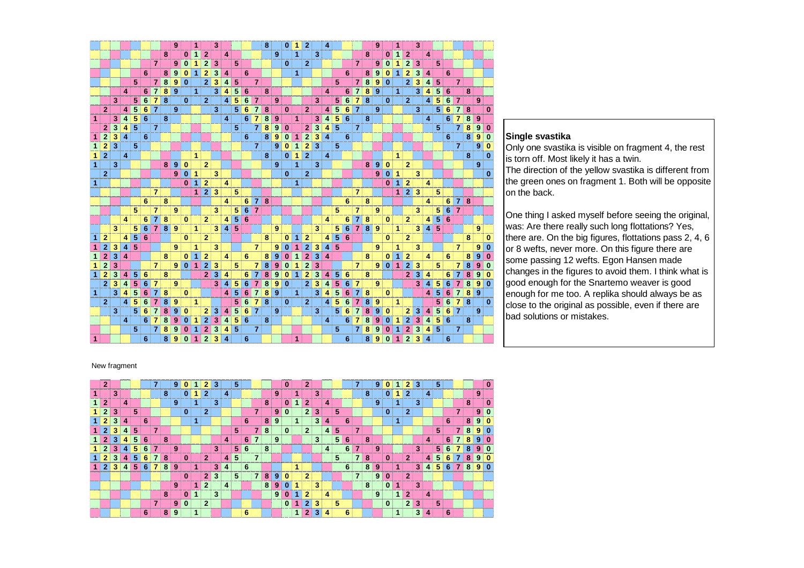|    |                |   |                |   |   |                |                | 9              |          | 1              |                | 3 |   |   |   |                | 8 <sup>1</sup> |                | 0        | 1                    | $\overline{2}$ |   | 4              |   |   |                |                | 9 |              | 1            |                | 3 |   |   |   |                |   |   |          |
|----|----------------|---|----------------|---|---|----------------|----------------|----------------|----------|----------------|----------------|---|---|---|---|----------------|----------------|----------------|----------|----------------------|----------------|---|----------------|---|---|----------------|----------------|---|--------------|--------------|----------------|---|---|---|---|----------------|---|---|----------|
|    |                |   |                |   |   |                | 8              |                | $\bf{0}$ | 1 <sup>1</sup> | $\mathbf{2}$   |   | 4 |   |   |                |                | 9 <sup>1</sup> |          | $\blacktriangleleft$ |                | 3 |                |   |   |                | 8              |   | $\bf{0}$     | 1            | $\mathbf{2}$   |   | 4 |   |   |                |   |   |          |
|    |                |   |                |   |   | $\overline{7}$ |                | 9 <sup>1</sup> | $\Omega$ |                | 2              | 3 |   | 5 |   |                |                |                | $\bf{0}$ |                      | $\overline{2}$ |   |                |   |   | $\overline{7}$ |                | 9 | $\bf{0}$     |              | $\mathbf{2}$   | 3 |   | 5 |   |                |   |   |          |
|    |                |   |                |   | 6 |                | 8              | 9              | 0        | 1              | 2              | 3 | 4 |   | 6 |                |                |                |          | 1                    |                |   |                |   | 6 |                | 8              | 9 | 0            | 1            | $\mathbf{2}$   | 3 | 4 |   | 6 |                |   |   |          |
|    |                |   |                | 5 |   | 7              | 8              | 9              | 0        |                | $\mathbf{2}$   | 3 | 4 | 5 |   | 7              |                |                |          |                      |                |   |                | 5 |   | 7              | 8              | 9 | $\bf{0}$     |              | $\overline{2}$ | 3 | 4 | 5 |   | 7              |   |   |          |
|    |                |   | $\overline{4}$ |   | 6 | $\overline{7}$ | 8              | 9              |          | $\mathbf{1}$   |                | 3 | 4 | 5 | 6 |                | 8              |                |          |                      |                |   | 4              |   | 6 | $\overline{7}$ | 8              | 9 |              | $\mathbf{1}$ |                | 3 | 4 | 5 | 6 |                | 8 |   |          |
|    |                | 3 |                | 5 | 6 | 7              | 8              |                | 0        |                | $\mathbf{2}$   |   | 4 | 5 | 6 | $\overline{7}$ |                | 9              |          |                      |                | 3 |                | 5 | 6 | 7              | 8              |   | 0            |              | $\mathbf{2}$   |   | 4 | 5 | 6 | 7              |   | 9 |          |
|    | $\mathbf{2}$   |   | $\overline{4}$ | 5 | 6 | $\overline{7}$ |                | 9              |          |                |                | 3 |   | 5 | 6 | $\mathbf{7}$   | 8              |                | 0        |                      | $\mathbf{2}$   |   | 4              | 5 | 6 | 7              |                | 9 |              |              |                | 3 |   | 5 | 6 | 7              | 8 |   | n        |
| 1  |                | 3 | 4              | 5 | 6 |                | 8              |                |          |                |                |   | 4 |   | 6 | 7              | 8              | 9              |          | 1                    |                | 3 | 4              | 5 | 6 |                | 8              |   |              |              |                |   | 4 |   | 6 | 7              | 8 | 9 |          |
|    | $\mathbf{2}$   | 3 | 4              | 5 |   | $\overline{7}$ |                |                |          |                |                |   |   | 5 |   | 7              | 8              | 9              | 0        |                      | $\overline{2}$ | 3 | 4              | 5 |   | $\overline{7}$ |                |   |              |              |                |   |   | 5 |   | 7              | 8 | 9 | 0        |
| 1  | $\overline{2}$ | 3 | 4              |   | 6 |                |                |                |          |                |                |   |   |   | 6 |                | 8 <sup>1</sup> | 9              | 0        | 1                    | $\overline{2}$ | 3 | 4              |   | 6 |                |                |   |              |              |                |   |   |   | 6 |                | 8 | 9 | 0        |
|    | $\overline{2}$ | 3 |                | 5 |   |                |                |                |          |                |                |   |   |   |   | 71             |                | 9              | 0        | 1                    | 2              | 3 |                | 5 |   |                |                |   |              |              |                |   |   |   |   | $\overline{7}$ |   | 9 | o        |
|    | $\mathbf{2}$   |   | 4              |   |   |                |                |                |          | $\mathbf{1}$   |                |   |   |   |   |                | 8              |                | $\bf{0}$ | 1                    | $\overline{2}$ |   | 4              |   |   |                |                |   |              | $\mathbf{1}$ |                |   |   |   |   |                | 8 |   | 0        |
| 1  |                | 3 |                |   |   |                | 8 <sup>1</sup> | 9              | $\bf{0}$ |                | $\mathbf{2}$   |   |   |   |   |                |                | 9              |          | 1                    |                | 3 |                |   |   |                | 8 <sup>1</sup> | 9 | $\bf{0}$     |              | $\mathbf{2}$   |   |   |   |   |                |   | 9 |          |
|    | $\overline{2}$ |   |                |   |   |                |                | 9              | $\bf{0}$ | 1.             |                | 3 |   |   |   |                |                |                | $\bf{0}$ |                      | $\overline{2}$ |   |                |   |   |                |                | 9 | $\bf{0}$     | 1            |                | 3 |   |   |   |                |   |   | 0        |
| 1  |                |   |                |   |   |                |                |                | 0        | ۰              | $\overline{2}$ |   | 4 |   |   |                |                |                |          | 1                    |                |   |                |   |   |                |                |   | 0            | 1            | $\mathbf{2}$   |   | 4 |   |   |                |   |   |          |
|    |                |   |                |   |   | $\overline{7}$ |                |                |          | 1              | 2 <sup>1</sup> | 3 |   | 5 |   |                |                |                |          |                      |                |   |                |   |   | 7              |                |   |              | 1            | $\mathbf{2}$   | 3 |   | 5 |   |                |   |   |          |
|    |                |   |                |   | 6 |                | 8              |                |          |                |                |   | 4 |   | 6 | 7              | 8              |                |          |                      |                |   |                |   | 6 |                | 8              |   |              |              |                |   | 4 |   | 6 | 71             | 8 |   |          |
|    |                |   |                | 5 |   | 7              |                | 9              |          |                |                | 3 |   | 5 | 6 | $\mathbf{7}$   |                |                |          |                      |                |   |                | 5 |   | 7              |                | 9 |              |              |                | 3 |   | 5 | 6 | $\overline{7}$ |   |   |          |
|    |                |   | 4              |   | 6 | $\overline{7}$ | 8              |                | 0        |                | $\mathbf{2}$   |   | 4 | 5 | 6 |                |                |                |          |                      |                |   | 4              |   | 6 | $\overline{7}$ | 8              |   | $\bf{0}$     |              | $\mathbf{2}$   |   | 4 | 5 | 6 |                |   |   |          |
|    |                | 3 |                | 5 | 6 | $\overline{7}$ | 8              | 9              |          | 1              |                | 3 | 4 | 5 |   |                |                | 9              |          |                      |                | 3 |                | 5 | 6 | $\overline{7}$ | 8              | 9 |              | 1            |                | 3 | 4 | 5 |   |                |   | 9 |          |
|    | $\overline{2}$ |   | 4              | 5 | 6 |                |                |                | 0        |                | 2              |   |   |   |   |                | 8 <sup>1</sup> |                | 0        |                      | 2              |   | 4              | 5 | 6 |                |                |   | $\bf{0}$     |              | $\overline{2}$ |   |   |   |   |                | 8 |   | 0        |
|    | 2              | 3 |                | 5 |   |                |                | 9              |          | $\mathbf{1}$   |                | 3 |   |   |   | $\overline{7}$ |                | 9              | 0        | 1                    | $\mathbf{2}$   | 3 | 4              | 5 |   |                |                | 9 |              | 1            |                | 3 |   |   |   | 7              |   | 9 | 0        |
|    | $\overline{2}$ | 3 | 4              |   |   |                | 8              |                | 0        | 1              | $\overline{2}$ |   | 4 |   | 6 |                | 8              | 9              | 0        | 1                    | $\overline{2}$ | 3 | 4              |   |   |                | 8              |   | 0            | 1            | $\mathbf{2}$   |   | 4 |   | 6 |                | 8 |   | $\Omega$ |
|    | $\overline{2}$ | 3 |                |   |   | $\overline{7}$ |                | 9              | $\bf{0}$ | $\blacksquare$ | $\mathbf{2}$   | 3 |   | 5 |   | 7              | 8              | 9              | 0        | 1                    | 2              | 3 |                |   |   | $\overline{7}$ |                | 9 | $\mathbf{0}$ | $\mathbf{1}$ | $\overline{2}$ | 3 |   | 5 |   | 7              | 8 |   | $\Omega$ |
| 1  | $\overline{2}$ | 3 | 4              | 5 | 6 |                | 8              |                |          |                | 2 <sup>1</sup> | 3 | 4 |   | 6 | 7              | 8              | 9              | 0        | 1                    | $\overline{2}$ | 3 | 4              | 5 | 6 |                | 8              |   |              |              | 2 <sup>1</sup> | 3 | 4 |   | 6 | 7              | 8 | 9 | Ω        |
|    | $\overline{2}$ | 3 | 4              | 5 | 6 | $\overline{7}$ |                | 9              |          |                |                | 3 | 4 | 5 | 6 | $\mathbf{7}$   | 8              | 9              | 0        |                      | $\overline{2}$ | 3 | 4              | 5 | 6 | $\overline{7}$ |                | 9 |              |              |                | 3 |   | 5 | 6 | $\overline{7}$ | 8 | 9 | 0        |
| 1. |                | 3 | 4              | 5 | 6 | $\overline{7}$ | 8              |                | 0        |                |                |   | 4 | 5 | 6 | $\overline{7}$ | 8              | 9              |          | $\blacktriangleleft$ |                | 3 | $\overline{4}$ | 5 | 6 | 7              | 8              |   | $\bf{0}$     |              |                |   | 4 | 5 | 6 | $\overline{7}$ | 8 | 9 |          |
|    | $\mathbf{2}$   |   | $\vert$ 4      | 5 | 6 | 7              | 8              | 9              |          | 1              |                |   |   | 5 | 6 | $\overline{7}$ | 8              |                | 0        |                      | $\mathbf{2}$   |   | 4              | 5 | 6 | 7              | 8              | 9 |              | 1            |                |   |   | 5 | 6 | 7              | 8 |   | 0        |
|    |                | 3 |                | 5 | 6 | 7              | 8              | 9              | 0        |                | 2              | 3 | 4 | 5 | 6 | 7 <sup>1</sup> |                | 9              |          |                      |                | 3 |                | 5 | 6 | 7              | 8              | 9 | 0            |              | 2              | 3 | 4 |   | 6 | 7              |   | 9 |          |
|    |                |   | 4              |   | 6 | 7              | 8              | 9              | 0        | 1              | $\mathbf{2}$   | 3 | 4 | 5 | 6 |                | 8              |                |          |                      |                |   | 4              |   | 6 | 7              | 8              | 9 | $\bf{0}$     | 1            | $\mathbf{2}$   | 3 | 4 | 5 | 6 |                | 8 |   |          |
|    |                |   |                | 5 |   | $\overline{7}$ | 8              | 9              | 0        |                | $\mathbf{2}$   | 3 | 4 | 5 |   | 7              |                |                |          |                      |                |   |                | 5 |   | 7              | 8              | 9 | 0            | 1            | $\mathbf{2}$   | 3 | 4 | 5 |   | 7              |   |   |          |
|    |                |   |                |   | 6 |                | 8              | g              |          |                |                | з |   |   | 6 |                |                |                |          | 1                    |                |   |                |   | 6 |                | 8              |   | Ω            |              | 2              | 3 |   |   | 6 |                |   |   |          |

### **Single svastika**

 Only one svastika is visible on fragment 4, the rest is torn off. Most likely it has a twin. The direction of the yellow svastika is different from the green ones on fragment 1. Both will be oppositeon the back.

One thing I asked myself before seeing the original, was: Are there really such long flottations? Yes, there are. On the big figures, flottations pass 2, 4, 6 or 8 wefts, never more. On this figure there are some passing 12 wefts. Egon Hansen made changes in the figures to avoid them. I think what is good enough for the Snartemo weaver is good enough for me too. A replika should always be as close to the original as possible, even if there are bad solutions or mistakes.

#### New fragment

| $\mathbf{2}$   |   |   |   |   |                |   | 9. |              |   | $\mathbf{2}^{\prime}$ | з |   | 5              |    |                |                |                | 0        |   | 2              |   |   |   |   | 71             |   | 9 |              | 2              | 3 |   | 5  |    |   |   |  |
|----------------|---|---|---|---|----------------|---|----|--------------|---|-----------------------|---|---|----------------|----|----------------|----------------|----------------|----------|---|----------------|---|---|---|---|----------------|---|---|--------------|----------------|---|---|----|----|---|---|--|
|                | з |   |   |   |                | 8 |    |              |   |                       |   | 4 |                |    |                |                | 9              |          |   |                | 3 |   |   |   |                | 8 |   |              | $\mathbf{2}$   |   | 4 |    |    |   | 9 |  |
| $\mathbf{2}$   |   | 4 |   |   |                |   | 9  |              |   |                       | 3 |   |                |    |                | 8              |                |          |   | 2              |   |   |   |   |                |   | 9 |              |                | 3 |   |    |    | Զ |   |  |
|                |   |   | 5 |   |                |   |    | $\bf{0}$     |   |                       |   |   |                |    |                |                | 9              |          |   | $\overline{2}$ | 3 |   | 5 |   |                |   |   | $\mathbf{0}$ | - 2            |   |   |    |    |   | 9 |  |
| $\overline{2}$ |   |   |   | 6 |                |   |    |              | и |                       |   |   |                | 6. |                | 8              | 9              |          | 1 |                | 3 |   |   | 6 |                |   |   |              |                |   |   |    | 6  |   | 9 |  |
| ּ              |   |   | 5 |   | 7              |   |    |              |   |                       |   |   | 5              |    |                | 8              |                |          |   | $\overline{2}$ |   |   | 5 |   |                |   |   |              |                |   |   | 5  |    |   |   |  |
| $\overline{2}$ |   |   | 5 | 6 |                | 8 |    |              |   |                       |   | 4 |                | 6  |                |                | 9              |          |   |                | 3 |   | 5 | 6 |                | 8 |   |              |                |   |   |    | 6  |   | 9 |  |
| $\overline{2}$ |   |   | 5 | 6 |                |   | 9  |              |   |                       | 3 |   | 5.             | 6  |                | 8              |                |          |   |                |   | 4 |   | 6 | 7              |   | 9 |              |                | 3 |   | 5. | 6. |   | 9 |  |
| $\mathbf{2}$   | 3 |   | 5 | 6 |                | 8 |    | $\mathbf{0}$ |   | 2 <sup>1</sup>        |   | 4 | 5              |    |                |                |                |          |   |                |   |   | 5 |   | $\overline{7}$ | 8 |   | $\mathbf{0}$ | $\overline{2}$ |   |   | 5  | 6  |   |   |  |
| $\mathbf{2}$   |   |   | 5 | 6 |                | 8 | 9  |              |   |                       | 3 |   |                | 6  |                |                |                |          | и |                |   |   |   | 6 |                | 8 | 9 |              |                | 3 |   | 5. | 61 | 8 | 9 |  |
|                |   |   |   |   |                |   |    | $\Omega$     |   | $\overline{2}$        | 3 |   | 5 <sup>3</sup> |    | 7 <sup>1</sup> |                | 8 9            |          |   | $\overline{2}$ |   |   |   |   | $\overline{7}$ |   | 9 | 0            | $\overline{2}$ |   |   |    |    |   |   |  |
|                |   |   |   |   |                |   | 9  |              |   | $\overline{2}$        |   |   |                |    |                | 8 <sup>1</sup> | 9              |          |   |                | 3 |   |   |   |                | 8 |   | $\mathbf{0}$ |                | 3 |   |    |    |   |   |  |
|                |   |   |   |   |                | 8 |    |              |   |                       | 3 |   |                |    |                |                | 9 <sup>1</sup> | $\bf{0}$ | 1 | $\mathbf{2}$   |   |   |   |   |                |   | 9 |              | $\overline{2}$ |   | 4 |    |    |   |   |  |
|                |   |   |   |   | $\overline{7}$ |   | 9  |              |   | 2                     |   |   |                |    |                |                |                |          |   | າ              |   |   | 5 |   |                |   |   | $\mathbf{0}$ | $\mathbf{2}$   | 3 |   | 5  |    |   |   |  |
|                |   |   |   | 6 |                | 8 | 9  |              | 1 |                       |   |   |                | 6  |                |                |                |          | 1 | 2.             | 3 |   |   | 6 |                |   |   |              |                | 3 | 4 |    | 6  |   |   |  |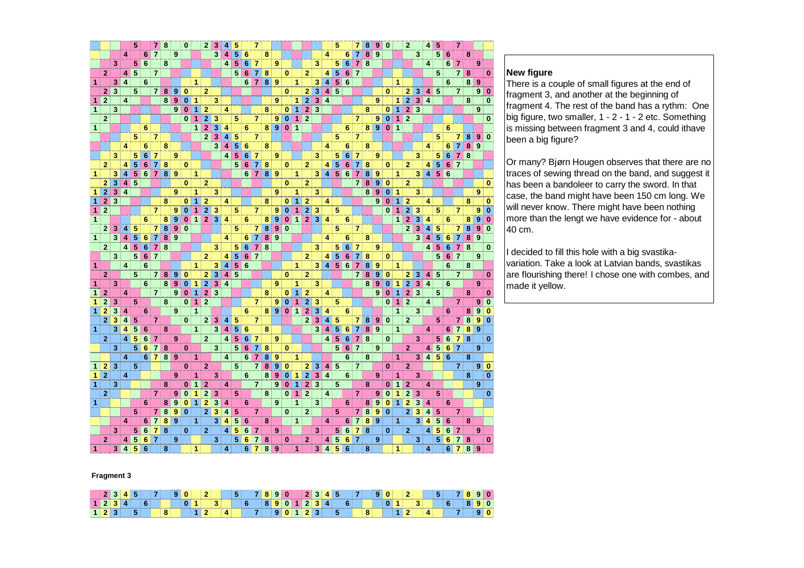|   |                |   |                         | 5                   |                 | $\overline{7}$ | 8 |   | $\bf{0}$ |                | 2 <sup>1</sup> | 3                       |   | 5 |                 | 7              |                         |                  |          |                      |                |                         |                         | 5                       |   | 7              | 8 | 9                   | $\bf{0}$                            |                | $\overline{2}$ |                         | 4 | 5 |                | 7              |   |   |             |
|---|----------------|---|-------------------------|---------------------|-----------------|----------------|---|---|----------|----------------|----------------|-------------------------|---|---|-----------------|----------------|-------------------------|------------------|----------|----------------------|----------------|-------------------------|-------------------------|-------------------------|---|----------------|---|---------------------|-------------------------------------|----------------|----------------|-------------------------|---|---|----------------|----------------|---|---|-------------|
|   |                |   | 4                       |                     | 6               | $\overline{7}$ |   | 9 |          |                |                | 3                       |   | 5 | 6               |                | 8                       |                  |          |                      |                |                         | 4                       |                         | 6 | 7              | 8 | 9                   |                                     |                |                | 3                       |   | 5 | 6              |                | 8 |   |             |
|   |                | 3 |                         | 5 <sup>5</sup>      | 6               |                | 8 |   |          |                |                |                         | 4 | 5 | 6               | 7              |                         | 9                |          |                      |                | 3                       |                         | 5                       | 6 | 7              | 8 |                     |                                     |                |                |                         | 4 |   | 6              | $\overline{7}$ |   | 9 |             |
|   | $\mathbf{2}$   |   | 4                       | 5                   |                 | $\overline{7}$ |   |   |          |                |                |                         |   | 5 | 6               | $\overline{7}$ | 8                       |                  | $\bf{0}$ |                      | $\overline{2}$ |                         | 4                       | $\overline{\mathbf{5}}$ | 6 | $\overline{7}$ |   |                     |                                     |                |                |                         |   | 5 |                | $\overline{7}$ | 8 |   | 0           |
| 1 |                | 3 | $\overline{\mathbf{4}}$ |                     | 6               |                |   |   |          | 1              |                |                         |   |   | 6               | $\overline{7}$ |                         | 8 9              |          | 1                    |                | 3                       | $\overline{\mathbf{4}}$ | 5                       | 6 |                |   |                     |                                     | 1              |                |                         |   |   | 6              |                | 8 | 9 |             |
|   | $\overline{2}$ | 3 |                         | 5                   |                 | 7              | 8 | 9 | 0        |                | $\overline{2}$ |                         |   |   |                 |                |                         |                  | $\bf{0}$ |                      | 2              | 3                       | 4                       | 5                       |   |                |   |                     | 0                                   |                | $\overline{2}$ | 3                       | 4 | 5 |                | $\overline{7}$ |   | 9 | 0           |
| 1 | $\overline{2}$ |   | 4                       |                     |                 |                | 8 | 9 | 0        | 1              |                | 3                       |   |   |                 |                |                         | 9                |          | 1                    | $\mathbf{2}$   | 3                       | 4                       |                         |   |                |   | 9                   |                                     | 1              | $\overline{2}$ | 3                       | 4 |   |                |                | 8 |   | 0           |
| 1 |                | 3 |                         |                     |                 |                |   | 9 | $\bf{0}$ | 1              | $\overline{2}$ |                         | 4 |   |                 |                | 8                       |                  | $\bf{0}$ | 1                    | $\overline{2}$ | 3                       |                         |                         |   |                | 8 |                     | 0                                   | 1              | $\overline{2}$ | 3                       |   |   |                |                |   | 9 |             |
|   |                |   |                         |                     |                 |                |   |   | $\bf{0}$ | $\mathbf{1}$   | $\overline{2}$ |                         |   |   |                 |                |                         |                  |          |                      |                |                         |                         |                         |   |                |   |                     |                                     | 1              | $\overline{2}$ |                         |   |   |                |                |   |   |             |
|   | $\overline{2}$ |   |                         |                     |                 |                |   |   |          |                |                | 3                       |   | 5 |                 | 7              |                         | 9                | $\bf{0}$ | 1                    | $\overline{2}$ |                         |                         |                         |   | 7              |   | 9<br>$\overline{9}$ | $\bf{0}$<br>$\overline{\mathbf{0}}$ |                |                |                         |   |   |                |                |   |   | 0           |
| 1 |                |   |                         |                     | 6               |                |   |   |          | $\mathbf{1}$   | $\overline{2}$ | 3                       | 4 |   | 6               |                | 8 <sup>1</sup>          | $\boldsymbol{9}$ | $\bf{0}$ | $\blacktriangleleft$ |                |                         |                         |                         | 6 |                | 8 |                     |                                     | $\overline{1}$ |                |                         |   |   | 6              |                |   |   |             |
|   |                |   |                         | 5                   |                 | $\overline{7}$ |   |   |          |                | $\overline{2}$ | 3                       | 4 | 5 |                 | $\overline{7}$ |                         |                  |          |                      |                |                         |                         | 5                       |   | $\overline{7}$ |   |                     |                                     |                |                |                         |   | 5 |                | $\overline{7}$ | 8 | 9 | $\mathbf 0$ |
|   |                |   | 4                       |                     | 6               |                | 8 |   |          |                |                | 3                       | 4 | 5 | 6               |                | 8                       |                  |          |                      |                |                         | 4                       |                         | 6 |                | 8 |                     |                                     |                |                |                         | 4 |   | 6              | 7              | 8 | 9 |             |
|   |                | 3 |                         | 5                   | $6\phantom{1}$  | $\overline{7}$ |   | 9 |          |                |                |                         | 4 | 5 | 6               | 7              |                         | 9                |          |                      |                | 3                       |                         | 5                       | 6 | 7              |   | 9                   |                                     |                |                | 3                       |   | 5 | $6\phantom{1}$ | $\overline{7}$ | 8 |   |             |
|   | $\overline{2}$ |   | 4                       | 5                   | $6\phantom{1}$  | $\overline{7}$ | 8 |   | $\bf{0}$ |                |                |                         |   | 5 | 6               | $\overline{7}$ | 8                       |                  | $\bf{0}$ |                      | $\overline{2}$ |                         | 4                       | 5                       | 6 | 7              | 8 |                     | $\mathbf{0}$                        |                | $\overline{2}$ |                         | 4 | 5 | 6              | $\overline{7}$ |   |   |             |
| 1 |                | 3 | 4                       | $\overline{5}$      | 6               | $\overline{7}$ | 8 | 9 |          | 1.             |                |                         |   |   | 6               | $\overline{7}$ |                         | 8 9              |          | 1                    |                | 3                       | 4                       | 5                       | 6 | 7              | 8 | 9                   |                                     | 1              |                | 3                       | 4 | 5 | 6              |                |   |   |             |
|   | $\mathbf{2}$   | 3 | $\overline{\mathbf{4}}$ | 5                   |                 |                |   |   | 0        |                | $\overline{2}$ |                         |   |   |                 |                |                         |                  | 0        |                      | $\overline{2}$ |                         |                         |                         |   | 7              | 8 | 9                   | 0                                   |                | 2              |                         |   |   |                |                |   |   | 0           |
| 1 | $\overline{2}$ | 3 | $\overline{\bf{4}}$     |                     |                 |                |   | 9 |          | 1              |                | 3                       |   |   |                 |                |                         | 9                |          | 1                    |                | 3                       |                         |                         |   |                | 8 | 9                   | 0                                   | 1              |                | 3                       |   |   |                |                |   | 9 |             |
| 1 | $\overline{2}$ | 3 |                         |                     |                 |                | 8 |   | 0        | 1              | $\overline{2}$ |                         | 4 |   |                 |                | 8                       |                  | 0        | 1                    | $\mathbf{2}$   |                         | 4                       |                         |   |                |   | 9                   | $\bf{0}$                            | $\overline{1}$ | $\overline{2}$ |                         | 4 |   |                |                | 8 |   | $\bf{0}$    |
| 1 | $\overline{2}$ |   |                         |                     |                 | $\overline{7}$ |   | 9 | $\bf{0}$ | $\overline{1}$ | $\overline{2}$ | 3                       |   | 5 |                 | $\overline{7}$ |                         | 9                | $\bf{0}$ | 1                    | $\overline{2}$ | 3                       |                         | 5                       |   |                |   |                     | $\bf{0}$                            | $\mathbf{1}$   | $\overline{2}$ | 3                       |   | 5 |                | $\overline{7}$ |   | 9 | $\bf{0}$    |
| 1 |                |   |                         |                     | 6               |                | 8 | 9 | $\bf{0}$ | $\mathbf{1}$   | 2 <sup>1</sup> | $\overline{\mathbf{3}}$ | 4 |   | 6               |                | 8 <sup>1</sup>          | 9                | $\bf{0}$ | 1                    | $\overline{2}$ | $\overline{\mathbf{3}}$ | 4                       |                         | 6 |                |   |                     |                                     | 1              | $\overline{2}$ | 3                       | 4 |   | 6              |                | 8 | 9 | $\bf{0}$    |
|   | $\mathbf{2}$   | 3 | 4                       | 5                   |                 | $\overline{7}$ | 8 | 9 | $\bf{0}$ |                |                |                         |   | 5 |                 | $\overline{7}$ | 8                       | $\boldsymbol{9}$ | $\bf{0}$ |                      |                |                         |                         | 5                       |   | 7              |   |                     |                                     |                | $\overline{2}$ | 3                       | 4 | 5 |                | $\overline{7}$ | 8 | 9 | 0           |
| 1 |                | 3 | 4                       | $\overline{5}$      | 6               | $\overline{7}$ | 8 | 9 |          |                |                |                         | 4 |   | 6               | $\overline{7}$ | $\overline{\mathbf{8}}$ | $\overline{9}$   |          |                      |                |                         | 4                       |                         | 6 |                | 8 |                     |                                     |                |                | 3                       | 4 | 5 | 6              | 7              | 8 | 9 |             |
|   | $\overline{2}$ |   | 4                       | $\overline{\bf{5}}$ | $6\phantom{1}6$ | $\overline{7}$ | 8 |   |          |                |                | 3                       |   | 5 | $6\phantom{1}6$ | 7              | 8                       |                  |          |                      |                | 3                       |                         | 5                       | 6 | $\overline{7}$ |   | 9                   |                                     |                |                |                         | 4 | 5 | 6              | $\overline{7}$ | 8 |   | 0           |
|   |                | 3 |                         | $\overline{5}$      | $6\phantom{1}6$ | $\overline{7}$ |   |   |          |                | $\overline{2}$ |                         | 4 | 5 | 6               | $\overline{7}$ |                         |                  |          |                      | $\overline{2}$ |                         | 4                       | 5                       | 6 | 7              | 8 |                     | 0                                   |                |                |                         |   | 5 | 6              | $\overline{7}$ |   | 9 |             |
| 1 |                |   | 4                       |                     | 6               |                |   |   |          | 1.             |                | 3                       | 4 | 5 | 6               |                |                         |                  |          | 1                    |                | 3                       | 4                       | 5                       | 6 | 7              | 8 | 9                   |                                     | 1              |                |                         |   |   | 6              |                | 8 |   |             |
|   | $\overline{2}$ |   |                         | 5                   |                 | $\overline{7}$ | 8 | 9 | 0        |                | $\mathbf{2}$   | 3                       | 4 | 5 |                 |                |                         |                  | $\bf{0}$ |                      | $\overline{2}$ |                         |                         |                         |   | $\overline{7}$ | 8 | 9                   | 0                                   |                | $\overline{2}$ | 3                       | 4 | 5 |                | $\overline{7}$ |   |   | 0           |
| 1 |                | 3 |                         |                     | 6               |                | 8 | 9 | $\bf{0}$ | 1              | $\mathbf{2}$   | 3                       | 4 |   |                 |                |                         | 9                |          | 1                    |                | 3                       |                         |                         |   |                | 8 | 9                   | 0                                   | 1              | $\overline{2}$ | 3                       | 4 |   | 6              |                |   | 9 |             |
| 1 | $\overline{2}$ |   | 4                       |                     |                 | $\overline{7}$ |   | 9 | $\bf{0}$ | $\mathbf{1}$   | $\overline{2}$ | 3                       |   |   |                 |                | 8                       |                  | $\bf{0}$ | 1                    | $\overline{2}$ |                         | 4                       |                         |   |                |   | 9                   | $\bf{0}$                            | 1              | $\mathbf{2}$   | $\overline{\mathbf{3}}$ |   | 5 |                |                | 8 |   | 0           |
| 1 | $\overline{2}$ | 3 |                         | 5                   |                 |                | 8 |   | 0        | 1              | $\mathbf{2}$   |                         |   |   |                 | 7              |                         | 9                | $\bf{0}$ | 1                    | $\overline{2}$ | 3                       |                         | 5                       |   |                |   |                     | $\bf{0}$                            | 1              | $\overline{2}$ |                         | 4 |   |                | 7              |   | 9 | $\bf{0}$    |
| 1 | $\overline{2}$ | 3 | 4                       |                     | 6               |                |   | 9 |          | $\overline{1}$ |                |                         |   |   | 6               |                | 8 <sup>1</sup>          | 9                | $\bf{0}$ | 1                    | $\overline{2}$ | 3                       | 4                       |                         | 6 |                |   |                     |                                     | $\overline{1}$ |                | 3                       |   |   | 6              |                | 8 | 9 | 0           |
|   | $\overline{2}$ | 3 | 4                       | 5                   |                 | $\overline{7}$ |   |   | $\bf{0}$ |                | 2 <sup>1</sup> | 3                       | 4 | 5 |                 | $\overline{7}$ |                         |                  |          |                      | $\overline{2}$ | 3                       | $\overline{\mathbf{4}}$ | 5                       |   | 7              | 8 | 9                   | $\bf{0}$                            |                | $\mathbf{2}$   |                         |   | 5 |                | 7              | 8 | 9 | $\bf{0}$    |
| 1 |                | 3 | 4                       | 5                   | 6               |                | 8 |   |          | $\mathbf{1}$   |                | 3                       | 4 | 5 | 6               |                | 8                       |                  |          |                      |                | 3                       | 4                       | 5                       | 6 | 7              | 8 | 9                   |                                     | 1              |                |                         | 4 |   | 6              | $\overline{7}$ | 8 | 9 |             |
|   | $\mathbf{2}$   |   | 4                       | 5                   | 6               | 7              |   | 9 |          |                | $\mathbf{2}$   |                         | 4 | 5 | 6               | 7              |                         | 9                |          |                      |                |                         | 4                       | 5                       | 6 | 7              | 8 |                     | 0                                   |                |                | 3                       |   | 5 | 6              | $\overline{7}$ | 8 |   | 0           |
|   |                | 3 |                         | 5                   | 6               | $\overline{7}$ | 8 |   | $\bf{0}$ |                |                | 3                       |   | 5 | 6               | $\overline{7}$ | 8                       |                  | $\bf{0}$ |                      |                |                         |                         | 5                       | 6 | $\overline{7}$ |   | 9                   |                                     |                | 2 <sup>1</sup> |                         | 4 | 5 | 6              | $\overline{7}$ |   | 9 |             |
|   |                |   | 4                       |                     | 6               | $\overline{7}$ | 8 | 9 |          | 1              |                |                         | 4 |   | 6               | 7              | 8                       | 9                |          | 1                    |                |                         |                         |                         | 6 |                | 8 |                     |                                     | $\mathbf{1}$   |                | 3                       | 4 | 5 | 6              |                | 8 |   |             |
| 1 | $\overline{2}$ | 3 |                         | 5                   |                 |                |   |   | 0        |                | $\overline{2}$ |                         |   | 5 |                 | $\overline{7}$ | 8                       | 9                | 0        |                      | 2              | 3                       | 4                       | $5\phantom{1}$          |   | $\overline{7}$ |   |                     | $\bf{0}$                            |                | $\overline{2}$ |                         |   |   |                | $\overline{7}$ |   | 9 | $\bf{0}$    |
| 1 | $\overline{2}$ |   | 4                       |                     |                 |                |   | 9 |          | 1              |                | 3                       |   |   | $6\phantom{1}$  |                | 8 <sup>1</sup>          | 9                | $\bf{0}$ | 1                    | 2              | 3                       | $\overline{\mathbf{4}}$ |                         | 6 |                |   | 9                   |                                     | 1              |                | 3                       |   |   |                |                | 8 |   | $\bf{0}$    |
| 1 |                | 3 |                         |                     |                 |                | 8 |   | 0        | 1              | 2              |                         | 4 |   |                 | $\overline{7}$ |                         | 9                | $\bf{0}$ | 1                    | $\overline{2}$ | 3                       |                         | 5                       |   |                | 8 |                     | 0                                   | 1              | $\mathbf{2}$   |                         | 4 |   |                |                |   | 9 |             |
|   | $\overline{2}$ |   |                         |                     |                 | $\overline{7}$ |   | 9 | $\bf{0}$ | 1              | $\overline{2}$ | 3                       |   | 5 |                 |                | 8                       |                  | $\bf{0}$ | 1                    | $\overline{2}$ |                         | 4                       |                         |   | $\overline{7}$ |   | 9                   | $\bf{0}$                            | 1              | $\overline{2}$ | 3                       |   | 5 |                |                |   |   | $\bf{0}$    |
| 1 |                |   |                         |                     | 6               |                | 8 | 9 | 0        | $\mathbf{1}$   | $\overline{2}$ | 3                       | 4 |   | 6               |                |                         | 9                |          | 1                    |                | 3                       |                         |                         | 6 |                | 8 | 9                   | 0                                   | 1              | $\overline{2}$ | 3                       | 4 |   | 6              |                |   |   |             |
|   |                |   |                         | 5                   |                 | $\overline{7}$ | 8 | 9 | $\bf{0}$ |                | 2 <sup>1</sup> | 3                       | 4 | 5 |                 | $\overline{7}$ |                         |                  | $\bf{0}$ |                      | $\overline{2}$ |                         |                         | 5                       |   | $\overline{7}$ | 8 | 9                   | $\bf{0}$                            |                | $\overline{2}$ | 3                       | 4 | 5 |                | 7              |   |   |             |
|   |                |   |                         |                     |                 |                | 8 | 9 |          |                |                | 3                       |   |   |                 |                |                         |                  |          |                      |                |                         |                         |                         |   |                |   | 9                   |                                     |                |                | 3                       |   |   |                |                |   |   |             |
|   |                |   | 4                       |                     | 6               | $\overline{7}$ |   |   |          | 1.             |                |                         | 4 | 5 | 6               |                | 8                       |                  |          | 1                    |                |                         | 4                       |                         | 6 | 7              | 8 |                     |                                     | 1              |                |                         | 4 | 5 | 6              |                | 8 |   |             |
|   |                | 3 |                         | 5 <sup>5</sup>      | 6               | $\overline{7}$ | 8 |   | 0        |                | $\overline{2}$ |                         | 4 | 5 | 6               | $\overline{7}$ |                         | 9                |          |                      |                | 3                       |                         | 5                       | 6 | $\overline{7}$ | 8 |                     | 0                                   |                | $\mathbf{2}$   |                         | 4 | 5 | 6              | 7              |   | 9 |             |
|   | $\mathbf{2}$   |   | 4                       | 5                   | 6               | $\overline{7}$ |   | 9 |          |                |                | 3                       |   | 5 | 6               | 7              | 8                       |                  | $\bf{0}$ |                      | $\overline{2}$ |                         | 4                       | 5                       | 6 | 7              |   | 9                   |                                     |                |                | 3                       |   | 5 | 6              | 7              | 8 |   | 0           |
| 1 |                | 3 | $\overline{\mathbf{4}}$ | 5                   | 6               |                | 8 |   |          | 1              |                |                         | 4 |   | 6               | 7              | 8                       | 9                |          | 1                    |                | 3                       | $\overline{\bf{4}}$     | 5                       | 6 |                | 8 |                     |                                     | 1              |                |                         | 4 |   | 6              | 7              | 8 | 9 |             |

# **New figure**

 There is a couple of small figures at the end of fragment 3, and another at the beginning of fragment 4. The rest of the band has a rythm: One big figure, two smaller, 1 - 2 - 1 - 2 etc. Something is missing between fragment 3 and 4, could ithave been a big figure?

Or many? Bjørn Hougen observes that there are no traces of sewing thread on the band, and suggest ithas been a bandoleer to carry the sword. In that case, the band might have been 150 cm long. We will never know. There might have been nothing more than the lengt we have evidence for - about 40 cm.

I decided to fill this hole with a big svastikavariation. Take a look at Latvian bands, svastikas are flourishing there! I chose one with combes, andmade it yellow.

#### **Fragment 3**

|                                   |  |  |  |  | <b>MARABARAS</b> |  |  |  |  |  |  |  |  | <b><i><u>A CARD AND A REPORTED</u></i></b> | <b>STATISTICS</b> | --------- |  |  |  |  |  |  |
|-----------------------------------|--|--|--|--|------------------|--|--|--|--|--|--|--|--|--------------------------------------------|-------------------|-----------|--|--|--|--|--|--|
| <b><i><u>PERMIT BERTH</u></i></b> |  |  |  |  |                  |  |  |  |  |  |  |  |  |                                            |                   |           |  |  |  |  |  |  |
|                                   |  |  |  |  |                  |  |  |  |  |  |  |  |  |                                            |                   |           |  |  |  |  |  |  |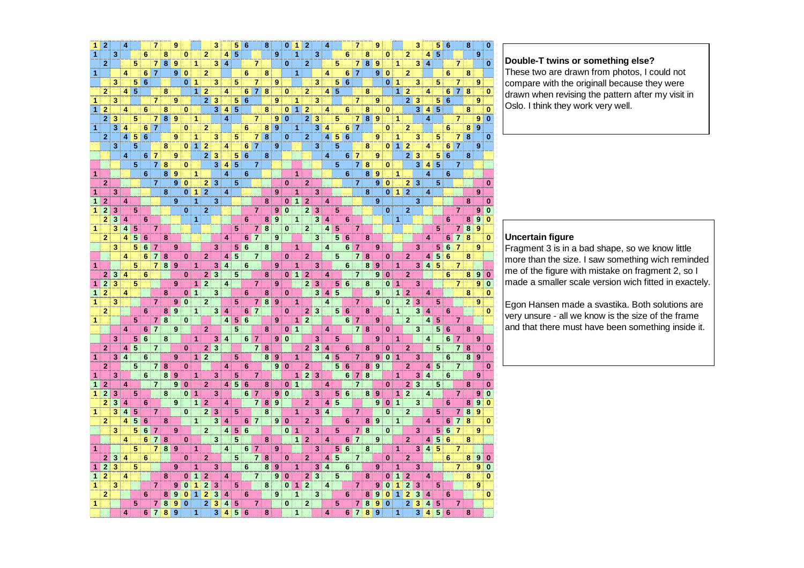| 1 | 2              |   | 4              |                |                 |                |   | 9 |              |                |                | 3 |                | 5              | 6               |                        | 8  |                | 0        |                | 2              |   | 4                       |                |                 |                |                | 9      |              |                |                | 3              |                         | 5 | 6 |                | 8 |   | 0        |
|---|----------------|---|----------------|----------------|-----------------|----------------|---|---|--------------|----------------|----------------|---|----------------|----------------|-----------------|------------------------|----|----------------|----------|----------------|----------------|---|-------------------------|----------------|-----------------|----------------|----------------|--------|--------------|----------------|----------------|----------------|-------------------------|---|---|----------------|---|---|----------|
| 1 |                | 3 |                |                | 6               |                | 8 |   | 0            |                | $\overline{2}$ |   | 4              | 5              |                 |                        |    | 9              |          | 1              |                | 3 |                         |                | 6               |                | 8              |        | 0            |                | 2              |                | 4                       | 5 |   |                |   | 9 |          |
|   | $\overline{2}$ |   |                | 5              |                 | $\overline{7}$ | 8 | 9 |              | 1              |                | 3 | $\overline{4}$ |                |                 | $\overline{7}$         |    |                | $\bf{0}$ |                | $\overline{2}$ |   |                         | 5              |                 | 7              | 8 <sup>1</sup> | 9      |              | 1              |                | 3              | $\overline{\mathbf{A}}$ |   |   | $\overline{7}$ |   |   | $\bf{0}$ |
| 1 |                |   | 4              |                | 6               | $\overline{7}$ |   | 9 | $\bf{0}$     |                | $\overline{2}$ |   |                |                | 6               |                        | 8  |                |          | 1              |                |   | 4                       |                | 6               | $\overline{7}$ |                | 9      | $\bf{0}$     |                | 2              |                |                         |   | 6 |                | 8 |   |          |
|   |                | 3 |                | 5 <sup>1</sup> | $6\phantom{1}6$ |                |   |   | 0            | 1              |                | 3 |                | 5              |                 | $\overline{7}$         |    | 9              |          |                |                | 3 |                         | 5              | $6\phantom{1}6$ |                |                |        | $\bf{0}$     | -1             |                | 3              |                         | 5 |   | $\overline{7}$ |   | 9 |          |
|   | $\overline{2}$ |   | 41             | 5              |                 |                | 8 |   |              | 1              | $\overline{2}$ |   | 4              |                | 6               | $\overline{7}$         | 8  |                | $\bf{0}$ |                | $\mathbf{2}$   |   | 4                       | 5              |                 |                | 8              |        |              | 1              | $\overline{2}$ |                | 4                       |   | 6 | $\overline{7}$ | 8 |   | 0        |
| 1 |                | 3 |                |                |                 | $\overline{7}$ |   | 9 |              |                | $\overline{2}$ | 3 |                | 5              | 6               |                        |    | 9              |          | 1              |                | 3 |                         |                |                 | $\overline{7}$ |                | 9      |              |                | $\mathbf{2}$   | 3              |                         | 5 | 6 |                |   | 9 |          |
| 1 | 2              |   | 4              |                | 6               |                | 8 |   | $\mathbf{0}$ |                |                | 3 | 4              | 5              |                 |                        | 8  |                | $\bf{0}$ | $\mathbf{1}$   | $\overline{2}$ |   | 4                       |                | 6               |                | 8              |        | 0            |                |                | 3              | 4                       | 5 |   |                | 8 |   | o        |
|   | 2              | 3 |                | 5              |                 | 7              | 8 | 9 |              | 1              |                |   | 4              |                |                 | $\mathbf{7}$           |    | 9              | $\bf{0}$ |                | $\overline{2}$ | 3 |                         | 5              |                 | 7              | 8              | 9      |              | 1              |                |                | 4                       |   |   | 7              |   | 9 | 0        |
| 1 |                | 3 | 4              |                | 6               | $\overline{7}$ |   |   | 0            |                | $\overline{a}$ |   |                |                | 6               |                        | 8  | 9              |          | 1              |                | 3 | 4                       |                | 6               | 7              |                |        | 0            |                | 2              |                |                         |   | 6 |                | 8 | 9 |          |
|   | $\overline{2}$ |   | 4              | 5              | 6               |                |   | 9 |              | 1              |                | 3 |                | 5              |                 | 7 <sup>1</sup>         | 8  |                | $\bf{0}$ |                | $\overline{2}$ |   | $\overline{4}$          | 5              | $6\phantom{1}6$ |                |                | 9      |              | 1              |                | 3              |                         | 5 |   | $\overline{7}$ | 8 |   | $\bf{0}$ |
|   |                | 3 |                | 5              |                 |                | 8 |   | $\bf{0}$     | 1              | $\overline{2}$ |   | 4              |                | 6               | $\overline{7}$         |    | 9              |          |                |                | 3 |                         | 5              |                 |                | 8              |        | $\mathbf{0}$ | $\overline{1}$ | $\overline{2}$ |                | 4                       |   | 6 | $\overline{7}$ |   | 9 |          |
|   |                |   | 4              |                | 6.              | 7              |   | 9 |              |                | $\overline{2}$ | 3 |                | 5              | $\bf 6$         |                        | 8  |                |          |                |                |   | 4                       |                | 6               | $\overline{7}$ |                | 9      |              |                | $\overline{2}$ | 3              |                         | 5 | 6 |                | 8 |   |          |
|   |                |   |                | 5              |                 | $\overline{7}$ | 8 |   | 0            |                |                | 3 | 4              | $\overline{5}$ |                 | $\mathbf{7}$           |    |                |          |                |                |   |                         | 5              |                 | $\overline{7}$ | 8              |        | 0            |                |                | 3              | 4                       | 5 |   | $\overline{7}$ |   |   |          |
|   |                |   |                |                | 6               |                | 8 |   |              | 1              |                |   | 4              |                |                 |                        |    |                |          | 1              |                |   |                         |                | $6\phantom{1}$  |                | 8              |        |              | 1              |                |                | 4                       |   |   |                |   |   |          |
| 1 |                |   |                |                |                 |                |   | 9 |              |                |                |   |                |                | 6               |                        |    |                |          |                |                |   |                         |                |                 |                |                | 9<br>9 |              |                |                |                |                         |   | 6 |                |   |   |          |
|   | 2              |   |                |                |                 | 7              |   | 9 | 0            |                | 2              | 3 |                | 5              |                 |                        |    |                | $\bf{0}$ |                | 2              |   |                         |                |                 | $\overline{7}$ |                |        | 0            |                | 2              | 3              |                         | 5 |   |                |   |   | $\bf{0}$ |
| 1 |                | 3 |                |                |                 |                | 8 |   | $\mathbf{0}$ | 1              | $\overline{2}$ |   | 4              |                |                 |                        |    | 9              |          | 1              |                | 3 |                         |                |                 |                | 8              |        | 0            | $\mathbf{1}$   | $\overline{2}$ |                | 4                       |   |   |                |   | 9 |          |
| 1 | $\overline{2}$ |   | 4              |                |                 |                |   | 9 |              | 1              |                | 3 |                |                |                 |                        | 8  |                | 0        | $\mathbf{1}$   | $\overline{2}$ |   | 4                       |                |                 |                |                | 9      |              |                |                | 3              |                         |   |   |                | 8 |   | 0        |
| 1 | 2              | 3 |                | 5              |                 |                |   |   | $\bf{0}$     |                | $\overline{2}$ |   |                |                |                 | $\mathbf{7}$           |    | 9              | $\bf{0}$ |                | $\overline{2}$ | 3 |                         | 5              |                 |                |                |        | $\bf{0}$     |                | $\overline{2}$ |                |                         |   |   | $\overline{7}$ |   | 9 | 0        |
|   | 2              | 3 | 4              |                | 6               |                |   |   |              | 1              |                |   |                |                | $6\phantom{1}6$ |                        | 8  | 9              |          | $\mathbf{1}$   |                | 3 | 4                       |                | 6               |                |                |        |              | 1              |                |                |                         |   | 6 |                | 8 | 9 | 0        |
| 1 |                | 3 | 4              | 5              |                 | $\overline{7}$ |   |   |              |                |                |   |                | 5              |                 | $\mathbf{7}$           | 8  |                | $\bf{0}$ |                | $\overline{2}$ |   | $\overline{\bf{4}}$     | 5              |                 | $\overline{7}$ |                |        |              |                |                |                |                         | 5 |   | 7              | 8 | 9 |          |
|   | $\overline{2}$ |   | 4              | 5              | 6               |                | 8 |   |              |                |                |   | 4              |                |                 | 6 7                    |    | 9              |          |                |                | 3 |                         | 5              | 6               |                | 8              |        |              |                |                |                | 4                       |   | 6 | 7              | 8 |   | 0        |
|   |                | 3 |                | 5              | 6               | 7              |   | 9 |              |                |                | 3 |                | 5              | $6\phantom{1}$  |                        | 8  |                |          | $\mathbf{1}$   |                |   | 4                       |                | 6               | 7              |                | 9      |              |                |                | 3              |                         | 5 | 6 | $\overline{7}$ |   | 9 |          |
|   |                |   | 4              |                | 6               | 7              | 8 |   | 0            |                | $\mathbf{2}$   |   | 4              | $\overline{5}$ |                 | 7                      |    |                | $\bf{0}$ |                | $\mathbf{2}$   |   |                         | 5              |                 | $\overline{7}$ | 8              |        | $\bf{0}$     |                | $\mathbf{2}$   |                | 4                       | 5 | 6 |                | 8 |   |          |
| 1 |                |   |                | 5              |                 | 7              | 8 | 9 |              | 1              |                | 3 | 4              |                | 6               |                        |    | 9              |          | 1              |                | 3 |                         |                | 6               |                | 8              | 9      |              | 1              |                | 3              | 4                       | 5 |   | 7              |   |   |          |
|   | 2              | 3 | 4              |                | 6               |                |   |   | $\bf{0}$     |                | $\overline{2}$ | 3 |                | 5              |                 |                        | 8  |                | $\bf{0}$ | $\mathbf{1}$   | $\overline{2}$ |   | 4                       |                |                 | $\overline{7}$ |                | 9      | $\bf{0}$     |                | $\overline{2}$ |                |                         |   | 6 |                | 8 | 9 |          |
| 1 | $\overline{2}$ | 3 |                | 5              |                 |                |   | 9 |              | 1              | $\overline{2}$ |   | 4              |                |                 | $\mathbf{7}$           |    | 9              |          |                | $\overline{2}$ | 3 |                         | 5              | $6\phantom{1}$  |                | 8              |        | $\bf{0}$     | 1              |                | 3              |                         |   |   | $\overline{7}$ |   | 9 | 0        |
| 1 | $\overline{2}$ |   | 4              |                |                 |                | 8 |   | 0            | $\mathbf{1}$   |                | 3 |                |                | $6\phantom{1}$  |                        | 8  |                | $\bf{0}$ |                |                | 3 | 4                       | 5              |                 |                |                | 9      |              | $\mathbf{1}$   | $\mathbf{2}$   |                | 4                       |   |   |                | 8 |   | $\Omega$ |
| 1 |                | 3 |                |                |                 | $\overline{7}$ |   | 9 | 0            |                | $\overline{2}$ |   |                | 5              |                 | 7 <sup>1</sup>         | 8  | 9              |          | 1              |                |   | 4                       |                |                 | $\overline{7}$ |                |        | $\bf{0}$     |                | $\overline{2}$ | 3              |                         | 5 |   |                |   | 9 |          |
|   | $\overline{2}$ |   |                |                | 6               |                | 8 | 9 |              | 1              |                | 3 | 4              |                | 6               | $\overline{7}$         |    |                | $\bf{0}$ |                | 2              | 3 |                         | 5 <sup>1</sup> | $6\phantom{1}6$ |                | 8              |        |              | $\mathbf{1}$   |                | 3              | 4                       |   | 6 |                |   |   | 0        |
| 1 |                |   |                | 5              |                 | 7              | 8 |   | 0            |                |                |   | 4              | 5              | $\bf 6$         |                        |    | 9              |          | 1              | $\mathbf{2}$   |   |                         |                | 6               | $\overline{7}$ |                | 9      |              |                | $\mathbf{2}$   |                | 4                       | 5 |   | 7              |   |   |          |
|   |                |   | 4              |                | 6               | $\overline{7}$ |   | 9 |              |                | $\overline{2}$ |   |                | 5              |                 |                        | 8  |                | $\bf{0}$ | 1              |                |   | 4                       |                |                 | $\overline{7}$ | 8              |        | $\bf{0}$     |                |                | 3              |                         | 5 | 6 |                | 8 |   |          |
|   |                | 3 |                | 5              | $6\phantom{1}6$ |                | 8 |   |              | $\overline{1}$ |                | 3 | 4              |                |                 | $6 \mid 7$             |    | 9              | $\bf{0}$ |                |                | 3 |                         | 5              |                 |                |                | 9      |              | $\overline{1}$ |                |                | $\overline{4}$          |   | 6 | $\overline{7}$ |   | 9 |          |
|   | $\mathbf{2}$   |   | 4              | 5              |                 | $\overline{7}$ |   |   | 0            |                | $\overline{2}$ | 3 |                |                |                 |                        | 78 |                |          |                | $\mathbf{2}$   | 3 | 4                       |                | 6               |                | 8              |        | $\bf{0}$     |                | $\overline{2}$ |                |                         | 5 |   | $\overline{7}$ | 8 |   | $\bf{0}$ |
| 1 |                | 3 | $\overline{4}$ |                | 6               |                |   | 9 |              | 1              | $\overline{2}$ |   |                | 5              |                 |                        | 8  | 9              |          | 1              |                |   | 4                       | 5              |                 | $\overline{7}$ |                | 9      | $\bf{0}$     | 11             |                | 3              |                         |   | 6 |                | 8 | 9 |          |
|   | $\overline{2}$ |   |                | 5              |                 | $\overline{7}$ | 8 |   | 0            |                |                |   | 4              |                | $6\phantom{1}$  |                        |    | 9              | $\bf{0}$ |                | $\mathbf{2}$   |   |                         | 5              | $6\phantom{1}6$ |                | 8              | 9      |              |                | $\overline{2}$ |                | 4                       | 5 |   | $\overline{7}$ |   |   | 0        |
| 1 |                | 3 |                |                | 6               |                | 8 | 9 |              | 1              |                | 3 |                | 5              |                 | 7                      |    |                |          | 1              | 2              | 3 |                         |                | 6               | $\mathbf{7}$   | 8              |        |              | 1              |                | 3              | 4                       |   | 6 |                |   | 9 |          |
| 1 | 2              |   | 4              |                |                 | 7              |   | 9 | 0            |                | 2              |   | 4              | 5              | $6\phantom{1}6$ |                        | 8  |                | $\bf{0}$ | $\mathbf{1}$   |                |   | 4                       |                |                 | $\overline{7}$ |                |        | $\bf{0}$     |                | $\mathbf{2}$   | 3              |                         | 5 |   |                | 8 |   | 0        |
| 1 | $\overline{2}$ | 3 |                | 5              |                 |                | 8 |   | 0            | 1              |                | 3 |                |                | 6               | 7                      |    | 9              | $\bf{0}$ |                |                | 3 |                         | 5              | 6               |                | 8 <sup>1</sup> | 9      |              | 1              | $\overline{2}$ |                | 4                       |   |   | $\overline{7}$ |   | 9 |          |
|   | $\overline{2}$ | 3 | 4              |                | 6               |                |   | 9 |              | 1              | $\overline{2}$ |   | 4              |                |                 | 7 <sup>1</sup>         | 8  | 9              |          |                | $\mathbf{2}$   |   | 4                       | 5              |                 |                |                | 9      | $\bf{0}$     | $\mathbf{1}$   |                | 3              |                         |   | 6 |                | 8 | 9 |          |
| 1 |                | 3 | 4              | 5              |                 | $\overline{7}$ |   |   | $\bf{0}$     |                | $\overline{2}$ | 3 |                | 5              |                 |                        | 8  |                |          | 1              |                | 3 | $\overline{\mathbf{4}}$ |                |                 | $\overline{7}$ |                |        | $\bf{0}$     |                | 2              |                |                         | 5 |   | $\overline{7}$ | 8 | 9 |          |
|   | $\overline{2}$ |   | 4              | 5              | 6               |                | 8 |   |              | 1              |                | 3 | 4              |                | 6               | 7 <sup>1</sup>         |    | 9 <sup>1</sup> | $\bf{0}$ |                | $\mathbf{2}$   |   |                         |                | 6               |                | 8              | 9      |              | $\mathbf{1}$   |                |                | 4                       |   | 6 | $\overline{7}$ | 8 |   | $\bf{0}$ |
|   |                | 3 |                | 5              | 6               |                |   | 9 |              |                | $\overline{2}$ |   | 4              | 5              | $\bf 6$         |                        |    |                | $\bf{0}$ | $\overline{1}$ |                | 3 |                         | 5              |                 | 7              | 8              |        | $\bf{0}$     |                |                | 3              |                         | 5 | 6 | 7              |   | 9 |          |
|   |                |   | 4              |                | 6               | 7              | 8 |   | 0            |                |                | 3 |                | 5              |                 |                        | 8  |                |          | $\mathbf{1}$   | $\mathbf{2}$   |   | 4                       |                | 6               | $\overline{7}$ |                | 9      |              |                | $\mathbf{2}$   |                | 4                       | 5 | 6 |                | 8 |   |          |
| 1 |                |   |                | 5              |                 | 7              | 8 | 9 |              | 1              |                |   | 4              |                | 6               | $\overline{7}$         |    | 9              |          |                |                | 3 |                         | 5              | $6\phantom{1}$  |                | 8              |        |              | $\mathbf{1}$   |                | 3 <sup>2</sup> | $\overline{\mathbf{4}}$ | 5 |   | 7              |   |   |          |
|   | $\overline{2}$ | 3 | 4              |                | 6               |                |   |   | 0            |                | $\overline{2}$ |   |                | 5              |                 | $\overline{7}$         | 8  |                | $\bf{0}$ |                | $\mathbf{2}$   |   | 4                       | 5              |                 | $\overline{7}$ |                |        | $\bf{0}$     |                | 2              |                |                         |   | 6 |                | 8 | 9 | 0        |
| 1 | 2              | 3 |                | 5              |                 |                |   | 9 |              | 1              |                | 3 |                |                | 6               |                        | 8  | 9              |          | 1              |                | 3 | 4                       |                | 6               |                |                | 9      |              | 1              |                | 3              |                         |   |   | 7              |   | 9 |          |
| 1 | $\overline{2}$ |   | 4              |                |                 |                | 8 |   | 0            | 1              | $\overline{2}$ |   | 4              |                |                 | $\mathbf{7}^{\dagger}$ |    | 9              | $\bf{0}$ |                | $\overline{2}$ | 3 |                         | 5              |                 |                | 8              |        | 0            | 1              | $\overline{2}$ |                | 4                       |   |   |                | 8 |   | 0        |
| 1 |                | 3 |                |                |                 | $\overline{7}$ |   | 9 | $\bf{0}$     | 1              | $\overline{2}$ | 3 |                | 5              |                 |                        | 8  |                | $\bf{0}$ | 1              | $\overline{2}$ |   | 4                       |                |                 | $\overline{7}$ |                | 9      | $\Omega$     | 1              | $\overline{2}$ | 3              |                         | 5 |   |                |   | 9 |          |
|   | $\overline{2}$ |   |                |                | 6               |                | 8 | 9 | $\bf{0}$     | 1              | $\overline{2}$ | 3 | 4              |                | 6               |                        |    | 9              |          | 1              |                | 3 |                         |                | 6               |                | 8              | 9      | $\bf{0}$     | 1              | $\overline{2}$ | 3              | 4                       |   | 6 |                |   |   | 0        |
| 1 |                |   |                | 5              |                 | 7              | 8 | 9 | $\bf{0}$     |                | $\overline{2}$ | 3 | 4              | 5              |                 | 7                      |    |                | $\bf{0}$ |                | $\overline{2}$ |   |                         | 5              |                 | 7              | 8              | 9      | $\bf{0}$     |                | $\overline{2}$ | 3              | 4                       | 5 |   | $\overline{7}$ |   |   |          |
|   |                |   | 4              |                | 6               | $\overline{7}$ | 8 | 9 |              | 1              |                | 3 | 4              | 5              | 6               |                        | 8  |                |          | 1              |                |   | 4                       |                | 6               | $\overline{7}$ | 8              | 9      |              | 1              |                | 3              | 4                       | 5 | 6 |                | 8 |   |          |
|   |                |   |                |                |                 |                |   |   |              |                |                |   |                |                |                 |                        |    |                |          |                |                |   |                         |                |                 |                |                |        |              |                |                |                |                         |   |   |                |   |   |          |

### **Double-T twins or something else?**

 These two are drawn from photos, I could not compare with the originall because they were drawn when revising the pattern after my visit in Oslo. I think they work very well.

### **Uncertain figure**

 Fragment 3 is in a bad shape, so we know little more than the size. I saw something wich reminded me of the figure with mistake on fragment 2, so I made a smaller scale version wich fitted in exactely.

Egon Hansen made a svastika. Both solutions are very unsure - all we know is the size of the frame and that there must have been something inside it.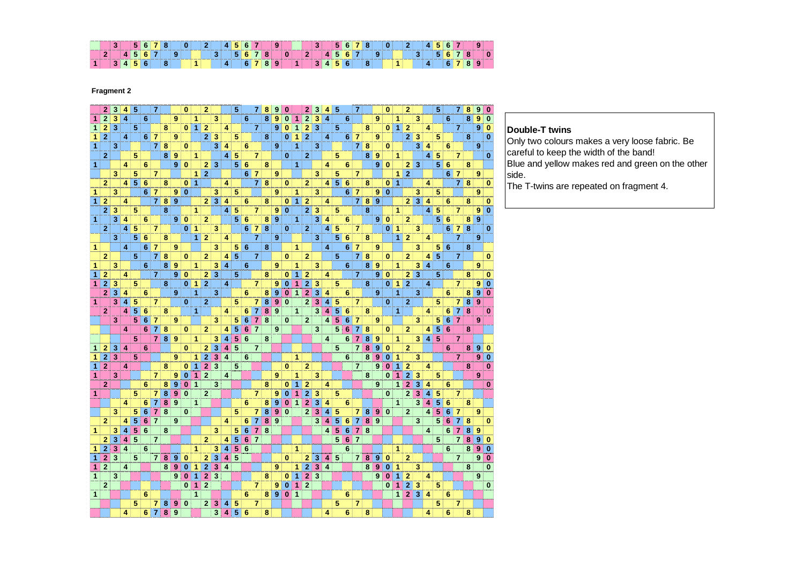| ____ |  |  |  |  | ______ |  |  |  |  |  | the property of the control of the control of the control of the control of the control of |  |  |  |  |  | ____ |  |  |  | <b>CONTRACTOR</b> |  |  |
|------|--|--|--|--|--------|--|--|--|--|--|--------------------------------------------------------------------------------------------|--|--|--|--|--|------|--|--|--|-------------------|--|--|
|      |  |  |  |  |        |  |  |  |  |  |                                                                                            |  |  |  |  |  |      |  |  |  |                   |  |  |

**Fragment 2**

|              | $\mathbf{2}$   | 3 | 41             | 5              |   | 7              |   |   | 0        |                | $\mathbf{2}$   |                |   | 5  |   | $\overline{7}$ | 8 | 9              | 0            |                      | $\mathbf{2}$   | 3 |                     | 5               |   | 7              |   |   | $\bf{0}$     |                      | $\overline{2}$ |                         |   | 5 |    |                | 8 | 9 | 0            |
|--------------|----------------|---|----------------|----------------|---|----------------|---|---|----------|----------------|----------------|----------------|---|----|---|----------------|---|----------------|--------------|----------------------|----------------|---|---------------------|-----------------|---|----------------|---|---|--------------|----------------------|----------------|-------------------------|---|---|----|----------------|---|---|--------------|
| 1            | $\overline{2}$ | 3 | 4              |                | 6 |                |   | 9 |          | 1              |                | 3              |   |    | 6 |                | 8 | 9              | $\bf{0}$     |                      | $\overline{2}$ | 3 | $\overline{4}$      |                 | 6 |                |   | 9 |              | 1                    |                | 3                       |   |   | 6  |                | 8 | 9 | $\bf{0}$     |
| 1            | $\overline{2}$ | 3 |                | 5              |   |                | 8 |   | 0        | $\mathbf{1}$   | $\overline{2}$ |                | 4 |    |   | $\overline{7}$ |   | 9              | 0            | 1                    | $\overline{2}$ | 3 |                     | 5               |   |                | 8 |   | $\mathbf{0}$ | $\blacktriangleleft$ | $\mathbf{2}$   |                         | 4 |   |    | 7              |   | 9 | $\bf{0}$     |
| 1            | $\overline{2}$ |   | 4              |                | 6 | $\overline{7}$ |   | 9 |          |                | $\overline{2}$ | $\mathbf{13}$  |   | 5  |   |                | 8 |                | $\bf{0}$     | 1                    | $\mathbf{2}$   |   | 4                   |                 | 6 | 7              |   | 9 |              |                      | $\mathbf{2}$   | 3                       |   | 5 |    |                | 8 |   | $\bf{0}$     |
| 1            |                | 3 |                |                |   | $\overline{7}$ | 8 |   | 0        |                |                | 3              | 4 |    | 6 |                |   | 9              |              | 1                    |                | 3 |                     |                 |   | $\mathbf{7}$   | 8 |   | $\bf{0}$     |                      |                | $\overline{\mathbf{3}}$ | 4 |   | 6  |                |   | 9 |              |
|              | $\overline{2}$ |   |                | 5              |   |                | 8 | 9 |          | $\mathbf{1}$   |                |                | 4 | 5  |   | 7.             |   |                | $\mathbf{0}$ |                      | $\mathbf{2}$   |   |                     | 5.              |   |                | 8 | 9 |              | 1                    |                |                         | 4 | 5 |    | 7              |   |   | 0            |
| 1            |                |   | 4              |                | 6 |                |   | 9 | $\bf{0}$ |                |                | $2 \mid 3$     |   | 5  | 6 |                | 8 |                |              | 1                    |                |   | 4                   |                 | 6 |                |   | 9 | $\bf{0}$     |                      | $\mathbf{2}$   | 3                       |   | 5 | -6 |                | 8 |   |              |
|              |                |   |                |                |   |                |   |   |          |                |                |                |   |    |   |                |   |                |              |                      |                |   |                     |                 |   |                |   |   |              |                      | $\overline{2}$ |                         |   |   |    |                |   |   |              |
|              |                | 3 |                | 5              |   | $\overline{7}$ |   |   |          | 1 <sup>1</sup> | $\overline{2}$ |                |   |    | 6 | 7              |   | 9              |              |                      |                | 3 |                     | 5               |   | 7              |   |   |              | 1                    |                |                         |   |   | 6  | 7              |   | 9 |              |
|              | 2              |   | 4              | 5 <sup>1</sup> | 6 |                | 8 |   | 0        | 1              |                |                | 4 |    |   | 7              | 8 |                | $\bf{0}$     |                      | $\mathbf{2}$   |   | 4                   | $5\phantom{.0}$ | 6 |                | 8 |   | 0            | 1                    |                |                         | 4 |   |    | 71             | 8 |   | 0            |
| 1            |                | 3 |                |                | 6 | 7              |   | 9 | 0        |                |                | 3              |   | 5  |   |                |   | 9              |              | 1                    |                | 3 |                     |                 | 6 | 7              |   | 9 | $\bf{0}$     |                      |                | 3                       |   | 5 |    |                |   | 9 |              |
| 1            | $\overline{2}$ |   | 4              |                |   | $\overline{7}$ | 8 | 9 |          |                |                | $2 \mid 3$     | 4 |    | 6 |                | 8 |                | $\bf{0}$     | $\blacktriangleleft$ | $\overline{2}$ |   | 4                   |                 |   | 7 <sup>1</sup> | 8 | 9 |              |                      |                | 2 3                     | 4 |   | 6  |                | 8 |   | 0            |
|              | $\overline{2}$ | 3 |                | 5              |   |                | 8 |   |          | 1.             |                |                | 4 | 5  |   | 7              |   | 9              | $\bf{0}$     |                      | $\mathbf{2}$   | 3 |                     | 5.              |   |                | 8 |   |              | 1                    |                |                         | 4 | 5 |    | 7              |   | 9 | $\bf{0}$     |
| 1            |                | 3 | 4              |                | 6 |                |   | 9 | $\bf{0}$ |                | 2.             |                |   | 5  | 6 |                | 8 | 9              |              | 1                    |                | 3 | 4                   |                 | 6 |                |   | 9 | $\bf{0}$     |                      | 2              |                         |   | 5 | 6  |                | 8 | 9 |              |
|              | $\overline{2}$ |   | $\vert$ 4      | 5              |   | $\overline{7}$ |   |   | 0        | 1              |                | 3              |   |    | 6 | $\mathbf{7}$   | 8 |                | $\bf{0}$     |                      | $\overline{2}$ |   | 4                   | 5               |   | $\overline{7}$ |   |   | $\bf{0}$     | $\blacktriangleleft$ |                | 3                       |   |   | 6  | $\overline{7}$ | 8 |   | $\bf{0}$     |
|              |                | 3 |                | 5              | 6 |                | 8 |   |          | 1 <sup>1</sup> | $\mathbf{2}$   |                | 4 |    |   | 7              |   | 9              |              |                      |                | 3 |                     | 5               | 6 |                | 8 |   |              | 1                    | $\mathbf{2}$   |                         | 4 |   |    | 7              |   | 9 |              |
| 1            |                |   | 4              |                | 6 | 7              |   | 9 |          |                |                | 3              |   | 5  | 6 |                | 8 |                |              | 1                    |                |   | 4                   |                 | 6 | 7              |   | 9 |              |                      |                | 3                       |   | 5 | 6  |                | 8 |   |              |
|              | $\overline{2}$ |   |                | 5              |   | $\overline{7}$ | 8 |   | 0        |                | $\mathbf{2}$   |                | 4 | -5 |   | $\overline{7}$ |   |                | $\mathbf{0}$ |                      | $\mathbf{2}$   |   |                     | 5               |   | 71             | 8 |   | $\bf{0}$     |                      | $\overline{2}$ |                         | 4 | 5 |    | $\overline{7}$ |   |   | $\bf{0}$     |
| 1            |                | 3 |                |                | 6 |                | 8 | 9 |          | 1              |                | 3              | 4 |    | 6 |                |   | 9              |              | 1                    |                | 3 |                     |                 | 6 |                | 8 | 9 |              | 1                    |                | 3                       | 4 |   | 6  |                |   | 9 |              |
|              | $\overline{2}$ |   | 4              |                |   | $\overline{7}$ |   | 9 | 0        |                | 2              | ∣ 3            |   | 5  |   |                | 8 |                | $\bf{0}$     | 1                    | $\overline{2}$ |   | 4                   |                 |   | $\overline{7}$ |   | 9 | $\bf{0}$     |                      | 2              | 3                       |   | 5 |    |                | 8 |   | 0            |
| 1            | $\overline{2}$ | 3 |                | 5              |   |                | 8 |   | 0        | $\mathbf{1}$   | $\overline{2}$ |                | 4 |    |   | $\overline{7}$ |   | 9              | $\bf{0}$     | 1                    | $\overline{2}$ | 3 |                     | 5               |   |                | 8 |   | $\mathbf{0}$ | $\mathbf{1}$         | $\overline{2}$ |                         | 4 |   |    | $\overline{7}$ |   | 9 | 0            |
|              | $\mathbf{2}$   | 3 | 4              |                | 6 |                |   | 9 |          | 1              |                | 3              |   |    | 6 |                | 8 | 9              | $\bf{0}$     | 1                    | $\mathbf{2}$   | 3 | 4                   |                 | 6 |                |   | 9 |              | 1                    |                | 3                       |   |   | 6  |                | 8 | 9 | $\bf{0}$     |
| 1            |                | 3 | 4              | 5              |   | 7              |   |   | 0        |                | $\mathbf{2}$   |                |   | 5  |   | 7              | 8 | 9              | $\bf{0}$     |                      | $\overline{2}$ | 3 | 4                   | 5               |   | 7              |   |   | 0            |                      | $\overline{2}$ |                         |   | 5 |    | 7              | 8 | 9 |              |
|              | $\mathbf{2}$   |   | $\overline{4}$ | 5              | 6 |                | 8 |   |          | $\mathbf{1}$   |                |                | 4 |    | 6 | $\overline{7}$ | 8 | 9              |              | 1                    |                | 3 | $\overline{\bf{4}}$ | 5               | 6 |                | 8 |   |              | 1                    |                |                         | 4 |   | 6  | $\overline{7}$ | 8 |   | $\bf{0}$     |
|              |                | 3 |                | 5              | 6 | 7              |   | 9 |          |                |                | 3              |   | 5  | 6 | 7              | 8 |                | 0            |                      | $\mathbf{2}$   |   | 4                   | 5               | 6 | 7              |   | 9 |              |                      |                | 3                       |   | 5 | 6  | 7              |   | 9 |              |
|              |                |   |                |                |   |                |   |   |          |                |                |                |   |    |   | $\overline{7}$ |   | 9              |              |                      |                |   |                     | 5               | 6 |                |   |   | 0            |                      | $\overline{2}$ |                         |   |   |    |                |   |   |              |
|              |                |   | 4              |                | 6 | 7              | 8 |   | 0        |                | $\mathbf{2}$   |                | 4 | 5  | 6 |                |   |                |              |                      |                | 3 |                     |                 |   | 7              | 8 |   |              |                      |                |                         | 4 | 5 | 6  |                | 8 |   |              |
|              |                |   |                | 5              |   | $\overline{7}$ | 8 | 9 |          | $\mathbf{1}$   |                | 3              | 4 | 5  | 6 |                | 8 |                |              |                      |                |   | 4                   |                 | 6 | 7              | 8 | 9 |              | 1                    |                | 3                       | 4 | 5 |    | $\overline{7}$ |   |   |              |
| 1            | 2              | 3 | 4              |                | 6 |                |   |   | 0        |                | 2              | 3              | 4 | 5  |   | $\overline{7}$ |   |                |              |                      |                |   |                     | 5               |   | 7              | 8 | 9 | $\bf{0}$     |                      | 2              |                         |   |   | 6  |                | 8 | 9 | $\Omega$     |
| 1            | $\overline{2}$ | 3 |                | 5              |   |                |   | 9 |          | 1              | $\overline{2}$ | 3              | 4 |    | 6 |                |   |                |              | 1                    |                |   |                     |                 | 6 |                | 8 | 9 |              | 1                    |                | 3                       |   |   |    | $\overline{7}$ |   | 9 | $\bf{0}$     |
| 1            | $\overline{2}$ |   | 4              |                |   |                | 8 |   | 0        | 1              | $\overline{2}$ | l 3            |   | 5  |   |                |   |                | $\bf{0}$     |                      | $\mathbf{2}$   |   |                     |                 |   | $\overline{7}$ |   | 9 | 0            | 1                    | $\overline{2}$ |                         | 4 |   |    |                | 8 |   | 0            |
| 1            |                | 3 |                |                |   | $\overline{7}$ |   | 9 | 0        | 1              | $\overline{2}$ |                | 4 |    |   |                |   | 9              |              | 1                    |                | 3 |                     |                 |   |                | 8 |   | $\bf{0}$     | 1                    | $\mathbf{2}$   | 3                       |   | 5 |    |                |   | 9 |              |
|              | $\overline{2}$ |   |                |                | 6 |                | 8 | 9 | 0        | 1              |                | 3              |   |    |   |                | 8 |                | 0            | 1                    | 2              |   | 4                   |                 |   |                |   | 9 |              | 1                    | $\overline{2}$ | 3                       |   |   | 6  |                |   |   | 0            |
| 1            |                |   |                | 5              |   | $\overline{7}$ | 8 | 9 | 0        |                | $\mathbf{2}$   |                |   |    |   | 7              |   | 9              | $\bf{0}$     | 1                    | $\overline{2}$ | 3 |                     | 5               |   |                |   |   | $\bf{0}$     |                      | $\overline{2}$ | 3                       | 4 | 5 |    | $\overline{7}$ |   |   |              |
|              |                |   | 4              |                | 6 | 7              | 8 | 9 |          | 1              |                |                |   |    | 6 |                | 8 | 9              | $\bf{0}$     | 1                    | $\mathbf{2}$   | 3 | 4                   |                 | 6 |                |   |   |              | 1                    |                | 3                       | 4 | 5 | 6  |                | 8 |   |              |
|              |                | 3 |                | 5              | 6 | 7              | 8 |   | 0        |                |                |                |   | 5  |   | $\overline{7}$ | 8 | 9              | $\bf{0}$     |                      | $\overline{2}$ | 3 | 4                   | 5               |   | 7              | 8 | 9 | $\bf{0}$     |                      | $\overline{2}$ |                         | 4 | 5 |    | 7              |   | 9 |              |
|              | $\mathbf{2}$   |   | 4              | 5              | 6 | $\overline{7}$ |   | 9 |          |                |                |                | 4 |    | 6 | 7              | 8 | 9              |              |                      |                | 3 | 4                   | 5               | 6 | 7              | 8 | 9 |              |                      |                | 3                       |   | 5 | 6  | 7              | 8 |   | 0            |
| 1            |                | 3 | 4              | 5              | 6 |                | 8 |   |          |                |                | 3              |   | 5  | 6 | 7              | 8 |                |              |                      |                |   | 4                   | $\overline{5}$  | 6 | $\overline{7}$ | 8 |   |              |                      |                |                         | 4 |   | 6  | 7              | 8 | 9 |              |
|              | $\mathbf{2}$   | 3 | 4              | 5              |   | $\overline{7}$ |   |   |          |                | 2              |                | 4 | 5  | 6 | $\overline{7}$ |   |                |              |                      |                |   |                     | $\overline{5}$  | 6 | 7              |   |   |              |                      |                |                         |   | 5 |    | 7              | 8 | 9 | 0            |
| 1            | $\overline{2}$ | 3 | 4              |                | 6 |                |   |   |          | 1.             |                | 3              | 4 | 5  | 6 |                |   |                |              | 1                    |                |   |                     |                 | 6 |                |   |   |              | 1                    |                |                         |   |   | 6  |                | 8 | 9 | 0            |
| 1            | $\overline{2}$ | 3 |                | 5              |   | $\overline{7}$ | 8 | 9 | 0        |                | $\mathbf{2}$   | 3              | 4 | 5  |   |                |   |                | $\bf{0}$     |                      | 2              | 3 | 4                   | 5               |   | 7              | 8 | 9 | $\bf{0}$     |                      | 2              |                         |   |   |    | $\overline{7}$ |   | 9 | $\bf{0}$     |
| 1            | $\overline{2}$ |   | 4              |                |   |                | 8 | 9 | 0        | 1 <sup>1</sup> | $\mathbf{2}$   | 3              | 4 |    |   |                |   | 9              |              | 1                    | $\overline{2}$ | 3 | 4                   |                 |   |                | 8 | 9 |              | 1                    |                | 3                       |   |   |    |                | 8 |   | $\mathbf{0}$ |
| $\mathbf{1}$ |                | 3 |                |                |   |                |   | 9 | $\bf{0}$ | $\mathbf{1}$   | $\overline{2}$ | $\mathbf{I}$ 3 |   |    |   |                | 8 |                | $\bf{0}$     | 1                    | $\overline{2}$ | 3 |                     |                 |   |                |   | 9 | 0            | 1                    | $\mathbf{2}$   |                         | 4 |   |    |                |   | 9 |              |
|              | $\overline{2}$ |   |                |                |   |                |   |   | 0        | $\mathbf{1}$   | $\overline{2}$ |                |   |    |   | $\overline{7}$ |   | 9 <sup>1</sup> | $\bf{0}$     | 1                    | $\overline{2}$ |   |                     |                 |   |                |   |   | 0            | 1                    | $\overline{2}$ | 3                       |   | 5 |    |                |   |   | 0            |
| 1            |                |   |                |                | 6 |                |   |   |          | 1              |                |                |   |    | 6 |                | 8 | 9 <sup>1</sup> | $\bf{0}$     | $\blacktriangleleft$ |                |   |                     |                 | 6 |                |   |   |              | $\mathbf{1}$         | $\overline{2}$ | 3                       | 4 |   | 6  |                |   |   |              |
|              |                |   |                | 5              |   | $\overline{7}$ | 8 |   | 0        |                |                |                |   |    |   | $\overline{7}$ |   |                |              |                      |                |   |                     | 5               |   | $\overline{7}$ |   |   |              |                      |                |                         |   | 5 |    | 7              |   |   |              |
|              |                |   |                |                |   |                |   | 9 |          |                | 2 <sup>1</sup> | 3              | 4 | 5  |   |                |   |                |              |                      |                |   |                     |                 |   |                |   |   |              |                      |                |                         |   |   |    |                |   |   |              |
|              |                |   | 4              |                | 6 | $\overline{7}$ | 8 | 9 |          |                |                | 3              | 4 | 5  | 6 |                | 8 |                |              |                      |                |   | 4                   |                 | 6 |                | 8 |   |              |                      |                |                         | 4 |   | 6  |                | 8 |   |              |

### **Double-T twins**

 Only two colours makes a very loose fabric. Be careful to keep the width of the band! Blue and yellow makes red and green on the other side.The T-twins are repeated on fragment 4.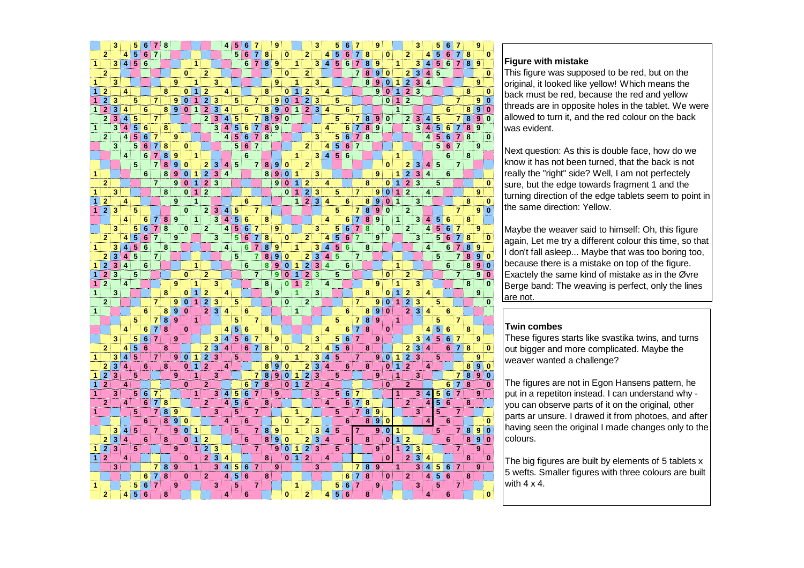|                         |                         | 3                         |                         | 5                         | 6               | 7                         | 8 |                  |          |                |                         |                           | 4                       | 5                       | 6               | 7              |   | 9                       |                |                |                         | 3                       |                         | 5                   | 6                   | 7              |   | 9 |           |   |                         | 3                                    |                         | 5                       |                 |                |   | 9              |              |
|-------------------------|-------------------------|---------------------------|-------------------------|---------------------------|-----------------|---------------------------|---|------------------|----------|----------------|-------------------------|---------------------------|-------------------------|-------------------------|-----------------|----------------|---|-------------------------|----------------|----------------|-------------------------|-------------------------|-------------------------|---------------------|---------------------|----------------|---|---|-----------|---|-------------------------|--------------------------------------|-------------------------|-------------------------|-----------------|----------------|---|----------------|--------------|
|                         | $\overline{2}$          |                           | 4                       | $\overline{5}$            | 6               | $\overline{7}$            |   |                  |          |                |                         |                           |                         | 5                       | 6               | 7              | 8 |                         | $\bf{0}$       |                | $\overline{2}$          |                         | 4                       | 5                   | 6                   | 7              | 8 |   | $\bf{0}$  |   | $\overline{2}$          |                                      | 4                       | 5                       | 6               | 7              | 8 |                | 0            |
| 1                       |                         | 3                         | $\vert$                 | $\overline{5}$            | $6\phantom{1}$  |                           |   |                  |          | 1              |                         |                           |                         |                         | 6               | $\overline{7}$ | 8 | 9                       |                | 1              |                         | 3                       | $\overline{\mathbf{4}}$ | 5                   | $6\phantom{1}6$     | $\overline{7}$ | 8 | 9 |           | 1 |                         | 3                                    | 4                       | 5                       | $6\phantom{1}$  | $\overline{7}$ | 8 | 9              |              |
|                         | $\overline{2}$          |                           |                         |                           |                 |                           |   |                  | 0        |                | $\overline{2}$          |                           |                         |                         |                 |                |   |                         | $\bf{0}$       |                | $\overline{2}$          |                         |                         |                     |                     | $\overline{7}$ | 8 | 9 | $\bf{0}$  |   | $\overline{2}$          | 3                                    | 4                       | 5                       |                 |                |   |                | 0            |
| 1                       |                         | 3                         |                         |                           |                 |                           |   | 9                |          | 1              |                         | 3                         |                         |                         |                 |                |   | 9                       |                | 1              |                         | 3                       |                         |                     |                     |                | 8 | 9 | $\bf{0}$  | 1 | $\overline{2}$          | 3                                    | $\overline{4}$          |                         |                 |                |   | 9              |              |
| 1                       | $\overline{2}$          |                           | 4                       |                           |                 |                           | 8 |                  | $\bf{0}$ | 1              | $\overline{a}$          |                           | 4                       |                         |                 |                | 8 |                         | $\bf{0}$       | 1              | $\overline{a}$          |                         | 4                       |                     |                     |                |   | 9 | $\bf{0}$  | 1 | $\overline{2}$          | 3                                    |                         |                         |                 |                | 8 |                | $\bf{0}$     |
| 1                       | $\mathbf{2}$            | 3                         |                         | 5                         |                 | $\overline{7}$            |   | 9                | $\bf{0}$ | 1              | $\overline{2}$          | 3                         |                         | 5                       |                 | $\overline{7}$ |   | 9                       | $\bf{0}$       | 1              | $\overline{\mathbf{c}}$ | 3                       |                         | 5                   |                     |                |   |   | $\bf{0}$  | 1 | $\overline{2}$          |                                      |                         |                         |                 | $\overline{7}$ |   | 9              | $\bf{0}$     |
| $\overline{1}$          | $\overline{2}$          | 3                         | 4                       |                           | 6               |                           | 8 | $\overline{9}$   | $\bf{0}$ | 1              | $\overline{2}$          | 3                         | 4                       |                         | 6               |                | 8 | 9                       | $\bf{0}$       | $\overline{1}$ | $\overline{2}$          | $\overline{3}$          | 4                       |                     | 6                   |                |   |   |           | 1 |                         |                                      |                         |                         | 6               |                | 8 | 9              | $\bf{0}$     |
|                         | $\overline{2}$          | 3                         | 4                       | 5                         |                 | 7                         |   |                  |          |                | $\overline{2}$          | 3                         | $\vert 4 \vert$         | 5                       |                 | 7              | 8 | $\overline{\mathbf{9}}$ | $\bf{0}$       |                |                         |                         |                         | 5                   |                     | 7              | 8 | 9 | $\bf{0}$  |   | $\mathbf{2}$            | 3                                    | 4                       | 5                       |                 | 7              | 8 | 9              | $\bf{0}$     |
| 1                       |                         | 3                         | 4                       | 5                         | 6               |                           | 8 |                  |          |                |                         | $\overline{\mathbf{3}}$   | 4                       | 5                       | 6               | 7              | 8 | $\overline{\mathbf{9}}$ |                |                |                         |                         | 4                       |                     | 6                   | $\overline{7}$ | 8 | 9 |           |   |                         | $\overline{\mathbf{3}}$              | 4                       | 5                       | 6               | 7              | 8 | 9              |              |
|                         | $\mathbf{2}$            |                           | 4                       | 5                         | $\overline{6}$  | 7                         |   | 9                |          |                |                         |                           | 4                       | $\overline{\mathbf{5}}$ | 6               | 7              | 8 |                         |                |                |                         | 3                       |                         | 5                   | 6                   | 7              | 8 |   |           |   |                         |                                      | $\overline{4}$          | $\overline{\mathbf{5}}$ | 6               | 7              | 8 |                | 0            |
|                         |                         | 3                         |                         | 5                         | $\bf 6$         | 7                         | 8 |                  | 0        |                |                         |                           |                         | 5                       | 6               | $\overline{7}$ |   |                         |                |                | $\overline{2}$          |                         | 4                       | $\overline{5}$      | $\overline{\bf{6}}$ | $\overline{7}$ |   |   |           |   |                         |                                      |                         | 5                       | $6\phantom{1}6$ | $\overline{7}$ |   | 9              |              |
|                         |                         |                           | 4                       |                           | 6               | $\overline{7}$            | 8 | 9                |          | 1              |                         |                           |                         |                         | 6               |                |   |                         |                | 1              |                         | 3                       | $\overline{4}$          | 5                   | $6\phantom{1}6$     |                |   |   |           | 1 |                         |                                      |                         |                         | 6               |                | 8 |                |              |
|                         |                         |                           |                         | 5                         |                 | $\overline{7}$            | 8 | 9                | 0        |                | $\overline{\mathbf{2}}$ | 3                         | 4                       | 5                       |                 | 7              | 8 | 9                       | 0              |                | $\overline{2}$          |                         |                         |                     |                     |                |   |   | $\bf{0}$  |   | 2                       | 3                                    | 4                       | 5                       |                 | $\overline{7}$ |   |                |              |
| 1                       |                         |                           |                         |                           | 6               |                           | 8 | 9                | $\bf{0}$ | 1              | $\overline{\mathbf{2}}$ | 3                         | 4                       |                         |                 |                | 8 | $\overline{\mathbf{9}}$ | $\bf{0}$       | 1              |                         | 3                       |                         |                     |                     |                |   | 9 |           | 1 | $\overline{2}$          | $\overline{\overline{\overline{3}}}$ | $\overline{4}$          |                         | $6\phantom{1}6$ |                |   |                |              |
|                         | $\overline{2}$          |                           |                         |                           |                 | $\overline{7}$            |   | 9                | $\bf{0}$ | 1              | $\overline{\mathbf{2}}$ | 3                         |                         |                         |                 |                |   | 9                       | $\bf{0}$       | 1              | $\overline{\mathbf{c}}$ |                         | 4                       |                     |                     |                | 8 |   | $\bf{0}$  | 1 | $\overline{\mathbf{2}}$ | $\overline{\overline{\overline{3}}}$ |                         | 5                       |                 |                |   |                | 0            |
| 1                       |                         | 3                         |                         |                           |                 |                           | 8 |                  | $\bf{0}$ | 1              | $\overline{2}$          |                           |                         |                         |                 |                |   |                         | $\bf{0}$       | 1              |                         | 3                       |                         | 5                   |                     | 7              |   | 9 | $\bf{0}$  | 1 | $\overline{2}$          |                                      | 4                       |                         |                 |                |   | 9              |              |
| $\overline{1}$          | $\overline{a}$          |                           | 4                       |                           |                 |                           |   | 9                |          | $\overline{1}$ |                         |                           |                         |                         | 6               |                |   |                         |                | $\overline{1}$ | $\frac{2}{2}$           | $\overline{\mathbf{3}}$ | 4                       |                     | 6                   |                | 8 | 9 | $\bf{0}$  | 1 |                         | 3                                    |                         |                         |                 |                | 8 |                | $\bf{0}$     |
| 1                       | $\overline{2}$          | 3                         |                         | 5                         |                 |                           |   |                  | $\bf{0}$ |                | $\overline{2}$          | 3                         | 4                       | 5                       |                 | $\overline{7}$ |   |                         |                |                |                         |                         |                         | 5                   |                     | $\overline{7}$ | 8 | 9 | $\bf{0}$  |   | $\overline{2}$          |                                      |                         |                         |                 | $\overline{7}$ |   | 9              | $\bf{0}$     |
|                         |                         |                           | 4                       |                           | 6               | 7                         | 8 | 9                |          | 1              |                         | 3                         | $\overline{\mathbf{4}}$ | 5                       | 6               |                | 8 |                         |                |                |                         |                         | 4                       |                     | 6                   | 7              | 8 | 9 |           | 1 |                         | 3                                    | 4                       | 5                       | 6               |                | 8 |                |              |
|                         |                         | 3                         |                         | 5                         | $6\phantom{1}6$ | $\overline{7}$            | 8 |                  | $\bf{0}$ |                | $\overline{2}$          |                           | 4                       | 5                       | 6               | 7              |   | 9                       |                |                |                         | 3                       |                         | 5                   | 6                   | $\overline{7}$ | 8 |   | $\bf{0}$  |   | $\mathbf{2}$            |                                      | $\overline{4}$          | 5                       | 6               | $\overline{7}$ |   | 9              |              |
|                         | $\overline{2}$          |                           | 4                       |                           | $\overline{6}$  | $\overline{7}$            |   | 9                |          |                |                         | 3                         |                         | 5                       | 6               | 7              | 8 |                         | 0              |                | $\overline{2}$          |                         | 4                       | $\overline{5}$      | $6\phantom{1}6$     | 7              |   | 9 |           |   |                         | 3                                    |                         | $\overline{5}$          | $6\phantom{1}6$ | 7              | 8 |                | 0            |
| 1                       |                         | 3                         | 4                       | $\frac{1}{5}$             | $\overline{6}$  |                           | 8 |                  |          |                |                         |                           | 4                       |                         | 6               | $\overline{7}$ | 8 | 9                       |                | 1              |                         | 3                       | 4                       | $\overline{\bf{5}}$ | $\overline{6}$      |                | 8 |   |           |   |                         |                                      | 4                       |                         | $6\phantom{1}6$ | $\overline{7}$ | 8 | 9              |              |
|                         | $\overline{\mathbf{2}}$ |                           | $\overline{\mathbf{4}}$ | $\overline{5}$            |                 | $\overline{7}$            |   |                  |          |                |                         |                           |                         | 5                       |                 | $\overline{7}$ | 8 | 9                       | $\bf{0}$       |                | $\overline{a}$          | $\overline{\mathbf{3}}$ | $\overline{\mathbf{4}}$ | $\overline{5}$      |                     | $\overline{7}$ |   |   |           |   |                         |                                      |                         | 5                       |                 | $\overline{7}$ | 8 | $\overline{9}$ | $\bf{0}$     |
| 1                       | $\overline{2}$          | 3                         | 4                       |                           | 6               |                           |   |                  |          | 1              |                         |                           |                         |                         | 6               |                | 8 | 9                       | $\bf{0}$       | 1              | $\overline{2}$          | 3                       | 4                       |                     | 6                   |                |   |   |           | 1 |                         |                                      |                         |                         | 6               |                | 8 | $\overline{9}$ | $\bf{0}$     |
| $\overline{1}$          | $\overline{2}$          | 3                         |                         | 5                         |                 |                           |   |                  | 0        |                | $\overline{2}$          |                           |                         |                         |                 | $\overline{7}$ |   | 9                       | $\mathbf{0}$   | $\overline{1}$ | $\overline{2}$          | 3                       |                         | 5                   |                     |                |   |   | $\bf{0}$  |   | $\overline{2}$          |                                      |                         |                         |                 | $\overline{7}$ |   | 9              | $\mathbf 0$  |
| 1                       | $\overline{2}$          |                           | 4                       |                           |                 |                           |   | 9                |          | 1              |                         | 3                         |                         |                         |                 |                | 8 |                         | $\overline{0}$ | 1              | $\overline{2}$          |                         | 4                       |                     |                     |                |   | 9 |           | 1 |                         | 3                                    |                         |                         |                 |                | 8 |                | $\mathbf{0}$ |
| $\mathbf{1}$            |                         | 3                         |                         |                           |                 |                           | 8 |                  | 0        | 1              | $\overline{2}$          |                           | 4                       |                         |                 |                |   | 9                       |                | $\overline{1}$ |                         | 3                       |                         |                     |                     |                | 8 |   | $\bf{0}$  | 1 | $\overline{2}$          |                                      | 4                       |                         |                 |                |   | 9              |              |
|                         | $\mathbf{2}$            |                           |                         |                           |                 | $\overline{7}$            |   | 9                | $\bf{0}$ | 1              | $\overline{2}$          | 3                         |                         | 5                       |                 |                |   |                         | $\bf{0}$       |                | $\mathbf{2}$            |                         |                         |                     |                     | 7              |   | 9 | $\bf{0}$  | 1 | $\overline{2}$          | 3                                    |                         | 5                       |                 |                |   |                | 0            |
| $\mathbf{1}$            |                         |                           |                         |                           | 6               |                           | 8 | 9                | $\bf{0}$ |                | $\overline{2}$          |                           | 4                       |                         | 6               |                |   |                         |                | 1              |                         |                         |                         |                     | 6                   |                | 8 | 9 | $\bf{0}$  |   | $\overline{2}$          |                                      | 4                       |                         | 6               |                |   |                |              |
|                         |                         |                           |                         | 5                         |                 | $\overline{7}$            | 8 | 9                |          | 1              |                         |                           |                         | 5                       |                 | $\overline{7}$ |   |                         |                |                |                         |                         |                         | 5                   |                     | $\overline{7}$ | 8 | 9 |           | 1 |                         |                                      |                         | 5                       |                 | $\overline{7}$ |   |                |              |
|                         |                         |                           | 4                       |                           | 6               | $\overline{\overline{7}}$ | 8 |                  | $\bf{0}$ |                |                         |                           | 4                       | 5                       | 6               |                | 8 |                         |                |                |                         |                         | 4                       |                     | 6                   | 7              | 8 |   | 0         |   |                         |                                      | 4                       | 5                       | $6\phantom{1}6$ |                | 8 |                |              |
|                         |                         | 3                         |                         | 5                         | 6               | $\overline{7}$            |   | 9                |          |                |                         | 3                         | 4                       | 5                       | 6               | 7              |   | 9                       |                |                |                         | 3                       |                         | 5                   | 6                   | $\overline{7}$ |   | 9 |           |   |                         | 3                                    | 4                       | 5                       | $6\phantom{1}6$ | 7              |   | 9              |              |
|                         | $\overline{2}$          |                           | 4                       | $\overline{5}$            | 6               |                           | 8 |                  |          |                | $\overline{2}$          | $\overline{\overline{3}}$ | $\overline{\mathbf{4}}$ |                         | $6\phantom{1}$  | $\overline{7}$ | 8 |                         | 0              |                | $\overline{2}$          |                         | 4                       | $\overline{5}$      | $6\phantom{1}$      |                | 8 |   |           |   | 2                       | $\overline{\overline{3}}$            | $\overline{\mathbf{4}}$ |                         | $6\phantom{1}6$ | $\overline{7}$ | 8 |                | 0            |
| $\mathbf{1}$            |                         | 3                         | 4                       | $\overline{\overline{5}}$ |                 | $\overline{7}$            |   | 9                | $\bf{0}$ | 1              | $\overline{2}$          | $\overline{\overline{3}}$ |                         | 5                       |                 |                |   | 9                       |                | 1              |                         | 3                       | 4                       | $\overline{5}$      |                     | $\overline{7}$ |   | 9 | $\pmb{0}$ | 1 | $\overline{2}$          | $\overline{\overline{3}}$            |                         | 5                       |                 |                |   | 9              |              |
|                         | 2                       | $\overline{\mathbf{3}}$   | $\overline{\mathbf{A}}$ |                           | 6               |                           | 8 |                  | $\bf{0}$ | 1              | $\overline{2}$          |                           | 4                       |                         |                 |                | 8 | 9                       | $\bf{0}$       |                | $\overline{2}$          | $\overline{\mathbf{3}}$ | $\overline{4}$          |                     | 6                   |                | 8 |   | $\bf{0}$  | 1 | $\overline{2}$          |                                      | 4                       |                         |                 |                | 8 | 9              | 0            |
| 1                       | $\overline{2}$          | 3                         |                         | 5                         |                 |                           |   | 9                |          | 1              |                         | 3                         |                         |                         |                 | $\overline{7}$ | 8 | 9                       | $\bf{0}$       | 1              | $\overline{\mathbf{c}}$ | 3                       |                         | 5                   |                     |                |   | 9 |           | 1 |                         | 3                                    |                         |                         |                 | $\overline{7}$ | 8 | 9              | $\bf{0}$     |
| $\overline{1}$          | $\overline{2}$          |                           | 4                       |                           |                 |                           |   |                  | 0        |                | $\overline{2}$          |                           |                         |                         | 6               | 7              | 8 |                         | $\bf{0}$       | $\mathbf{1}$   | $\overline{2}$          |                         | 4                       |                     |                     |                |   |   | $\bf{0}$  |   | $\overline{2}$          |                                      |                         |                         | 6               | 7              | 8 |                | $\bf{0}$     |
| 1                       |                         | 3                         |                         | 5                         | 6               | 7                         |   |                  |          | 1              |                         | 3                         | $\vert 4 \vert$         | 5                       | 6               | 7              |   | 9                       |                |                |                         | 3                       |                         | 5                   | $6\phantom{1}6$     | 7              |   |   |           | 1 |                         | 3                                    | 4                       | 5                       | 6               | $\overline{7}$ |   | 9              |              |
|                         | $\mathbf{2}$            |                           | 4                       |                           | 6               | 7                         | 8 |                  |          |                | $\overline{2}$          |                           | $\overline{4}$          | $\overline{5}$          | $6\phantom{1}6$ |                | 8 |                         |                |                |                         |                         | 4                       |                     | $6\phantom{1}$      | 7              | 8 |   |           |   | $\overline{2}$          |                                      | $\overline{4}$          | 5                       | $6\phantom{1}6$ |                | 8 |                |              |
| $\mathbf{1}$            |                         |                           |                         | 5                         |                 | $\overline{7}$            | 8 | 9                |          |                |                         | 3                         |                         | 5                       |                 | $\overline{7}$ |   |                         |                | 1              |                         |                         |                         | 5                   |                     | $\overline{7}$ | 8 | 9 |           |   |                         | 3                                    |                         | 5                       |                 | $\overline{7}$ |   |                |              |
|                         |                         |                           |                         |                           | 6               |                           | 8 | $\boldsymbol{9}$ | 0        |                |                         |                           | 4                       |                         | 6               |                |   |                         | $\bf{0}$       |                | $\overline{2}$          |                         |                         |                     | 6                   |                | 8 | 9 | $\bf{0}$  |   |                         |                                      | 4                       |                         | $6\phantom{1}6$ |                |   |                | $\bf{0}$     |
|                         |                         | 3                         | 4                       | 5                         |                 | $\overline{7}$            |   | 9                | $\bf{0}$ | 1              |                         |                           |                         | 5                       |                 | 7              | 8 | 9                       |                | 1              |                         | 3                       | 4                       | 5                   |                     | 7              |   | 9 | $\bf{0}$  | 1 |                         |                                      |                         | 5                       |                 | $\overline{7}$ | 8 | 9              | $\bf{0}$     |
|                         | 2                       | 3                         | 4                       |                           | 6               |                           | 8 |                  | 0        | 1              | $\overline{2}$          |                           |                         |                         | 6               |                | 8 | 9                       | $\bf{0}$       |                | $\mathbf{2}$            | 3                       | 4                       |                     | 6                   |                | 8 |   | 0         | 1 | $\overline{2}$          |                                      |                         |                         | 6               |                | 8 | 9              | $\bf{0}$     |
| 1                       | $\overline{2}$          | $\overline{\overline{3}}$ |                         | 5                         |                 |                           |   | 9                |          | 1              | $\overline{2}$          | 3                         |                         |                         |                 | 7              |   | $\overline{9}$          | $\bf{0}$       | 1              | $\overline{2}$          | 3                       |                         | 5                   |                     |                |   | 9 |           | 1 | $\overline{2}$          | 3                                    |                         |                         |                 | 7              |   | 9              |              |
| $\overline{\mathbf{1}}$ | $\overline{\mathbf{c}}$ |                           | 4                       |                           |                 |                           |   |                  | $\bf{0}$ |                | $\overline{2}$          | $\overline{\mathbf{3}}$   | 4                       |                         |                 |                | 8 |                         | $\mathbf{0}$   | $\mathbf{1}$   | $\overline{2}$          |                         | 4                       |                     |                     |                |   |   | $\bf{0}$  |   | $\overline{\mathbf{2}}$ | $\overline{\mathbf{3}}$              | 4                       |                         |                 |                | 8 |                | $\bf{0}$     |
|                         |                         | 3                         |                         |                           |                 | 7                         | 8 | 9                |          | 1              |                         | 3                         | 4                       | 5                       | $6\phantom{1}6$ | 7              |   | 9                       |                |                |                         | 3                       |                         |                     |                     | 71             | 8 | 9 |           | 1 |                         | 3                                    | 4                       | 5                       | $\overline{6}$  | $\overline{7}$ |   | 9              |              |
|                         |                         |                           |                         |                           | 6               | $\overline{7}$            | 8 |                  | 0        |                | $\overline{2}$          |                           | 4                       | 5                       | $6\phantom{1}6$ |                | 8 |                         |                |                |                         |                         |                         |                     | 6                   | 7              | 8 |   | $\bf{0}$  |   | $\mathbf{2}$            |                                      | $\overline{4}$          | 5                       | $6\phantom{1}6$ |                | 8 |                |              |
| 1                       |                         |                           |                         | 5                         | 6               | $\overline{7}$            |   | 9                |          |                |                         | 3                         |                         | 5                       |                 | 7              |   |                         |                | 1              |                         |                         |                         | 5                   | 6                   | $\overline{7}$ |   | 9 |           |   |                         | 3                                    |                         | 5                       |                 | $\overline{7}$ |   |                |              |
|                         | $\mathbf{2}$            |                           | 4                       | $\overline{5}$            | 6               |                           | 8 |                  |          |                |                         |                           | 4                       |                         | 6               |                |   |                         | 0              |                | 2                       |                         | 4                       | 5                   | 6                   |                | 8 |   |           |   |                         |                                      |                         |                         | 6               |                |   |                |              |
|                         |                         |                           |                         |                           |                 |                           |   |                  |          |                |                         |                           |                         |                         |                 |                |   |                         |                |                |                         |                         |                         |                     |                     |                |   |   |           |   |                         |                                      |                         |                         |                 |                |   |                |              |

# **Figure with mistake**

 This figure was supposed to be red, but on the original, it looked like yellow! Which means the back must be red, because the red and yellow threads are in opposite holes in the tablet. We were allowed to turn it, and the red colour on the back was evident.

Next question: As this is double face, how do we know it has not been turned, that the back is not really the "right" side? Well, I am not perfectely sure, but the edge towards fragment 1 and the turning direction of the edge tablets seem to point in the same direction: Yellow.

Maybe the weaver said to himself: Oh, this figure again, Let me try a different colour this time, so that I don't fall asleep... Maybe that was too boring too, because there is a mistake on top of the figure. Exactely the same kind of mistake as in the Øvre Berge band: The weaving is perfect, only the lines are not.

### **Twin combes**

 These figures starts like svastika twins, and turnsout bigger and more complicated. Maybe the weaver wanted a challenge?

The figures are not in Egon Hansens pattern, he put in a repetiton instead. I can understand why you can observe parts of it on the original, other parts ar unsure. I drawed it from photoes, and after having seen the original I made changes only to thecolours.

The big figures are built by elements of 5 tablets x 5 wefts. Smaller figures with three colours are built with  $4 \times 4$ .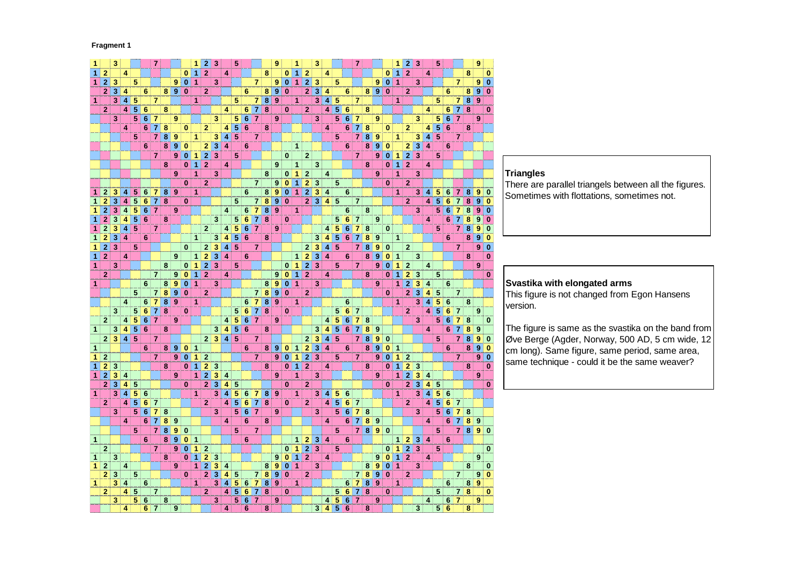#### **Fragment 1**

| 1                    |                | 3 |                         |   |                      | $\overline{7}$            |                         |                  |              | 1                    | $\mathbf{2}$   | 3                       |                         | 5              |                      |                |                         | 9                          |          |                |                | 3                         |                         |                         |                      |                |        |                  |          | 1              | 2                       | 3                                    |                         | 5      |                 |                |                         | 9                |                         |
|----------------------|----------------|---|-------------------------|---|----------------------|---------------------------|-------------------------|------------------|--------------|----------------------|----------------|-------------------------|-------------------------|----------------|----------------------|----------------|-------------------------|----------------------------|----------|----------------|----------------|---------------------------|-------------------------|-------------------------|----------------------|----------------|--------|------------------|----------|----------------|-------------------------|--------------------------------------|-------------------------|--------|-----------------|----------------|-------------------------|------------------|-------------------------|
| 1                    | $\overline{2}$ |   | 4                       |   |                      |                           |                         |                  | 0            | 1                    | $\overline{2}$ |                         | 4                       |                |                      |                | 8                       |                            | $\bf{0}$ |                | $\overline{2}$ |                           | 4                       |                         |                      |                |        |                  | $\bf{0}$ | 1              | $\overline{2}$          |                                      | 4                       |        |                 |                | 8                       |                  | 0                       |
| $\mathbf{1}$         | $\overline{2}$ | 3 |                         | 5 |                      |                           |                         | 9                | $\bf{0}$     | $\overline{1}$       |                | 3                       |                         |                |                      | $\overline{7}$ |                         | 9                          | $\bf{0}$ | 1              | $\overline{2}$ | 3                         |                         | 5                       |                      |                |        | 9                | $\bf{0}$ | $\overline{1}$ |                         | 3                                    |                         |        |                 | $\overline{7}$ |                         | $\pmb{9}$        | $\overline{\mathbf{0}}$ |
|                      | $\mathbf 2$    | 3 | 4                       |   | 6                    |                           | 8                       | 9                | $\bf{0}$     |                      | $\overline{2}$ |                         |                         |                | 6                    |                | 8                       | 9                          | $\bf{0}$ |                | $\mathbf{z}$   | 3                         | 4                       |                         | 6                    |                | 8      | $\boldsymbol{9}$ | $\bf{0}$ |                | 2                       |                                      |                         |        | 6               |                | 8                       | $\overline{9}$   | $\overline{\mathbf{0}}$ |
| $\mathbf{1}$         |                | 3 | 4                       | 5 |                      | $\overline{7}$            |                         |                  |              | 1                    |                |                         |                         | 5              |                      | $\overline{7}$ | 8                       | ੈ 9                        |          | 1              |                | 3                         | 4                       | 5                       |                      | $\overline{7}$ |        |                  |          | 1              |                         |                                      |                         | 5      |                 | 7              | 8                       | $\overline{9}$   |                         |
|                      | $\overline{2}$ |   | 4                       | 5 |                      |                           | 8                       |                  |              |                      |                |                         | 4                       |                |                      | $\overline{7}$ | 8                       |                            | 0        |                |                |                           | 4                       | $\overline{\mathbf{5}}$ |                      |                | 8      |                  |          |                |                         |                                      | 4                       |        |                 | $\overline{7}$ | $\overline{\mathbf{8}}$ |                  |                         |
|                      |                | 3 |                         | 5 | 6<br>$6\phantom{1}6$ | $\overline{7}$            |                         | 9                |              |                      |                | 3                       |                         | 5              | 6<br>$6\phantom{1}6$ | $\overline{7}$ |                         | 9                          |          |                | 2              | 3                         |                         | 5                       | 6<br>$6\phantom{1}6$ | $\overline{7}$ |        | 9                |          |                |                         | 3                                    |                         | 5      | 6<br>6          | $\overline{7}$ |                         | 9                | 0                       |
|                      |                |   |                         |   | 6                    | $\overline{7}$            |                         |                  |              |                      |                |                         |                         | $\overline{5}$ | $\overline{6}$       |                |                         |                            |          |                |                |                           |                         |                         | 6                    | $\overline{7}$ |        |                  |          |                |                         |                                      |                         |        | $6\phantom{1}6$ |                | 8                       |                  |                         |
|                      |                |   | 4                       |   |                      | $\overline{7}$            | 8<br>8                  |                  | 0            |                      | $\overline{2}$ | 3                       | 4<br>$\overline{\bf 4}$ | 5              |                      | $\overline{7}$ | 8                       |                            |          |                |                |                           | 4                       | 5                       |                      | $\overline{7}$ | 8<br>8 |                  | $\bf{0}$ |                | 2                       |                                      | 4                       | 5<br>5 |                 | $\overline{7}$ |                         |                  |                         |
|                      |                |   |                         | 5 |                      |                           | $\overline{\mathbf{8}}$ | 9                |              | 1                    |                |                         |                         |                |                      |                |                         |                            |          |                |                |                           |                         |                         |                      |                |        | 9                |          | 1              |                         | 3                                    | $\overline{\mathbf{4}}$ |        |                 |                |                         |                  |                         |
|                      |                |   |                         |   | 6                    |                           |                         | 9                | 0            |                      | $\overline{2}$ | 3                       | 4                       |                | 6                    |                |                         |                            |          | $\overline{1}$ |                |                           |                         |                         | 6                    |                | 8      | 9                | $\bf{0}$ |                | $\overline{2}$          | $\overline{\overline{3}}$            | $\overline{\mathbf{4}}$ |        | 6               |                |                         |                  |                         |
|                      |                |   |                         |   |                      | $\overline{7}$            |                         | 9                | 0            | 1                    | $\overline{2}$ | $\overline{\mathbf{3}}$ |                         | 5              |                      |                |                         |                            | $\bf{0}$ |                | 2              |                           |                         |                         |                      | $\overline{7}$ |        | 9                | $\bf{0}$ | 1              | $\overline{2}$          | $\overline{\overline{\overline{3}}}$ |                         | 5      |                 |                |                         |                  |                         |
|                      |                |   |                         |   |                      |                           | 8                       |                  | $\mathbf{0}$ | $\mathbf{1}$         | $\overline{2}$ |                         | 4                       |                |                      |                |                         | 9                          |          | 1              |                | 3                         |                         |                         |                      |                | 8      |                  | $\bf{0}$ | $\overline{1}$ | $\overline{2}$          |                                      | 4                       |        |                 |                |                         |                  |                         |
|                      |                |   |                         |   |                      |                           |                         | 9                |              | 1                    |                | 3                       |                         |                |                      |                | 8                       |                            | 0        | 1              | $\mathbf{2}$   |                           | 4                       |                         |                      |                |        | 9                |          | $\overline{1}$ |                         | 3                                    |                         |        |                 |                |                         |                  |                         |
|                      |                |   |                         |   |                      |                           |                         |                  | $\bf{0}$     |                      | $\overline{2}$ |                         |                         |                |                      | $\overline{7}$ |                         | 9                          | $\bf{0}$ | 1              | 2              | 3                         |                         | 5                       |                      |                |        |                  | $\bf{0}$ |                | $\overline{2}$          |                                      |                         |        |                 |                |                         |                  |                         |
| 1                    | 2              | 3 | 4                       | 5 | 6                    | $\overline{7}$            | 8                       | 9                |              | 1                    |                |                         |                         |                | 6                    |                | 8                       | 9                          | $\bf{0}$ | $\overline{1}$ | $\mathbf 2$    | $\overline{\mathbf{3}}$   | 4                       |                         | 6                    |                |        |                  |          | 1              |                         | 3                                    | 4                       | 5      | 6               | 7              | 8                       | 9                | $\bf{0}$                |
|                      | $\overline{2}$ | 3 | 4                       | 5 | 6                    | 7                         | 8                       |                  | $\bf{0}$     |                      |                |                         |                         | 5              |                      | $\overline{7}$ | $\overline{\mathbf{8}}$ | 9                          | $\bf{0}$ |                | $\overline{2}$ |                           | 4                       | 5                       |                      | $\overline{7}$ |        |                  |          |                | $\overline{2}$          |                                      | 4                       | 5      | 6               | 7              | 8                       | $\boldsymbol{9}$ | $\bf{0}$                |
| $\mathbf{1}$         | 2              | 3 | 4                       | 5 | 6                    | $\overline{7}$            |                         | 9                |              |                      |                |                         | 4                       |                | 6                    | $\overline{7}$ | 8                       | 9                          |          | $\overline{1}$ |                |                           |                         |                         | 6                    |                | 8      |                  |          |                |                         | 3                                    |                         | 5      | 6               | 7              | 8                       | 9                | $\bf{0}$                |
| 1                    | $\overline{2}$ | 3 | 4                       | 5 | 6                    |                           | 8                       |                  |              |                      |                | 3                       |                         | 5              | $6\phantom{1}6$      | 71             | 8                       |                            | 0        |                |                |                           |                         | 5                       | $6\phantom{1}6$      | $\overline{7}$ |        | 9                |          |                |                         |                                      | 4                       |        | 6               | 7              | 8                       | 9                | $\mathbf{0}$            |
| $\mathbf{1}$         | $\overline{2}$ | 3 | 4                       | 5 |                      | $\overline{7}$            |                         |                  |              |                      | $\overline{2}$ |                         | 4                       | 5              | $\frac{6}{6}$        | $\overline{7}$ |                         | 9                          |          |                |                |                           | 4                       |                         | $6\phantom{1}6$      | $\overline{7}$ | 8      |                  | $\bf{0}$ |                |                         |                                      |                         | 5      |                 | $\overline{7}$ | 8                       | 9                | $\bf{0}$                |
| $\overline{1}$       | $\overline{2}$ | 3 | 4                       |   | 6                    |                           |                         |                  |              | $\mathbf{1}$         |                | 3                       | 4                       | $\overline{5}$ |                      |                | 8                       |                            |          |                |                | $\overline{\mathbf{3}}$   | $\overline{\mathbf{4}}$ | $\frac{5}{5}$           | $6\phantom{1}$       | 7              | 8      | 9                |          | 1              |                         |                                      |                         |        | 6               |                | 8                       | $\overline{9}$   | $\overline{\mathbf{0}}$ |
| $\mathbf{1}$         | $\frac{2}{2}$  | 3 |                         | 5 |                      |                           |                         |                  | $\bf{0}$     |                      | $\mathbf{2}$   | $\overline{\mathbf{3}}$ | $\overline{\mathbf{4}}$ | 5              |                      | $\overline{7}$ |                         |                            |          |                | $\mathbf{2}$   | $\frac{3}{3}$             | $\overline{4}$          |                         |                      | $\overline{7}$ | 8      | 9                | 0        |                | 2                       |                                      |                         |        |                 | $\overline{7}$ |                         | 9                | $\mathbf 0$             |
| $\mathbf{1}$         |                |   | 4                       |   |                      |                           |                         | 9                |              | $\mathbf{1}$         | $\overline{2}$ | 3                       | 4                       |                | 6                    |                |                         |                            |          | $\mathbf 1$    | 2              |                           | $\overline{\mathbf{4}}$ |                         | 6                    |                | 8      | 9                | 0        | 1              |                         | 3                                    |                         |        |                 |                | 8                       |                  | $\overline{\mathbf{0}}$ |
| $\mathbf{1}$         |                | 3 |                         |   |                      |                           | 8                       |                  | 0            | 1                    | $\overline{2}$ | 3                       |                         | 5              |                      |                |                         |                            | $\bf{0}$ | 1              | $\mathbf 2$    | 3                         |                         | 5                       |                      | 7              |        | 9                | 0        | 1              | 2                       |                                      | 4                       |        |                 |                |                         | 9                |                         |
|                      | $\mathbf{2}$   |   |                         |   |                      | $\overline{7}$            |                         | 9                | 0            | $\mathbf{1}$         | $\overline{2}$ |                         | 4                       |                |                      |                |                         | 9                          | $\bf{0}$ | 1              | $\mathbf 2$    |                           | 4                       |                         |                      |                | 8      |                  | 0        | 1              | 2                       | 3                                    |                         | 5      |                 |                |                         |                  | 0                       |
| $\mathbf{1}$         |                |   |                         |   | 6                    |                           | 8                       | $\boldsymbol{9}$ | $\bf{0}$     | $\blacktriangleleft$ |                | 3                       |                         |                |                      |                | 8                       | $\overline{\phantom{a}}$ 9 | $\bf{0}$ | 1              |                | 3                         |                         |                         |                      |                |        | 9                |          | 1              | $\overline{2}$          | $\mathbf 3$                          | 4                       |        | 6               |                |                         |                  |                         |
|                      |                |   |                         | 5 |                      | 7                         | 8                       | $\boldsymbol{9}$ | $\bf{0}$     |                      | $\overline{2}$ |                         |                         |                |                      | $\mathbf{7}$   | 8                       | $\boldsymbol{9}$           | $\bf{0}$ |                | $\overline{2}$ |                           |                         |                         |                      |                |        |                  | $\bf{0}$ |                | $\overline{\mathbf{2}}$ | $\overline{\mathbf{3}}$              | 4                       | 5      |                 | $\overline{7}$ |                         |                  |                         |
|                      |                |   | 4                       |   | 6                    | $\overline{7}$            | 8                       | 9                |              | 1                    |                |                         |                         |                | 6                    | 7              | 8                       | $\overline{9}$             |          | $\mathbf 1$    |                |                           |                         |                         | 6                    |                |        |                  |          | 1              |                         | 3                                    | 4                       | 5      | 6               |                | 8                       |                  |                         |
|                      |                | 3 |                         | 5 | $6\phantom{1}6$      | $\overline{\overline{7}}$ | $\overline{\mathbf{8}}$ |                  | $\bf{0}$     |                      |                |                         |                         | 5              | $6\phantom{1}6$      | 7              | $\overline{\mathbf{8}}$ |                            | $\bf{0}$ |                |                |                           |                         | 5                       | 6                    | 7              |        |                  |          |                | $\overline{2}$          |                                      | 4                       | 5      | 6               | 7              |                         | 9                |                         |
|                      | $\mathbf{2}$   |   | 4                       | 5 | $6\phantom{1}6$      | $\overline{7}$            |                         | $\boldsymbol{9}$ |              |                      |                |                         | 4                       | 5              | 6                    | $\overline{7}$ |                         | 9                          |          |                |                |                           | 4                       | $\overline{\mathbf{5}}$ | $\bf 6$              | 7              | 8      |                  |          |                |                         | 3                                    |                         | 5      | 6               | 7              | 8                       |                  | 0                       |
| $\mathbf{1}$         |                | 3 | 4                       | 5 | 6                    |                           | 8                       |                  |              |                      |                | $\mathbf 3$             | 4                       | $\overline{5}$ | $\overline{6}$       |                | 8                       |                            |          |                |                | 3                         | 4                       | $\overline{5}$          | $6\phantom{1}6$      | 7              | 8      | 9                |          |                |                         |                                      | 4                       |        | 6               | 7              | 8                       | 9                |                         |
|                      | 2              | 3 | $\overline{\mathbf{4}}$ | 5 |                      | $\overline{7}$            |                         |                  |              |                      | $\mathbf{2}$   | 3                       | 4                       | 5              |                      | 7              |                         |                            |          |                | 2              | 3                         | $\overline{4}$          | $\overline{5}$          |                      | $\overline{7}$ | 8      | 9                | 0        |                |                         |                                      |                         | 5      |                 | 7              | 8                       | 9                | 0                       |
| $\blacktriangleleft$ |                |   |                         |   | 6                    |                           | 8                       | 9                | $\bf{0}$     | $\mathbf{1}$         |                |                         |                         |                | 6                    |                |                         | 8 <sup>8</sup>             | $\bf{0}$ | 1              | $\overline{2}$ | $\overline{\overline{3}}$ | $\overline{\mathbf{4}}$ |                         | 6                    |                | 8      | 9                | $\bf{0}$ | 1              |                         |                                      |                         |        | 6               |                | 8                       | 9                | $\bf{0}$                |
| 1                    | $\mathbf{2}$   |   |                         |   |                      | 7                         |                         | 9                | $\bf{0}$     | 1                    | $\overline{2}$ |                         |                         |                |                      | 7              |                         | 9                          | $\bf{0}$ | 1              | $\mathbf{2}$   | 3                         |                         | 5                       |                      | 7              |        | 9                | 0        | 1              | 2                       |                                      |                         |        |                 | 7              |                         | 9                | $\bf{0}$                |
| 1                    | 2              | 3 |                         |   |                      |                           | 8                       |                  | $\bf{0}$     | 1                    | $\overline{2}$ | 3                       |                         |                |                      |                | 8                       |                            | 0        | 1              | $\overline{2}$ |                           | 4                       |                         |                      |                | 8      |                  | $\bf{0}$ | 1              | 2                       | 3                                    |                         |        |                 |                | 8                       |                  | $\bf{0}$                |
| $\mathbf{1}$         | $\overline{2}$ | 3 | 4                       |   |                      |                           |                         | 9                |              | 1                    | $\overline{2}$ | 3                       | 4                       |                |                      |                |                         | 9                          |          | 1              |                | 3                         |                         |                         |                      |                |        | 9                |          | $\mathbf{1}$   | 2                       | $\overline{\mathbf{3}}$              | 4                       |        |                 |                |                         | 9                |                         |
|                      | $\overline{2}$ | 3 | 4                       | 5 |                      |                           |                         |                  | $\bf{0}$     |                      | $\overline{2}$ | 3                       | 4                       | 5              |                      |                |                         |                            | $\bf{0}$ |                | $\overline{2}$ |                           |                         |                         |                      |                |        |                  | $\bf{0}$ |                | $\overline{\mathbf{2}}$ | $\overline{\mathbf{3}}$              | 4                       | 5      |                 |                |                         |                  | 0                       |
| $\mathbf{1}$         |                | 3 | 4                       | 5 | 6                    |                           |                         |                  |              | 1                    |                | 3                       | 4                       | 5              | 6                    | 7              |                         | 8 <sup>°</sup>             |          | 1              |                | 3                         | 4                       | ${\bf 5}$               | 6                    |                |        |                  |          | 1              |                         | 3                                    | 4                       | 5      | 6               |                |                         |                  |                         |
|                      | $\mathbf{2}$   |   | 4                       | 5 | 6                    | $\overline{7}$            |                         |                  |              |                      | $\mathbf{2}$   |                         | 4                       | $\overline{5}$ | 6                    | 7 <sup>1</sup> | 8                       |                            | 0        |                | $\mathbf{2}$   |                           | 4                       | $\overline{\mathbf{5}}$ | $6\phantom{1}6$      | 7              |        |                  |          |                | 2                       |                                      | 4                       | 5      | 6               | 7              |                         |                  |                         |
|                      |                | 3 |                         | 5 | 6                    | $\overline{7}$            | 8                       |                  |              |                      |                | 3                       |                         | 5              | 6                    | $\overline{7}$ |                         | 9                          |          |                |                | 3                         |                         | $\overline{\bf{5}}$     | $\bf 6$              | 7              | 8      |                  |          |                |                         | 3                                    |                         | 5      | 6               | 7              | 8                       |                  |                         |
|                      |                |   | 4                       |   | 6                    | $\overline{7}$            | 8                       | 9                |              |                      |                |                         | 4                       |                | 6                    |                | 8                       |                            |          |                |                |                           | 4                       |                         | 6                    | $\overline{7}$ | 8      | 9                |          |                |                         |                                      | 4                       |        | 6               | $\overline{7}$ | 8                       | $\boldsymbol{9}$ |                         |
|                      |                |   |                         | 5 |                      | $\overline{7}$            | 8                       | 9                | $\bf{0}$     |                      |                |                         |                         | 5              |                      | $\overline{7}$ |                         |                            |          |                |                |                           |                         | 5                       |                      | $\overline{7}$ | 8      | 9                | $\bf{0}$ |                |                         |                                      |                         | 5      |                 | $\overline{7}$ | 8                       | 9                | $\bf{0}$                |
| $\mathbf{1}$         |                |   |                         |   | 6                    |                           | 8                       | 9                | 0            | 1                    |                |                         |                         |                | 6                    |                |                         |                            |          | 1              | 2              | 3                         | $\overline{\mathbf{4}}$ |                         | 6                    |                |        |                  |          | 1              | 2                       | 3                                    | 4                       |        | 6               |                |                         |                  |                         |
|                      | $\overline{2}$ |   |                         |   |                      | $\overline{7}$            |                         | 9                | $\bf{0}$     | 1                    | $\overline{2}$ |                         |                         |                |                      |                |                         |                            | $\bf{0}$ | 1              | 2              | 3                         |                         | 5                       |                      |                |        |                  | $\bf{0}$ | 1              | $\overline{2}$          |                                      |                         | 5      |                 |                |                         |                  | 0                       |
| $\mathbf{1}$         |                | 3 |                         |   |                      |                           | 8                       |                  | $\bf{0}$     | 1                    | $\overline{2}$ | 3                       |                         |                |                      |                |                         | 9                          | 0        | 1              | $\overline{2}$ |                           | 4                       |                         |                      |                |        | 9                | 0        | 1              | $\overline{2}$          |                                      | 4                       |        |                 |                |                         | 9                |                         |
| $\mathbf{1}$         | $\overline{2}$ |   | 4                       |   |                      |                           |                         | 9                |              | 1                    | $\overline{2}$ | 3                       | 4                       |                |                      |                | 8                       | 9                          | 0        | 1              |                | 3                         |                         |                         |                      |                | 8      | 9                | 0        | 1              |                         | 3                                    |                         |        |                 |                | 8                       |                  | 0                       |
|                      | 2              | 3 |                         | 5 |                      |                           |                         |                  | 0            |                      | $\overline{2}$ | 3                       | 4                       | 5              |                      | $\mathbf{7}$   | $\overline{\mathbf{8}}$ | $\overline{9}$             | $\bf{0}$ |                | $\overline{2}$ |                           |                         |                         |                      | 7              | 8      | 9                | $\bf{0}$ |                | $\overline{2}$          |                                      |                         |        |                 | $\overline{7}$ |                         | 9                | $\overline{0}$          |
| $\mathbf{1}$         |                | 3 | 4                       |   | 6                    |                           |                         |                  |              | 1                    |                | 3                       | 4                       | 5              | 6                    | 7              | 8                       | 9                          |          | 1              |                |                           |                         |                         | 6                    | 7              | 8      | 9                |          | 1              |                         |                                      |                         |        | 6               |                | 8                       | $\boldsymbol{9}$ |                         |
|                      | $\overline{2}$ |   | 4                       | 5 |                      | $\overline{7}$            |                         |                  |              |                      | $\overline{2}$ |                         | 4                       | 5              | 6                    | 7              | 8                       |                            | 0        |                |                |                           |                         | 5                       | $6\phantom{1}6$      | $\overline{7}$ | 8      |                  | $\bf{0}$ |                |                         |                                      |                         | 5      |                 | $\overline{7}$ | 8                       |                  | $\bf{0}$                |
|                      |                | 3 |                         | 5 | 6                    |                           | 8                       |                  |              |                      |                | 3                       |                         | 5              | 6                    | $\overline{7}$ |                         | 9                          |          |                |                |                           | 4                       | $\frac{5}{5}$           | 6                    | $\overline{7}$ |        | 9                |          |                |                         |                                      | 4                       |        | 6               | $\overline{7}$ |                         | 9                |                         |
|                      |                |   | 4                       |   | 6                    |                           |                         | 9                |              |                      |                |                         |                         |                |                      |                | 8                       |                            |          |                |                | 3                         | 4                       |                         |                      |                |        |                  |          |                |                         | 3                                    |                         | 5      | 6               |                |                         |                  |                         |

# **Triangles**

 There are parallel triangels between all the figures. Sometimes with flottations, sometimes not.

# **Svastika with elongated arms**

 This figure is not changed from Egon Hansens version.

The figure is same as the svastika on the band from Øve Berge (Agder, Norway, 500 AD, 5 cm wide, 12 cm long). Same figure, same period, same area, same technique - could it be the same weaver?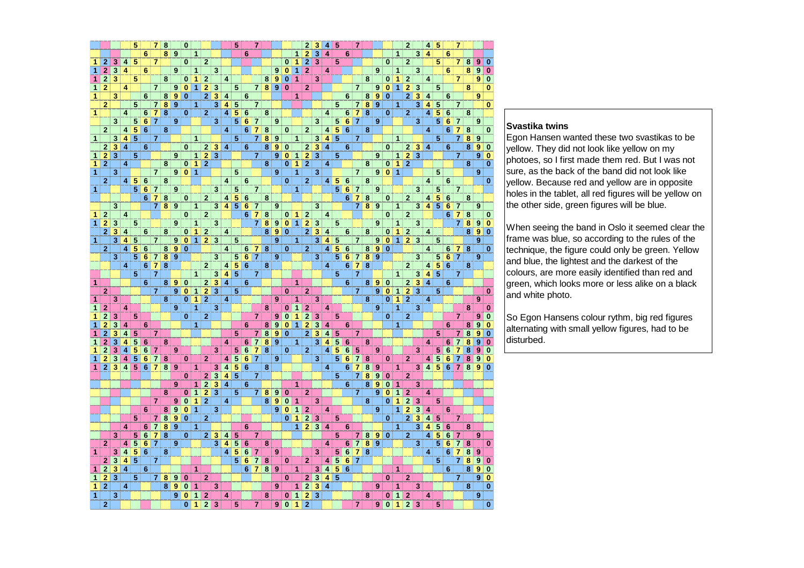|   |                         |                           |         | 5                                    |                 | $\overline{7}$ | 8                       |                  | $\bf{0}$     |                |                |                             |                  | 5                       |                         | 7                       |                |                  |                         |                | $\overline{2}$            |                                      | 4                       | 5                       |                         |                         |                         |                  |                         |              | $\overline{2}$ |                         | 4                       | 5                       |                                 | 7              |                         |   |          |
|---|-------------------------|---------------------------|---------|--------------------------------------|-----------------|----------------|-------------------------|------------------|--------------|----------------|----------------|-----------------------------|------------------|-------------------------|-------------------------|-------------------------|----------------|------------------|-------------------------|----------------|---------------------------|--------------------------------------|-------------------------|-------------------------|-------------------------|-------------------------|-------------------------|------------------|-------------------------|--------------|----------------|-------------------------|-------------------------|-------------------------|---------------------------------|----------------|-------------------------|---|----------|
|   |                         |                           |         |                                      | 6               |                | 8                       | 9                |              | 1              |                |                             |                  |                         | 6                       |                         |                |                  |                         | 1              | $\overline{2}$            | $\overline{\overline{3}}$            | 4                       |                         | $\bf 6$                 |                         |                         |                  |                         | 11           |                | 3                       | 4                       |                         | 6                               |                |                         |   |          |
| 1 | $\overline{2}$          | 3                         | 4       | 5                                    |                 | $\overline{7}$ |                         |                  | $\bf{0}$     |                | $\overline{2}$ |                             |                  |                         |                         |                         |                |                  | $\bf{0}$                | 1              | $\overline{2}$            | $\overline{\overline{\overline{3}}}$ |                         | 5                       |                         |                         |                         |                  | $\mathbf{0}$            |              | $\mathbf{2}$   |                         |                         | 5                       |                                 | 7              | 8                       | 9 | $\bf{0}$ |
| 1 |                         | 3                         | 4       |                                      | 6               |                |                         | 9                |              | 1              |                | 3                           |                  |                         |                         |                         |                | $\overline{9}$   | $\bf{0}$                | 1              | $\mathbf{2}$              |                                      | 4                       |                         |                         |                         |                         | 9                |                         | $\mathbf{1}$ |                | 3                       |                         |                         | 6                               |                | 8                       | 9 |          |
| 1 | $\overline{2}$          | 3                         |         | 5                                    |                 |                | 8                       |                  | 0            | $\mathbf{1}$   | $\overline{2}$ |                             | 4                |                         |                         |                         |                | 8 9              | $\bf{0}$                | 1              |                           | 3                                    |                         |                         |                         |                         | 8                       |                  | $\mathbf{0}$            | 1            | $\overline{2}$ |                         | 4                       |                         |                                 | 7              |                         | 9 | 0        |
| 1 | 2                       |                           | 4       |                                      |                 | $\overline{7}$ |                         | 9                | $\bf{0}$     | 1              | $\overline{2}$ | 3                           |                  | 5                       |                         |                         | 789            |                  | $\bf{0}$                |                | $\mathbf{2}$              |                                      |                         |                         |                         | $\overline{7}$          |                         | 9                | $\bf{0}$                | 1            | $\overline{2}$ | 3                       |                         | 5                       |                                 |                | 8                       |   | 0        |
| 1 |                         | 3                         |         |                                      | $\bf 6$         |                | 8                       | $\boldsymbol{9}$ | $\bf{0}$     |                | $\overline{2}$ | 3                           | 4                |                         | 6                       |                         |                |                  |                         | 1.             |                           |                                      |                         |                         | $\bf 6$                 |                         | 8                       | $\overline{9}$   | $\bf{0}$                |              | $\overline{2}$ | 3                       | 4                       |                         | 6                               |                |                         | 9 |          |
|   | $\overline{2}$          |                           |         | 5                                    |                 | $\overline{7}$ | 8                       | 9                |              | 1.             |                | 3                           | 4                | 5                       |                         | $\mathbf{7}$            |                |                  |                         |                |                           |                                      |                         | 5                       |                         | $\mathbf{7}$            | 8                       | 9                |                         | 1            |                | 3                       | 4                       | 5                       |                                 | $\overline{7}$ |                         |   | $\bf{0}$ |
| 1 |                         |                           | 4       |                                      | 6               | $\vert$ 7      | $\overline{\mathbf{8}}$ |                  | 0            |                | $\mathbf{2}$   |                             | $\overline{4}$   | $\overline{\bf{5}}$     | 6                       |                         | 8              |                  |                         |                |                           |                                      | 4                       |                         | 6                       | $\overline{7}$          | $\overline{\mathbf{8}}$ |                  | $\mathbf{0}$            |              | $\mathbf{2}$   |                         | 4                       | $\overline{5}$          | 6                               |                | 8                       |   |          |
|   |                         | 3                         |         | $\overline{5}$                       | $6\phantom{1}$  | $\overline{7}$ |                         | 9                |              |                |                | 3                           |                  | $\overline{\bf{5}}$     | $6\phantom{1}6$         | $\overline{7}$          |                | 9                |                         |                |                           | $\overline{\overline{\overline{3}}}$ |                         | $\overline{\mathbf{5}}$ | $\overline{\mathbf{6}}$ | $\overline{\mathbf{z}}$ |                         | 9                |                         |              |                | 3                       |                         | 5                       | $6 \overline{\smash{\big)}\ 7}$ |                |                         | 9 |          |
|   | $\overline{\mathbf{c}}$ |                           | 4       | $\overline{5}$                       | 6               |                | 8                       |                  |              |                |                |                             | $\boldsymbol{4}$ |                         | 6                       | 7                       | 8              |                  | 0                       |                | $\mathbf{2}$              |                                      | $\vert$                 | 5                       | 6                       |                         | 8                       |                  |                         |              |                |                         | 4                       |                         | 6                               | $\overline{7}$ | 8                       |   | 0        |
| 1 |                         | 3                         | 4       |                                      |                 | $\overline{7}$ |                         |                  |              | $\mathbf{1}$   |                |                             |                  | $\overline{5}$          |                         | $\overline{7}$          |                | 8 <sup>°</sup>   |                         | 1              |                           | 3                                    | 4 5                     |                         |                         | 7                       |                         |                  |                         | $\mathbf{1}$ |                |                         |                         | 5                       |                                 | 7              | $\overline{\mathbf{8}}$ | 9 |          |
|   | $\mathbf{2}$            | $\overline{\mathbf{3}}$   | 4       |                                      | 6               |                |                         |                  | $\mathbf{0}$ |                |                | $2 \overline{3}$ 4          |                  |                         | 6                       |                         | 8              | 9                | $\bf{0}$                |                | $\overline{2}$            | $\overline{\mathbf{3}}$              | 4                       |                         | 6                       |                         |                         |                  | $\mathbf{0}$            |              | $\mathbf{2}$   | 3 <sup>1</sup>          | $\overline{4}$          |                         | 6                               |                | 8                       | 9 | 0        |
| 1 | $\overline{2}$          | 3                         |         | 5                                    |                 |                |                         | 9                |              | $\blacksquare$ | $\mathbf{2}$   | $\overline{\overline{3}}$   |                  |                         |                         | 7)                      |                | 9                | $\bf{0}$                | 1              | $\mathbf{2}$              | 3                                    |                         | 5                       |                         |                         |                         | 9                |                         | 1            | $\bf{2}$       | 3                       |                         |                         |                                 | 7              |                         | 9 |          |
| 1 | $\mathbf{2}$            |                           | 4       |                                      |                 |                | 8                       |                  | $\bf{0}$     | $\mathbf{1}$   | $\mathbf{2}$   |                             |                  |                         |                         |                         | <b>8</b>       |                  | 0                       | 1              | $\mathbf{2}$              |                                      | 4                       |                         |                         |                         | 8                       |                  | $\mathbf{0}$            | $\mathbf{1}$ | $\overline{2}$ |                         |                         |                         |                                 |                | 8                       |   | $\bf{0}$ |
| 1 |                         | 3                         |         |                                      |                 | $\overline{7}$ |                         | 9 <sup>1</sup>   | $\mathbf{0}$ | $\overline{1}$ |                |                             |                  | $5\phantom{.0}$         |                         |                         |                | 9                |                         | 1              |                           | 3                                    |                         |                         |                         | $\overline{7}$          |                         |                  | 9 0 1                   |              |                |                         |                         | 5                       |                                 |                |                         | 9 |          |
|   | $\overline{2}$          |                           | $\vert$ | 5 <sup>1</sup>                       | $6\phantom{1}6$ |                | 8                       |                  |              |                |                |                             | $\overline{4}$   |                         | 6                       |                         |                |                  | $\bf{0}$                |                | $\overline{2}$            |                                      | 4 <sup>1</sup>          | 5                       | $6\phantom{1}6$         |                         | 8                       |                  |                         |              |                |                         | 4                       |                         | 6                               |                |                         |   | $\bf{0}$ |
| 1 |                         |                           |         |                                      | 56              | $\overline{7}$ |                         | 9                |              |                |                | 3                           |                  | 5                       |                         | $\mathbf{7}$            |                |                  |                         | $\overline{1}$ |                           |                                      |                         | 5                       | 6                       | 7                       |                         | 9                |                         |              |                | 3                       |                         | 5                       |                                 | $\overline{7}$ |                         |   |          |
|   |                         |                           |         |                                      | 6 <sup>1</sup>  | $\overline{7}$ | $\bf8$                  |                  | 0            |                | $\mathbf{2}$   |                             | 4                | $\overline{\mathbf{5}}$ | 6                       |                         | 8              |                  |                         |                |                           |                                      |                         |                         | 6                       | $\overline{7}$          | 8                       |                  | $\mathbf{0}$            |              | $\mathbf{2}$   |                         | 4                       | $\overline{\mathbf{5}}$ | $6\phantom{1}6$                 |                | 8                       |   |          |
|   |                         | 3                         |         |                                      |                 | $\overline{7}$ | 8 <sup>1</sup>          | 9                |              | $\mathbf{1}$   |                | 3                           | $\vert$          | $\overline{5}$          | 6                       | $\overline{7}$          |                | 9                |                         |                |                           | 3 <sup>1</sup>                       |                         |                         |                         | $\overline{7}$          | 8                       | 9                |                         | $\mathbf{1}$ |                | 3                       | 4                       | $\overline{5}$          | 6 7                             |                |                         | 9 |          |
| 1 | $\mathbf{2}$            |                           | 4       |                                      |                 |                |                         |                  | $\bf{0}$     |                | $\overline{2}$ |                             |                  |                         | 6                       | $\mathbf{7}$            | 8              |                  | 0                       | 1              | $\mathbf 2$               |                                      | 4                       |                         |                         |                         |                         |                  | $\mathbf{0}$            |              | $\mathbf{2}$   |                         |                         |                         | 6                               | $\overline{7}$ | 8                       |   |          |
| 1 | $\mathbf{2}$            | 3                         |         | 5                                    |                 |                |                         | 9                |              | 1              |                | 3                           |                  |                         |                         | 7                       | 8              | $\boldsymbol{9}$ | $\bf{0}$                | $\overline{1}$ | $\overline{2}$            | 3                                    |                         | 5                       |                         |                         |                         | 9                |                         | 1            |                | 3                       |                         |                         |                                 | 7              | 8                       | 9 | $\bf{0}$ |
|   | $\overline{2}$          | 3                         | 4       |                                      | 6               |                | 8                       |                  | 0            | 1              | $\mathbf{2}$   |                             | $\overline{4}$   |                         |                         |                         | 8              | 9                | $\bf{0}$                |                | $\overline{2}$            |                                      | 4                       |                         | 6                       |                         | 8                       |                  | $\mathbf{0}$            | $\mathbf{1}$ | $\mathbf{2}$   |                         | 4                       |                         |                                 |                | 8                       |   |          |
| 1 |                         | 3                         | 4       | 5                                    |                 | $\overline{7}$ |                         | 9                | $\bf{0}$     | $\mathbf{1}$   |                | $2 \overline{\phantom{a}}3$ |                  | 5                       |                         |                         |                | 9                |                         | 1              |                           | $\overline{\mathbf{3}}$              | 4                       | 5                       |                         | $\overline{7}$          |                         | 9                | $\mathbf{0}$            | $\mathbf{1}$ | $\mathbf{2}$   | 3                       |                         | 5                       |                                 |                |                         | 9 |          |
|   | $\overline{2}$          |                           | 4       | 5                                    | $6\phantom{1}6$ |                | 8                       | 9                | $\bf{0}$     |                |                |                             | 4                |                         | 6                       | $\mathbf{7}$            | 8              |                  | $\bf{0}$                |                | $\overline{2}$            |                                      | 4                       | 5                       | $6\phantom{1}6$         |                         | 8                       | $\bf{9}$         | $\bf{0}$                |              |                |                         | 4                       |                         |                                 | 6 7            | 8                       |   | $\bf{0}$ |
|   |                         | 3                         |         | 5                                    | $6\phantom{1}$  | $\overline{7}$ | $\overline{\mathbf{8}}$ | 9                |              |                |                | 3                           |                  | 5                       | $\overline{\mathbf{6}}$ | $\overline{7}$          |                | 9                |                         |                |                           | 3                                    |                         | 5                       | $6\phantom{1}6$         | $\mathbf{7}$            | $\overline{\mathbf{8}}$ | $\boldsymbol{9}$ |                         |              |                | 3                       |                         | 5                       |                                 | 6 7            |                         | 9 |          |
|   |                         |                           | 4       |                                      | $6\phantom{1}$  | $\overline{7}$ | 8                       |                  |              |                | $\mathbf{2}$   |                             | 4                | $\overline{\bf{5}}$     | $6\phantom{1}$          |                         | 8              |                  |                         |                |                           |                                      | $\overline{\mathbf{4}}$ |                         | 6                       | $\overline{7}$          | 8                       |                  |                         |              | $\mathbf{2}$   |                         | 4                       | $\overline{5}$          | $6\phantom{1}6$                 |                | 8                       |   |          |
|   |                         |                           |         | 5                                    |                 | 7              |                         |                  |              | $\mathbf{1}$   |                | $\overline{\overline{3}}$   | $\overline{4}$   | 5                       |                         | $\mathbf{7}$            |                |                  |                         |                |                           |                                      |                         | 5                       |                         | $\overline{\mathbf{z}}$ |                         |                  |                         | $\mathbf{1}$ |                | 3                       | 4                       | 5                       |                                 | 7              |                         |   |          |
| 1 |                         |                           |         |                                      | 6               |                | 8                       | $\boldsymbol{9}$ | $\bf{0}$     |                |                | $2 \overline{3}$            | $\overline{4}$   |                         | 6                       |                         |                |                  |                         | $\mathbf{1}$   |                           |                                      |                         |                         | 6                       |                         | 8                       | $9^{\circ}$      | $\bf{0}$                |              | $\overline{2}$ | $\overline{\mathbf{3}}$ | $\overline{\mathbf{4}}$ |                         | 6                               |                |                         |   |          |
|   | $\mathbf{2}$            |                           |         |                                      |                 | $\overline{7}$ |                         | $\mathbf{9}$     | $\bf{0}$     | $\mathbf{1}$   | 2              | $\overline{\mathbf{3}}$     |                  | 5                       |                         |                         |                |                  | $\bf{0}$                |                | $\mathbf{2}$              |                                      |                         |                         |                         | $\overline{7}$          |                         | 9 <sup>°</sup>   | $\mathbf{0}$            | $\mathbf{1}$ | $\mathbf{2}$   | 3                       |                         | 5                       |                                 |                |                         |   | $\bf{0}$ |
| 1 |                         | 3                         |         |                                      |                 |                | 8                       |                  | 0            | $\mathbf{1}$   | $\mathbf{2}$   |                             | 4                |                         |                         |                         |                | 9                |                         | 1              |                           | 3                                    |                         |                         |                         |                         | 8                       |                  | $\mathbf{0}$            | 1            | $\overline{2}$ |                         | 4                       |                         |                                 |                |                         | 9 |          |
| 1 | $\overline{2}$          |                           | 4       |                                      |                 |                |                         | 9                |              | $\mathbf{1}$   |                | 3                           |                  |                         |                         |                         | † 8            |                  | $\bf{0}$                | 1              | $\overline{2}$            |                                      | 4                       |                         |                         |                         |                         | $\mathbf{9}$     |                         | 1            |                | 3                       |                         |                         |                                 |                | 8                       |   | 0        |
|   |                         | 3                         |         | 5                                    |                 |                |                         |                  | $\bf{0}$     |                | $\overline{2}$ |                             |                  |                         |                         | 7                       |                | 9                | $\bf{0}$                | 1              | $\overline{2}$            | 3                                    |                         | 5                       |                         |                         |                         |                  | $\mathbf{0}$            |              | 2              |                         |                         |                         |                                 | $\overline{7}$ |                         | 9 | 0        |
|   |                         | 3                         | 4       |                                      | $6\phantom{1}$  |                |                         |                  |              | $\mathbf{1}$   |                |                             |                  |                         | 6                       |                         | 8              | 9                | $\bf{0}$                | 1              | $\overline{2}$            | 3                                    | 4                       |                         | 6                       |                         |                         |                  |                         | 1            |                |                         |                         |                         | 6                               |                | 8                       |   |          |
|   |                         | 3                         | 4       | 5                                    |                 | $\overline{7}$ |                         |                  |              |                |                |                             |                  | 5                       |                         | $\overline{\mathbf{7}}$ | $\bf{8}$       | $\boldsymbol{9}$ | $\bf{0}$                |                | $\overline{2}$            |                                      | 4                       | 5                       |                         | 7                       |                         |                  |                         |              |                |                         |                         | 5                       |                                 | $\overline{7}$ | 8                       |   | 0        |
| 1 |                         | 3                         | 4       | 5                                    | 6               |                | 8                       |                  |              |                |                |                             | 4                |                         | 6                       | $\overline{7}$          |                | 8 <sup>8</sup>   |                         | 1              |                           | 3                                    | $\overline{\mathbf{4}}$ | 5                       | 6                       |                         | 8                       |                  |                         |              |                |                         | 4                       |                         | 6                               |                | 8                       |   | 0        |
|   |                         | $\overline{\mathbf{3}}$   | 4       | 5                                    | 6               | 7              |                         | 9                |              |                |                | $\overline{\overline{3}}$   |                  | 5                       | $\overline{6}$          | 7                       | 8              |                  | 0                       |                | $\overline{2}$            |                                      | 4                       | 5                       | $6\phantom{1}6$         | 5                       |                         | 9                |                         |              |                | 3                       |                         | 5                       | 6                               |                |                         |   |          |
| 1 |                         | 3                         | 4       | 5                                    | 6               | 7              | 8                       |                  | 0            |                | $\overline{2}$ |                             | 4                | 5                       | 6                       | 7                       |                | 9                |                         |                |                           | $\overline{\mathbf{3}}$              |                         | 5                       | 6                       | 7                       | 8                       |                  | $\mathbf{0}$            |              | $\overline{2}$ |                         | 4                       | $\overline{5}$          | 6                               | 7              | 8                       |   |          |
| 1 | $\overline{2}$          | 3                         | $\vert$ | 5 <sup>1</sup>                       | 6               | $\overline{7}$ | 8                       | 9                |              | 1              |                | 3                           | 4                | 5                       | $\overline{\mathbf{6}}$ |                         | 8              |                  |                         |                |                           |                                      | 4                       |                         | 6                       | 7                       | 8                       | 9                |                         | $\mathbf{1}$ |                | 3                       |                         | 4 5                     | 6                               | $\overline{7}$ | 8                       | 9 | 0        |
|   |                         |                           |         |                                      |                 |                |                         |                  | 0            |                | 2              | $\overline{\overline{3}}$   | 4                | $\overline{\mathbf{5}}$ |                         | 7.                      |                |                  |                         |                |                           |                                      |                         | 5                       |                         | 7                       | 8                       | $\boldsymbol{9}$ | 0                       |              | $\mathbf{2}$   |                         |                         |                         |                                 |                |                         |   |          |
|   |                         |                           |         |                                      |                 |                |                         | 9                |              | 1              | $\mathbf 2$    | 3                           | $\overline{4}$   |                         | 6                       |                         |                |                  |                         | $\mathbf{1}$   |                           |                                      |                         |                         | 6                       |                         | 8                       | $\bf{9}$         | 0                       | 1            |                | 3                       |                         |                         |                                 |                |                         |   |          |
|   |                         |                           |         |                                      |                 |                | 8                       |                  | 0            | 1              | $\overline{2}$ | 3                           |                  | 5                       |                         | $\mathbf{7}$            | 8 <sup>1</sup> | $\overline{9}$   | $\bf{0}$                |                | $\mathbf{2}$              |                                      |                         |                         |                         | $\overline{7}$          |                         | 9                | $\bf{0}$                | 1            | $\overline{2}$ |                         | 4                       |                         |                                 |                |                         |   |          |
|   |                         |                           |         |                                      |                 | $\overline{7}$ |                         | 9                | $\bf{0}$     | $\mathbf{1}$   | $\overline{2}$ |                             | 4                |                         |                         |                         |                | 8 <sup>8</sup>   | $\bf{0}$                | 1              |                           | 3                                    |                         |                         |                         |                         | 8                       |                  | $\bf{0}$                | 1            | $\overline{2}$ | 3                       |                         | 5                       |                                 |                |                         |   |          |
|   |                         |                           |         |                                      | 6               |                | 8                       | 9                | $\bf{0}$     | 1              |                | 3                           |                  |                         |                         |                         |                | 9                | $\bf{0}$                | 1              | $\overline{2}$            |                                      | 4                       |                         |                         |                         |                         | 9                |                         | 1            | $\overline{2}$ | 3                       | 4                       |                         | 6                               |                |                         |   |          |
|   |                         |                           |         | 5                                    |                 | $\overline{7}$ | 8                       | 9                | 0            |                | $\overline{2}$ |                             |                  |                         |                         |                         |                |                  | $\bf{0}$                | 1              | $\overline{2}$            | 3                                    |                         | 5                       |                         |                         |                         |                  | $\bf{0}$                |              | $\overline{2}$ | 3                       | 4                       | 5                       |                                 | $\overline{7}$ |                         |   |          |
|   |                         |                           | 4       |                                      | 6               | $\overline{7}$ | 8                       | 9                |              | 1              |                |                             |                  |                         | 6                       |                         |                |                  |                         | $\mathbf{1}$   |                           | 2 3 4                                |                         |                         | 6                       |                         |                         |                  |                         | 11           |                | 3                       | 4                       | 5                       | 6                               |                | 8                       |   |          |
|   |                         | 3                         |         | 5 <sup>1</sup>                       | 6               | $\overline{7}$ | 8                       |                  | 0            |                |                | $2 \mid 3$                  | 4                | 5                       |                         | 7                       |                |                  |                         |                |                           |                                      |                         | 5                       |                         | 7                       | 8                       |                  | 9 0                     |              | $\overline{2}$ |                         | 4                       | 5                       | 6 <sup>1</sup>                  | 7              |                         | 9 |          |
|   | $\mathbf{2}$            |                           | 4       | 5                                    | 6               | $\overline{7}$ |                         | 9                |              |                |                | 3                           | 4                | 5                       | 6                       |                         | 8              |                  |                         |                |                           |                                      | 4                       |                         | 6                       | $\overline{7}$          | $\overline{\mathbf{8}}$ | $\overline{9}$   |                         |              |                | 3                       |                         | 5                       | 6                               |                | 8                       |   | 0        |
| 1 |                         | 3                         | 4       | $\overline{\overline{\overline{5}}}$ | $6\phantom{1}6$ |                | 8                       |                  |              |                |                |                             | 4                | 5                       | 6                       | 7                       |                | 9                |                         |                |                           | 3                                    |                         | 5                       | 6                       | 7                       | 8                       |                  |                         |              |                |                         | 4                       |                         | 6                               | $\overline{7}$ | 8                       |   |          |
|   | $\overline{\mathbf{2}}$ | $\overline{\overline{3}}$ | 4       | $\overline{5}$                       |                 | 7              |                         |                  |              |                |                |                             |                  | 5                       | 6                       | 7 <sup>1</sup>          | 8              |                  | 0                       |                | 2                         |                                      | 4 <sup>1</sup>          | $\overline{5}$          | $\bf 6$                 | $\overline{7}$          |                         |                  |                         |              |                |                         |                         | 5                       |                                 | 7              | 8                       | 9 | 0        |
| 1 | $\overline{2}$          | 3                         | 4       |                                      | 6               |                |                         |                  |              | 1              |                |                             |                  |                         | $6\phantom{1}$          | $\mathbf{7}$            | 8 <sup>8</sup> |                  |                         | 1              |                           | $\overline{\mathbf{3}}$              | 4                       | $\overline{5}$          | $6\phantom{1}6$         |                         |                         |                  |                         | 1            |                |                         |                         |                         | 6                               |                | 8                       | 9 | $\bf{0}$ |
| 1 | $\overline{2}$          | 3                         |         | 5                                    |                 | $\overline{7}$ | 8                       | 9                | $\bf{0}$     |                | $\overline{2}$ |                             |                  |                         |                         |                         |                |                  | 0                       |                | $\overline{2}$            | $\overline{\overline{3}}$            | 4                       | 5                       |                         |                         |                         |                  | $\bf{0}$                |              | $\overline{2}$ |                         |                         |                         |                                 | $\overline{7}$ |                         | 9 | $\bf{0}$ |
| 1 | $\overline{2}$          |                           | 4       |                                      |                 |                | 8                       | 9                | $\bf{0}$     | 1              |                | 3                           |                  |                         |                         |                         |                | 9                |                         | 1              | $\overline{\overline{2}}$ | 3                                    | $\overline{\mathbf{4}}$ |                         |                         |                         |                         | 9                |                         | 1            |                | 3                       |                         |                         |                                 |                | 8                       |   | 0        |
| 1 |                         |                           |         |                                      |                 |                |                         | $\overline{9}$   |              |                |                |                             |                  |                         |                         |                         |                |                  |                         |                |                           | 3                                    |                         |                         |                         |                         |                         |                  |                         |              |                |                         |                         |                         |                                 |                |                         |   |          |
|   |                         | 3                         |         |                                      |                 |                |                         |                  | $\bf{0}$     | 1              | $\overline{2}$ |                             | 4                |                         |                         |                         | 8              |                  | 0                       | 1              | $\mathbf{2}$              |                                      |                         |                         |                         |                         | $\bf8$                  |                  | 0                       | 1            | $\mathbf{2}$   |                         | 4                       |                         |                                 |                |                         | 9 |          |
|   | $\overline{2}$          |                           |         |                                      |                 |                |                         |                  | $\bf{0}$     | 1              | $\overline{2}$ | 3                           |                  | 5                       |                         | $\overline{7}$          |                | $\boldsymbol{9}$ | $\overline{\mathbf{0}}$ | 1              | $\overline{2}$            |                                      |                         |                         |                         | $\overline{\mathbf{z}}$ |                         | $\overline{9}$   | $\overline{\mathbf{0}}$ | $\mathbf{1}$ | $\overline{2}$ | 3                       |                         | 5                       |                                 |                |                         |   | 0        |

### **Svastika twins**

 Egon Hansen wanted these two svastikas to be yellow. They did not look like yellow on my photoes, so I first made them red. But I was not sure, as the back of the band did not look like yellow. Because red and yellow are in opposite holes in the tablet, all red figures will be yellow on the other side, green figures will be blue.

When seeing the band in Oslo it seemed clear the frame was blue, so according to the rules of the technique, the figure could only be green. Yellow and blue, the lightest and the darkest of the colours, are more easily identified than red and green, which looks more or less alike on a black and white photo.

So Egon Hansens colour rythm, big red figures alternating with small yellow figures, had to be disturbed.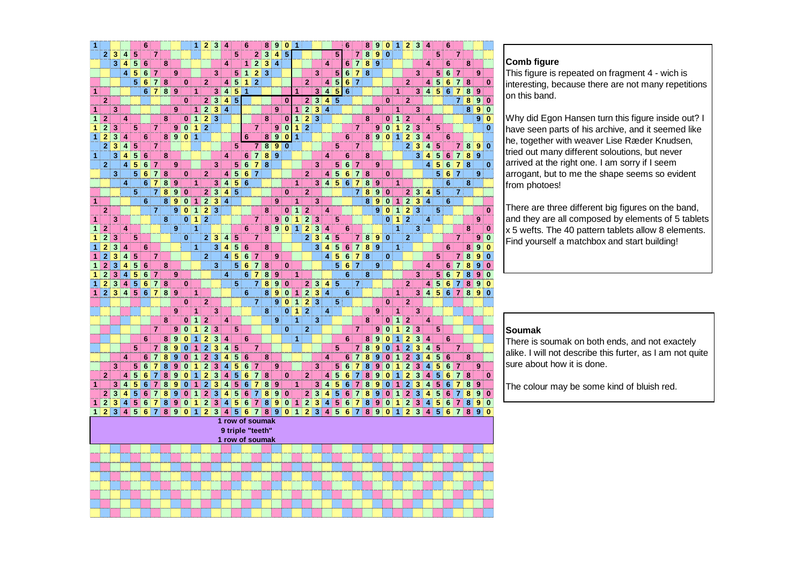| 1              |                         |   |                         |                | 6               |                |   |                  |              | $\mathbf{1}$ | $\mathbf{2}$            | 3                                    | 4              |                  | 6               |                | 8            | 9                | $\bf{0}$ | 1              |                         |                                      |                         |                         | 6               |                | 8              | 9                | $\pmb{0}$   | 1              | $\mathbf{2}$            | 3                       | 4                |   | 6               |                |   |                  |                         |
|----------------|-------------------------|---|-------------------------|----------------|-----------------|----------------|---|------------------|--------------|--------------|-------------------------|--------------------------------------|----------------|------------------|-----------------|----------------|--------------|------------------|----------|----------------|-------------------------|--------------------------------------|-------------------------|-------------------------|-----------------|----------------|----------------|------------------|-------------|----------------|-------------------------|-------------------------|------------------|---|-----------------|----------------|---|------------------|-------------------------|
|                | 2                       | 3 | 4                       | 5              |                 | 7              |   |                  |              |              |                         |                                      |                | 5                |                 | $\mathbf{2}$ : | $\mathbf{3}$ | 4                | 5        |                |                         |                                      |                         | 5                       |                 | 7              | $\bf8$         | 9                | $\bf{0}$    |                |                         |                         |                  | 5 |                 | $\overline{7}$ |   |                  |                         |
|                |                         | 3 | $\overline{\bf 4}$      | 5              | 6               |                | 8 |                  |              |              |                         |                                      | 4              |                  | 1               | $\mathbf 2$    | 3            | $\overline{4}$   |          |                |                         |                                      | 4                       |                         | 6               | $\overline{7}$ | 8              | 9                |             |                |                         |                         | 4                |   | 6               |                | 8 |                  |                         |
|                |                         |   | $\vert$                 | 5              | 6               | 7              |   | 9                |              |              |                         | 3                                    |                | 5                | 1               | $\mathbf{2}$   | 3            |                  |          |                |                         | 3                                    |                         | 5                       | $6\phantom{1}6$ | $\overline{7}$ | 8              |                  |             |                |                         | 3                       |                  | 5 | $6\phantom{1}6$ | $\overline{7}$ |   | $\boldsymbol{9}$ |                         |
|                |                         |   |                         | 5              | $6\phantom{1}6$ | $\overline{7}$ | 8 |                  | $\bf{0}$     |              | $\overline{2}$          |                                      | 4              | 5                | 1               | $\mathbf{2}$   |              |                  |          |                | $\overline{2}$          |                                      | $\vert$                 | 5                       | $6\phantom{1}6$ | $\overline{7}$ |                |                  |             |                | $\overline{2}$          |                         | 4                | 5 | 6               | 7              | 8 |                  | $\bf{0}$                |
| $\mathbf{1}$   |                         |   |                         |                | 6               | 7              | 8 | 9                |              | 1            |                         | 3                                    | 4              | 5                | 1               |                |              |                  |          | $\mathbf{1}$   |                         | 3                                    | 4                       | 5                       | $6\phantom{1}6$ |                |                |                  |             | 1              |                         | 3                       | 4 <sup>1</sup>   | 5 | $\bf 6$         | $\overline{7}$ | 8 | 9                |                         |
|                | 2                       |   |                         |                |                 |                |   |                  | $\bf{0}$     |              | $\overline{2}$          | $\overline{\overline{\overline{3}}}$ | 4              | 5                |                 |                |              |                  | $\bf{0}$ |                | 2                       | 3                                    | 4                       | 5                       |                 |                |                |                  | 0           |                | $\mathbf{2}$            |                         |                  |   |                 | $\overline{7}$ | 8 | 9                | 0                       |
| 1              |                         | 3 |                         |                |                 |                |   | 9                |              | 1            | $\overline{2}$          | 3                                    | 4              |                  |                 |                |              | 9                |          | 1              | $\overline{2}$          | 3                                    | $\overline{\mathbf{4}}$ |                         |                 |                |                | 9                |             | 1              |                         | 3                       |                  |   |                 |                | 8 | 9                | $\pmb{0}$               |
| 1              | $\overline{2}$          |   | 4                       |                |                 |                | 8 |                  | $\mathbf{0}$ | $\mathbf{1}$ | $\overline{2}$          | 3                                    |                |                  |                 |                | 8            |                  | $\bf{0}$ | $\mathbf{1}$   | $\mathbf{2}$            | 3                                    |                         |                         |                 |                | 8              |                  | $\bf{0}$    | $\mathbf{1}$   | $\overline{2}$          |                         | 4                |   |                 |                |   | 9                | $\bf{0}$                |
| 1              | $\overline{2}$          | 3 |                         | 5              |                 | $\overline{7}$ |   | 9                | $\bf{0}$     | $\mathbf{1}$ | $\overline{2}$          |                                      |                |                  |                 | $\overline{7}$ |              | $\boldsymbol{9}$ | $\bf{0}$ | 1              | $\overline{2}$          |                                      |                         |                         |                 | $\overline{7}$ |                | 9                | $\bf{0}$    | $\mathbf{1}$   | $\overline{2}$          | 3                       |                  | 5 |                 |                |   |                  | $\bf{0}$                |
| $\mathbf{1}$   | $\overline{2}$          | 3 | 4                       |                | 6               |                | 8 | $\boldsymbol{9}$ | $\bf{0}$     | 1            |                         |                                      |                |                  | 6               |                | 8            | $\overline{9}$   | $\bf{0}$ | 1              |                         |                                      |                         |                         | $6\phantom{1}6$ |                | 8 <sup>1</sup> | 9                | $\bf{0}$    | $\mathbf{1}$   | $\overline{a}$          | $\overline{\mathbf{3}}$ | 4                |   | 6               |                |   |                  |                         |
|                | 2                       | 3 | 4                       | 5              |                 | $\overline{7}$ |   |                  |              |              |                         |                                      |                | 5                |                 | 7              | 8            | 9                | $\bf{0}$ |                |                         |                                      |                         | 5                       |                 | 7              |                |                  |             |                | $\overline{2}$          | 3                       | 4                | 5 |                 | $\overline{7}$ | 8 | 9                | $\bf{0}$                |
| $\overline{1}$ |                         | 3 | $\overline{\mathbf{4}}$ | $\overline{5}$ | $6\phantom{1}6$ |                | 8 |                  |              |              |                         |                                      | 4              |                  | 6               | $\overline{7}$ | 8            | $\boldsymbol{9}$ |          |                |                         |                                      | 4                       |                         | $6\phantom{1}6$ |                | 8              |                  |             |                |                         | 3                       | 4                | 5 | $6\phantom{1}6$ | $\overline{7}$ | 8 | 9                |                         |
|                | $\mathbf{2}$            |   | 4                       | 5              | 6               | 7              |   | 9                |              |              |                         | 3                                    |                | 5                | 6               | $\mathbf{7}$   | 8            |                  |          |                |                         | 3                                    |                         | 5                       | $6\phantom{1}6$ | 7              |                | 9                |             |                |                         |                         | 4                | 5 | 6               | 7              | 8 |                  | $\bf{0}$                |
|                |                         | 3 |                         | 5              | $6\phantom{1}6$ | $\overline{7}$ | 8 |                  | 0            |              | $\overline{\mathbf{c}}$ |                                      | 4              | $\overline{5}$   | 6               | $\overline{7}$ |              |                  |          |                | $\overline{2}$          |                                      | $\vert$                 | 5                       | 6               | 7              | 8              |                  | $\bf{0}$    |                |                         |                         |                  | 5 | $6\phantom{1}6$ | 7              |   | 9                |                         |
|                |                         |   | 4                       |                | 6               | $\overline{7}$ | 8 | 9                |              | 1            |                         | 3                                    | 4              | 5                | 6               |                |              |                  |          | 1              |                         | 3                                    | $\overline{\mathbf{4}}$ | 5                       | $6\phantom{1}6$ | $\overline{7}$ | 8              | $\boldsymbol{9}$ |             | 1              |                         |                         |                  |   | 6               |                | 8 |                  |                         |
|                |                         |   |                         | 5              |                 | $\overline{7}$ | 8 | 9                | 0            |              | $\overline{2}$          | $\overline{\mathbf{3}}$              | 4              | $\overline{5}$   |                 |                |              |                  | $\bf{0}$ |                | $\mathbf{2}$            |                                      |                         |                         |                 | 7              | 8              | 9                | $\bf{0}$    |                | $\mathbf{2}$            | 3                       | 4                | 5 |                 | $\overline{7}$ |   |                  |                         |
| $\mathbf{1}$   |                         |   |                         |                | 6               |                | 8 | 9                | $\bf{0}$     | $\vert$ 1    | $\overline{2}$          | $\overline{\mathbf{3}}$              | $\overline{4}$ |                  |                 |                |              | 9                |          | 1              |                         | 3                                    |                         |                         |                 |                | 8              | $\boldsymbol{9}$ | $\pmb{0}$   | $\mathbf{1}$   | $\overline{2}$          | $\overline{\mathbf{3}}$ | $\boldsymbol{4}$ |   | 6               |                |   |                  |                         |
|                | $\overline{2}$          |   |                         |                |                 | $\overline{7}$ |   | 9                | $\bf{0}$     | $\mathbf{1}$ | 2                       | 3                                    |                |                  |                 |                | 8            |                  | 0        | 1              | $\mathbf{2}$            |                                      | 4                       |                         |                 |                |                | 9                | $\bf{0}$    | 1              | 2                       | 3                       |                  | 5 |                 |                |   |                  | $\bf{0}$                |
| 1              |                         | 3 |                         |                |                 |                | 8 |                  | $\bf{0}$     | $\mathbf{1}$ | $\mathbf{2}$            |                                      |                |                  |                 | 71             |              | 9                | $\bf{0}$ | 1              | $\mathbf{2}$            | $\mathbf{3}$                         |                         | 5                       |                 |                |                |                  | $\bf{0}$    | $\mathbf{1}$   | $\overline{2}$          |                         | 4                |   |                 |                |   | 9                |                         |
| 1              | $\mathbf{2}$            |   | 4                       |                |                 |                |   | 9                |              | 1            |                         |                                      |                |                  | 6               |                |              | 8 9              | $\bf{0}$ | $\mathbf{1}$   | $\mathbf 2$             | $\mathbf{3}$                         | 4                       |                         | 6               |                |                |                  |             | $\overline{1}$ |                         | 3                       |                  |   |                 |                | 8 |                  | $\bf{0}$                |
| 1              | 2                       | 3 |                         | 5              |                 |                |   |                  | 0            |              | $\mathbf{2}$            | 3                                    | $\vert$        | 5                |                 | $\overline{7}$ |              |                  |          |                | $\mathbf{2}$            | $\overline{\mathbf{3}}$              | 4                       | 5                       |                 | 7              | 8              | $\boldsymbol{9}$ | $\bf{0}$    |                | $\mathbf{2}$            |                         |                  |   |                 | 7              |   | 9                | $\overline{\mathbf{0}}$ |
| 1              | $\overline{2}$          | 3 | 4                       |                | 6               |                |   |                  |              | 1            |                         | 3                                    | 4              | $\overline{5}$   | 6               |                | 8            |                  |          |                |                         | $\overline{\mathbf{3}}$              | 4                       | 5                       | $6\phantom{1}6$ | 7              | 8              | $\overline{9}$   |             | 1              |                         |                         |                  |   | 6               |                | 8 | 9                | $\pmb{0}$               |
| 1              | $\overline{2}$          | 3 | 4                       | 5              |                 | $\overline{7}$ |   |                  |              |              | $\mathbf{2}$            |                                      | 4              | 5                | 6               | 7              |              | 9                |          |                |                         |                                      | 4                       | 5                       | 6               | 7              | 8              |                  | $\bf{0}$    |                |                         |                         |                  | 5 |                 | 7              | 8 | 9                | $\bf{0}$                |
| 1              | $\overline{2}$          | 3 | 4                       | 5              | $6\phantom{1}6$ |                | 8 |                  |              |              |                         | 3                                    |                | 5                | $6\phantom{1}6$ | $\overline{7}$ | 8            |                  | $\bf{0}$ |                |                         |                                      |                         | 5                       | $6\phantom{1}6$ | $\overline{7}$ |                | 9                |             |                |                         |                         | 4                |   | 6               | $\overline{7}$ | 8 | 9                | $\overline{\mathbf{0}}$ |
| 1              | $\overline{\mathbf{2}}$ | 3 | 4                       | 5              | $6\phantom{1}6$ | 7              |   | 9                |              |              |                         |                                      | 4              |                  | 6               | $\mathbf{7}$   | 8            | 9                |          | $\mathbf{1}$   |                         |                                      |                         |                         | 6               |                | 8              |                  |             |                |                         | 3                       |                  | 5 | $6\phantom{1}6$ | $\overline{7}$ | 8 | 9                | $\bf{0}$                |
| 1              | $\overline{\mathbf{c}}$ | 3 | $\overline{\mathbf{4}}$ | 5              | $6\phantom{1}6$ | 7              | 8 |                  | 0            |              |                         |                                      |                | 5                |                 | 7              | 8            | $\boldsymbol{9}$ | 0        |                | 2                       | 3                                    | 4 5                     |                         |                 | 7              |                |                  |             |                | $\mathbf{2}$            |                         | 4                | 5 | $6\phantom{1}6$ | 7              | 8 | 9                | $\bf{0}$                |
| 1              | $\overline{2}$          | 3 | $\overline{4}$          | 5              | $6\phantom{a}$  | $\overline{7}$ | 8 | 9                |              | $\mathbf{1}$ |                         |                                      |                |                  | 6               |                | 8            | 9                | $\bf{0}$ | 1              | $\overline{\mathbf{2}}$ | 3                                    | $\overline{\mathbf{4}}$ |                         | 6               |                |                |                  |             | $\mathbf{1}$   |                         | 3                       | 4                | 5 | 6               | $\overline{7}$ | 8 | 9                | $\bf{0}$                |
|                |                         |   |                         |                |                 |                |   |                  | $\bf{0}$     |              | $\mathbf{2}$            |                                      |                |                  |                 | $\overline{7}$ |              | 9                | $\bf{0}$ | 1              | $\mathbf{2}$            | 3                                    |                         | 5                       |                 |                |                |                  | $\bf{0}$    |                | $\mathbf{2}$            |                         |                  |   |                 |                |   |                  |                         |
|                |                         |   |                         |                |                 |                |   | 9                |              | 1            |                         | 3                                    |                |                  |                 |                | 8            |                  | $\bf{0}$ | 1              | $\overline{2}$          |                                      | 4                       |                         |                 |                |                | 9                |             | 1              |                         | 3                       |                  |   |                 |                |   |                  |                         |
|                |                         |   |                         |                |                 |                | 8 |                  | 0            | 1            | $\overline{a}$          |                                      | 4              |                  |                 |                |              | $\boldsymbol{9}$ |          | 1              |                         | 3                                    |                         |                         |                 |                | 8              |                  | 0           | 1              | $\overline{2}$          |                         | 4                |   |                 |                |   |                  |                         |
|                |                         |   |                         |                |                 | $\overline{7}$ |   | 9                | 0            | 1            | $\overline{2}$          | 3                                    |                | 5                |                 |                |              |                  | $\bf{0}$ |                | $\mathbf{2}$            |                                      |                         |                         |                 | $\overline{7}$ |                | 9                | $\bf{0}$    | 1              | $\overline{\mathbf{c}}$ | 3                       |                  | 5 |                 |                |   |                  |                         |
|                |                         |   |                         |                | 6               |                | 8 | 9                | $\bf{0}$     | 1            | $\overline{2}$          | 3                                    | 4              |                  | 6               |                |              |                  |          | 1              |                         |                                      |                         |                         | 6               |                | 8              | 9                | $\bf{0}$    | 1              | $\overline{2}$          | 3                       | 4                |   | 6               |                |   |                  |                         |
|                |                         |   |                         | 5              |                 | 7              | 8 | $\boldsymbol{9}$ | $\bf{0}$     | $\mathbf{1}$ | $\overline{2}$          | 3                                    | 4              | 5                |                 | 7              |              |                  |          |                |                         |                                      |                         | 5                       |                 | 7              | 8              | $\boldsymbol{9}$ | $\bf{0}$    | $\overline{1}$ | $\overline{2}$          | 3                       | 4                | 5 |                 | 7              |   |                  |                         |
|                |                         |   | 4                       |                | 6               | $\overline{7}$ | 8 | 9                | $\bf{0}$     | 1            | $\overline{\mathbf{c}}$ | $\overline{\mathbf{3}}$              | 4              | 5                | 6               |                | 8            |                  |          |                |                         |                                      | 4                       |                         | 6               | 7              | 8              | 9                | $\bf{0}$    | 1              | $\overline{\mathbf{c}}$ | 3                       | 4                | 5 | 6               |                | 8 |                  |                         |
|                |                         | 3 |                         | 5              | $6\phantom{1}6$ | 7              | 8 | 9                | $\bf{0}$     | 1            | $\overline{\mathbf{c}}$ | 3                                    | 4              | 5                | 6               | 7              |              | 9                |          |                |                         | 3                                    |                         | 5                       | $6\phantom{1}6$ | 7              | 8              | $\boldsymbol{9}$ | $\mathbf 0$ | 1              | $\overline{\mathbf{c}}$ | 3                       | 4                | 5 | 6               | 7              |   | 9                |                         |
|                | 2                       |   | 4                       | 5              | 6               | 7              | 8 | $\boldsymbol{9}$ | $\bf{0}$     | $\mathbf{1}$ | $\overline{2}$          | 3                                    | 4              | 5                | $6\phantom{1}6$ | 7              | 8            |                  | $\bf{0}$ |                | $\overline{2}$          |                                      | 4                       | 5                       | $6\phantom{1}6$ | 7              | 8              | 9                | $\bf{0}$    | 1              | $\overline{a}$          | 3                       | 4                | 5 | 6               | 7              | 8 |                  | $\bf{0}$                |
| 1              |                         | 3 | 4                       | 5              | 6               | 7              | 8 | 9                | $\bf{0}$     | 1            | $\overline{\mathbf{c}}$ | 3                                    | 4              | 5                | 6               | $\overline{7}$ | 8            | 9                |          | 1              |                         | 3                                    | 4                       | 5                       | 6               | 7              | 8              | 9                | $\bf{0}$    | 1              | $\overline{\mathbf{c}}$ | 3                       | 4                | 5 | 6               | $\overline{7}$ | 8 | 9                |                         |
|                | $\mathbf{2}$            | 3 | 4                       | 5              | 6               | 7              | 8 | 9                | 0            | 1            | $\overline{2}$          | 3                                    | 4              | 5                | 6               | $\overline{7}$ | 8            | 9                | $\bf{0}$ |                | $\mathbf 2$             | $\overline{\overline{3}}$            | 4                       | 5                       | 6               | 7              | 8              | 9                | 0           | 1              | $\overline{\mathbf{c}}$ | 3                       | 4                | 5 | 6               | 7              | 8 | 9                | $\bf{0}$                |
| 1              |                         | 3 | $\boldsymbol{4}$        | 5              | 6               | 7              | 8 | 9                | 0            | 1            | $\overline{2}$          | 3                                    | 4              | 5                | 6               | $\overline{7}$ | 8            | 9                | $\bf{0}$ | 1              | $\overline{2}$          | $\overline{\overline{\overline{3}}}$ | $\overline{4}$          | $\overline{\mathbf{5}}$ | 6               | 7              | 8              | 9                | $\pmb{0}$   | 1              | $\overline{2}$          | 3                       | 4                | 5 | 6               | $\overline{7}$ | 8 | $\boldsymbol{9}$ | $\pmb{0}$               |
| 1              | $\frac{2}{2}$           | 3 | $\overline{\mathbf{4}}$ | 5              | 6               | $\overline{7}$ | 8 | 9                | $\pmb{0}$    | $\mathbf{1}$ | $\overline{2}$          | $\overline{\overline{\overline{3}}}$ | 4              | 5                | $6\phantom{1}6$ | $\overline{7}$ | 8            | 9                | $\bf{0}$ | $\overline{1}$ | $\overline{\mathbf{2}}$ | $\mathbf{3}$                         | $\overline{4}$          | $\overline{5}$          | $6\phantom{1}6$ | $\overline{7}$ | 8              | 9                | $\bf{0}$    | 1              | $\overline{\mathbf{2}}$ | 3                       | 4                | 5 | 6               | $\overline{7}$ | 8 | 9                | $\bf{0}$                |
|                |                         |   |                         |                |                 |                |   |                  |              |              |                         |                                      |                | 1 row of soumak  |                 |                |              |                  |          |                |                         |                                      |                         |                         |                 |                |                |                  |             |                |                         |                         |                  |   |                 |                |   |                  |                         |
|                |                         |   |                         |                |                 |                |   |                  |              |              |                         |                                      |                | 9 triple "teeth" |                 |                |              |                  |          |                |                         |                                      |                         |                         |                 |                |                |                  |             |                |                         |                         |                  |   |                 |                |   |                  |                         |
|                |                         |   |                         |                |                 |                |   |                  |              |              |                         |                                      |                | 1 row of soumak  |                 |                |              |                  |          |                |                         |                                      |                         |                         |                 |                |                |                  |             |                |                         |                         |                  |   |                 |                |   |                  |                         |
|                |                         |   |                         |                |                 |                |   |                  |              |              |                         |                                      |                |                  |                 |                |              |                  |          |                |                         |                                      |                         |                         |                 |                |                |                  |             |                |                         |                         |                  |   |                 |                |   |                  |                         |
|                |                         |   |                         |                |                 |                |   |                  |              |              |                         |                                      |                |                  |                 |                |              |                  |          |                |                         |                                      |                         |                         |                 |                |                |                  |             |                |                         |                         |                  |   |                 |                |   |                  |                         |
|                |                         |   |                         |                |                 |                |   |                  |              |              |                         |                                      |                |                  |                 |                |              |                  |          |                |                         |                                      |                         |                         |                 |                |                |                  |             |                |                         |                         |                  |   |                 |                |   |                  |                         |
|                |                         |   |                         |                |                 |                |   |                  |              |              |                         |                                      |                |                  |                 |                |              |                  |          |                |                         |                                      |                         |                         |                 |                |                |                  |             |                |                         |                         |                  |   |                 |                |   |                  |                         |
|                |                         |   |                         |                |                 |                |   |                  |              |              |                         |                                      |                |                  |                 |                |              |                  |          |                |                         |                                      |                         |                         |                 |                |                |                  |             |                |                         |                         |                  |   |                 |                |   |                  |                         |
|                |                         |   |                         |                |                 |                |   |                  |              |              |                         |                                      |                |                  |                 |                |              |                  |          |                |                         |                                      |                         |                         |                 |                |                |                  |             |                |                         |                         |                  |   |                 |                |   |                  |                         |
|                |                         |   |                         |                |                 |                |   |                  |              |              |                         |                                      |                |                  |                 |                |              |                  |          |                |                         |                                      |                         |                         |                 |                |                |                  |             |                |                         |                         |                  |   |                 |                |   |                  |                         |
|                |                         |   |                         |                |                 |                |   |                  |              |              |                         |                                      |                |                  |                 |                |              |                  |          |                |                         |                                      |                         |                         |                 |                |                |                  |             |                |                         |                         |                  |   |                 |                |   |                  |                         |

# **Comb figure**

 This figure is repeated on fragment 4 - wich is interesting, because there are not many repetitionson this band.

Why did Egon Hansen turn this figure inside out? I have seen parts of his archive, and it seemed like he, together with weaver Lise Ræder Knudsen, tried out many different soloutions, but never arrived at the right one. I am sorry if I seem arrogant, but to me the shape seems so evident from photoes!

There are three different big figures on the band, and they are all composed by elements of 5 tablets x 5 wefts. The 40 pattern tablets allow 8 elements. Find yourself a matchbox and start building!

#### **Soumak**

 There is soumak on both ends, and not exactely alike. I will not describe this furter, as I am not quite sure about how it is done.

The colour may be some kind of bluish red.